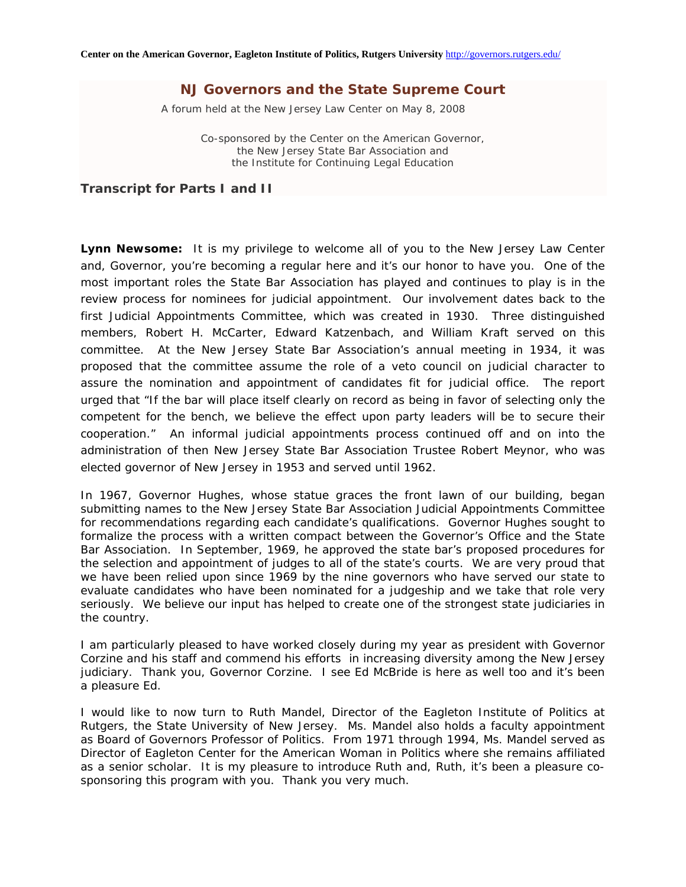A forum held at the New Jersey Law Center on May 8, 2008

Co-sponsored by the Center on the American Governor, the New Jersey State Bar Association and the Institute for Continuing Legal Education

*Transcript for Parts I and II* 

**Lynn Newsome:** It is my privilege to welcome all of you to the New Jersey Law Center and, Governor, you're becoming a regular here and it's our honor to have you. One of the most important roles the State Bar Association has played and continues to play is in the review process for nominees for judicial appointment. Our involvement dates back to the first Judicial Appointments Committee, which was created in 1930. Three distinguished members, Robert H. McCarter, Edward Katzenbach, and William Kraft served on this committee. At the New Jersey State Bar Association's annual meeting in 1934, it was proposed that the committee assume the role of a veto council on judicial character to assure the nomination and appointment of candidates fit for judicial office. The report urged that "If the bar will place itself clearly on record as being in favor of selecting only the competent for the bench, we believe the effect upon party leaders will be to secure their cooperation." An informal judicial appointments process continued off and on into the administration of then New Jersey State Bar Association Trustee Robert Meynor, who was elected governor of New Jersey in 1953 and served until 1962.

In 1967, Governor Hughes, whose statue graces the front lawn of our building, began submitting names to the New Jersey State Bar Association Judicial Appointments Committee for recommendations regarding each candidate's qualifications. Governor Hughes sought to formalize the process with a written compact between the Governor's Office and the State Bar Association. In September, 1969, he approved the state bar's proposed procedures for the selection and appointment of judges to all of the state's courts. We are very proud that we have been relied upon since 1969 by the nine governors who have served our state to evaluate candidates who have been nominated for a judgeship and we take that role very seriously. We believe our input has helped to create one of the strongest state judiciaries in the country.

I am particularly pleased to have worked closely during my year as president with Governor Corzine and his staff and commend his efforts in increasing diversity among the New Jersey judiciary. Thank you, Governor Corzine. I see Ed McBride is here as well too and it's been a pleasure Ed.

I would like to now turn to Ruth Mandel, Director of the Eagleton Institute of Politics at Rutgers, the State University of New Jersey. Ms. Mandel also holds a faculty appointment as Board of Governors Professor of Politics. From 1971 through 1994, Ms. Mandel served as Director of Eagleton Center for the American Woman in Politics where she remains affiliated as a senior scholar. It is my pleasure to introduce Ruth and, Ruth, it's been a pleasure cosponsoring this program with you. Thank you very much.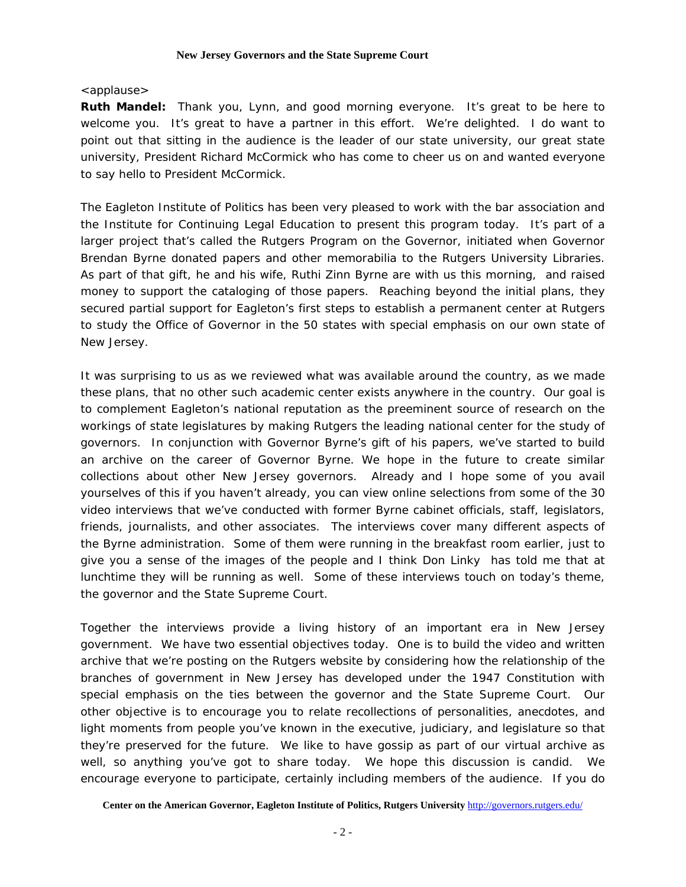# <applause>

**Ruth Mandel:** Thank you, Lynn, and good morning everyone. It's great to be here to welcome you. It's great to have a partner in this effort. We're delighted. I do want to point out that sitting in the audience is the leader of our state university, our great state university, President Richard McCormick who has come to cheer us on and wanted everyone to say hello to President McCormick.

The Eagleton Institute of Politics has been very pleased to work with the bar association and the Institute for Continuing Legal Education to present this program today. It's part of a larger project that's called the Rutgers Program on the Governor, initiated when Governor Brendan Byrne donated papers and other memorabilia to the Rutgers University Libraries. As part of that gift, he and his wife, Ruthi Zinn Byrne are with us this morning, and raised money to support the cataloging of those papers. Reaching beyond the initial plans, they secured partial support for Eagleton's first steps to establish a permanent center at Rutgers to study the Office of Governor in the 50 states with special emphasis on our own state of New Jersey.

It was surprising to us as we reviewed what was available around the country, as we made these plans, that no other such academic center exists anywhere in the country. Our goal is to complement Eagleton's national reputation as the preeminent source of research on the workings of state legislatures by making Rutgers the leading national center for the study of governors. In conjunction with Governor Byrne's gift of his papers, we've started to build an archive on the career of Governor Byrne. We hope in the future to create similar collections about other New Jersey governors. Already and I hope some of you avail yourselves of this if you haven't already, you can view online selections from some of the 30 video interviews that we've conducted with former Byrne cabinet officials, staff, legislators, friends, journalists, and other associates. The interviews cover many different aspects of the Byrne administration. Some of them were running in the breakfast room earlier, just to give you a sense of the images of the people and I think Don Linky has told me that at lunchtime they will be running as well. Some of these interviews touch on today's theme, the governor and the State Supreme Court.

Together the interviews provide a living history of an important era in New Jersey government. We have two essential objectives today. One is to build the video and written archive that we're posting on the Rutgers website by considering how the relationship of the branches of government in New Jersey has developed under the 1947 Constitution with special emphasis on the ties between the governor and the State Supreme Court. Our other objective is to encourage you to relate recollections of personalities, anecdotes, and light moments from people you've known in the executive, judiciary, and legislature so that they're preserved for the future. We like to have gossip as part of our virtual archive as well, so anything you've got to share today. We hope this discussion is candid. We encourage everyone to participate, certainly including members of the audience. If you do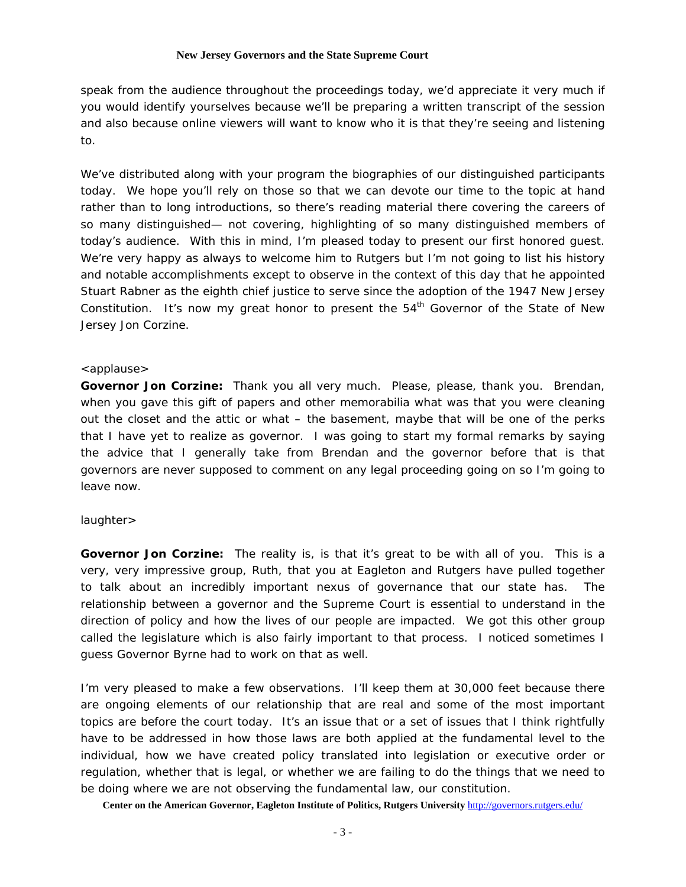speak from the audience throughout the proceedings today, we'd appreciate it very much if you would identify yourselves because we'll be preparing a written transcript of the session and also because online viewers will want to know who it is that they're seeing and listening to.

We've distributed along with your program the biographies of our distinguished participants today. We hope you'll rely on those so that we can devote our time to the topic at hand rather than to long introductions, so there's reading material there covering the careers of so many distinguished— not covering, highlighting of so many distinguished members of today's audience. With this in mind, I'm pleased today to present our first honored guest. We're very happy as always to welcome him to Rutgers but I'm not going to list his history and notable accomplishments except to observe in the context of this day that he appointed Stuart Rabner as the eighth chief justice to serve since the adoption of the 1947 New Jersey Constitution. It's now my great honor to present the  $54<sup>th</sup>$  Governor of the State of New Jersey Jon Corzine.

# <applause>

**Governor Jon Corzine:** Thank you all very much. Please, please, thank you. Brendan, when you gave this gift of papers and other memorabilia what was that you were cleaning out the closet and the attic or what – the basement, maybe that will be one of the perks that I have yet to realize as governor. I was going to start my formal remarks by saying the advice that I generally take from Brendan and the governor before that is that governors are never supposed to comment on any legal proceeding going on so I'm going to leave now.

# laughter>

**Governor Jon Corzine:** The reality is, is that it's great to be with all of you. This is a very, very impressive group, Ruth, that you at Eagleton and Rutgers have pulled together to talk about an incredibly important nexus of governance that our state has. The relationship between a governor and the Supreme Court is essential to understand in the direction of policy and how the lives of our people are impacted. We got this other group called the legislature which is also fairly important to that process. I noticed sometimes I guess Governor Byrne had to work on that as well.

I'm very pleased to make a few observations. I'll keep them at 30,000 feet because there are ongoing elements of our relationship that are real and some of the most important topics are before the court today. It's an issue that or a set of issues that I think rightfully have to be addressed in how those laws are both applied at the fundamental level to the individual, how we have created policy translated into legislation or executive order or regulation, whether that is legal, or whether we are failing to do the things that we need to be doing where we are not observing the fundamental law, our constitution.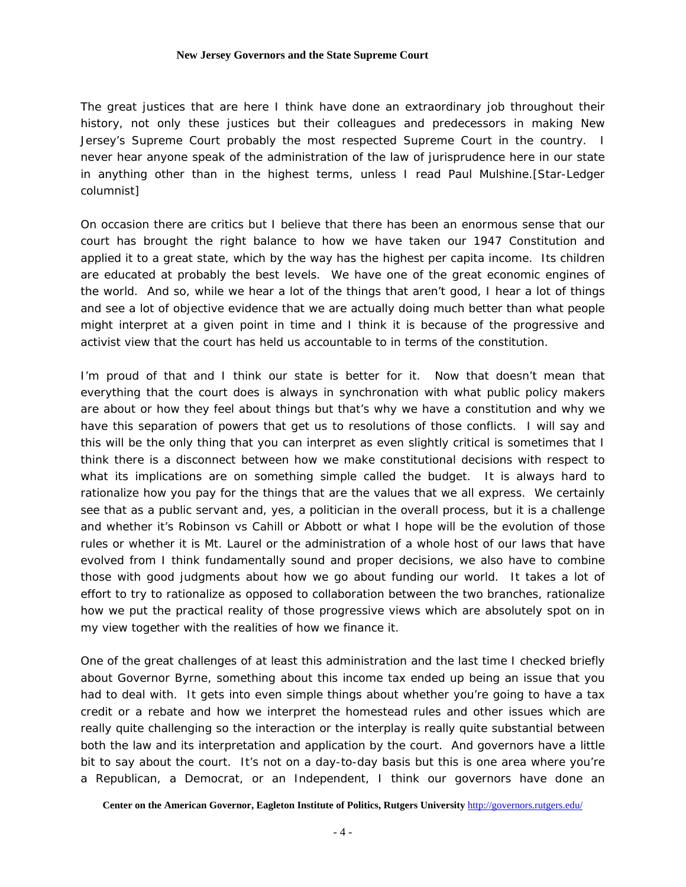The great justices that are here I think have done an extraordinary job throughout their history, not only these justices but their colleagues and predecessors in making New Jersey's Supreme Court probably the most respected Supreme Court in the country. I never hear anyone speak of the administration of the law of jurisprudence here in our state in anything other than in the highest terms, unless I read Paul Mulshine.[*Star-Ledger* columnist]

On occasion there are critics but I believe that there has been an enormous sense that our court has brought the right balance to how we have taken our 1947 Constitution and applied it to a great state, which by the way has the highest per capita income. Its children are educated at probably the best levels. We have one of the great economic engines of the world. And so, while we hear a lot of the things that aren't good, I hear a lot of things and see a lot of objective evidence that we are actually doing much better than what people might interpret at a given point in time and I think it is because of the progressive and activist view that the court has held us accountable to in terms of the constitution.

I'm proud of that and I think our state is better for it. Now that doesn't mean that everything that the court does is always in synchronation with what public policy makers are about or how they feel about things but that's why we have a constitution and why we have this separation of powers that get us to resolutions of those conflicts. I will say and this will be the only thing that you can interpret as even slightly critical is sometimes that I think there is a disconnect between how we make constitutional decisions with respect to what its implications are on something simple called the budget. It is always hard to rationalize how you pay for the things that are the values that we all express. We certainly see that as a public servant and, yes, a politician in the overall process, but it is a challenge and whether it's Robinson vs Cahill or Abbott or what I hope will be the evolution of those rules or whether it is Mt. Laurel or the administration of a whole host of our laws that have evolved from I think fundamentally sound and proper decisions, we also have to combine those with good judgments about how we go about funding our world. It takes a lot of effort to try to rationalize as opposed to collaboration between the two branches, rationalize how we put the practical reality of those progressive views which are absolutely spot on in my view together with the realities of how we finance it.

One of the great challenges of at least this administration and the last time I checked briefly about Governor Byrne, something about this income tax ended up being an issue that you had to deal with. It gets into even simple things about whether you're going to have a tax credit or a rebate and how we interpret the homestead rules and other issues which are really quite challenging so the interaction or the interplay is really quite substantial between both the law and its interpretation and application by the court. And governors have a little bit to say about the court. It's not on a day-to-day basis but this is one area where you're a Republican, a Democrat, or an Independent, I think our governors have done an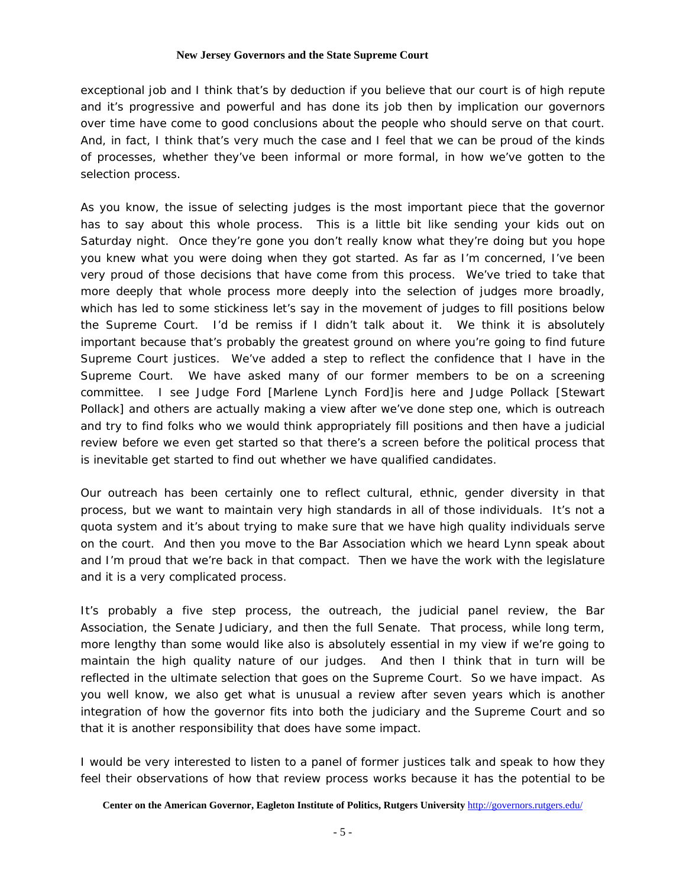exceptional job and I think that's by deduction if you believe that our court is of high repute and it's progressive and powerful and has done its job then by implication our governors over time have come to good conclusions about the people who should serve on that court. And, in fact, I think that's very much the case and I feel that we can be proud of the kinds of processes, whether they've been informal or more formal, in how we've gotten to the selection process.

As you know, the issue of selecting judges is the most important piece that the governor has to say about this whole process. This is a little bit like sending your kids out on Saturday night. Once they're gone you don't really know what they're doing but you hope you knew what you were doing when they got started. As far as I'm concerned, I've been very proud of those decisions that have come from this process. We've tried to take that more deeply that whole process more deeply into the selection of judges more broadly, which has led to some stickiness let's say in the movement of judges to fill positions below the Supreme Court. I'd be remiss if I didn't talk about it. We think it is absolutely important because that's probably the greatest ground on where you're going to find future Supreme Court justices. We've added a step to reflect the confidence that I have in the Supreme Court. We have asked many of our former members to be on a screening committee. I see Judge Ford [Marlene Lynch Ford]is here and Judge Pollack [Stewart Pollack] and others are actually making a view after we've done step one, which is outreach and try to find folks who we would think appropriately fill positions and then have a judicial review before we even get started so that there's a screen before the political process that is inevitable get started to find out whether we have qualified candidates.

Our outreach has been certainly one to reflect cultural, ethnic, gender diversity in that process, but we want to maintain very high standards in all of those individuals. It's not a quota system and it's about trying to make sure that we have high quality individuals serve on the court. And then you move to the Bar Association which we heard Lynn speak about and I'm proud that we're back in that compact. Then we have the work with the legislature and it is a very complicated process.

It's probably a five step process, the outreach, the judicial panel review, the Bar Association, the Senate Judiciary, and then the full Senate. That process, while long term, more lengthy than some would like also is absolutely essential in my view if we're going to maintain the high quality nature of our judges. And then I think that in turn will be reflected in the ultimate selection that goes on the Supreme Court. So we have impact. As you well know, we also get what is unusual a review after seven years which is another integration of how the governor fits into both the judiciary and the Supreme Court and so that it is another responsibility that does have some impact.

I would be very interested to listen to a panel of former justices talk and speak to how they feel their observations of how that review process works because it has the potential to be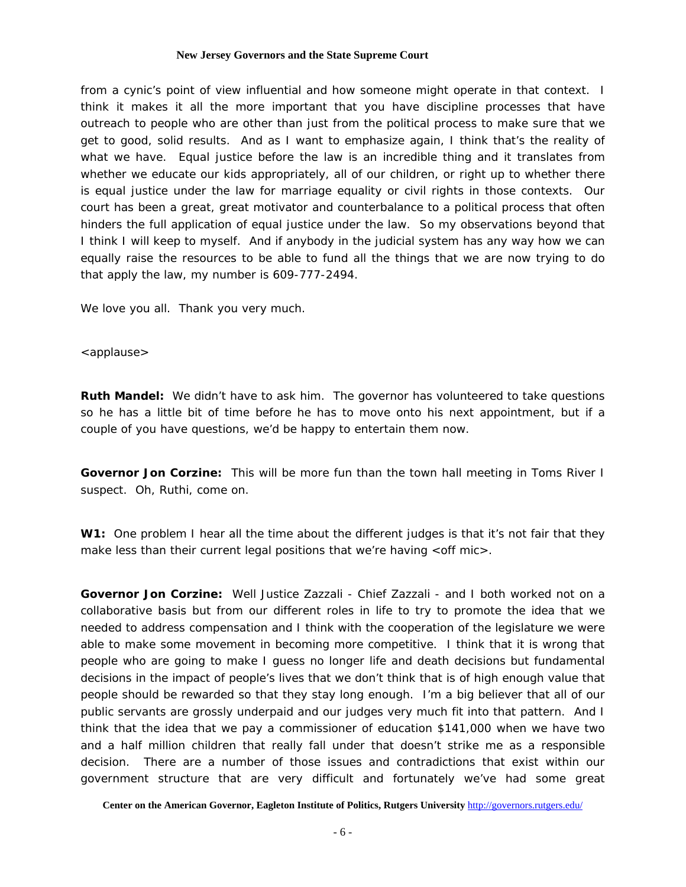from a cynic's point of view influential and how someone might operate in that context. I think it makes it all the more important that you have discipline processes that have outreach to people who are other than just from the political process to make sure that we get to good, solid results. And as I want to emphasize again, I think that's the reality of what we have. Equal justice before the law is an incredible thing and it translates from whether we educate our kids appropriately, all of our children, or right up to whether there is equal justice under the law for marriage equality or civil rights in those contexts. Our court has been a great, great motivator and counterbalance to a political process that often hinders the full application of equal justice under the law. So my observations beyond that I think I will keep to myself. And if anybody in the judicial system has any way how we can equally raise the resources to be able to fund all the things that we are now trying to do that apply the law, my number is 609-777-2494.

We love you all. Thank you very much.

# <applause>

**Ruth Mandel:** We didn't have to ask him. The governor has volunteered to take questions so he has a little bit of time before he has to move onto his next appointment, but if a couple of you have questions, we'd be happy to entertain them now.

**Governor Jon Corzine:** This will be more fun than the town hall meeting in Toms River I suspect. Oh, Ruthi, come on.

**W1:** One problem I hear all the time about the different judges is that it's not fair that they make less than their current legal positions that we're having <off mic>.

**Governor Jon Corzine:** Well Justice Zazzali - Chief Zazzali - and I both worked not on a collaborative basis but from our different roles in life to try to promote the idea that we needed to address compensation and I think with the cooperation of the legislature we were able to make some movement in becoming more competitive. I think that it is wrong that people who are going to make I guess no longer life and death decisions but fundamental decisions in the impact of people's lives that we don't think that is of high enough value that people should be rewarded so that they stay long enough. I'm a big believer that all of our public servants are grossly underpaid and our judges very much fit into that pattern. And I think that the idea that we pay a commissioner of education \$141,000 when we have two and a half million children that really fall under that doesn't strike me as a responsible decision. There are a number of those issues and contradictions that exist within our government structure that are very difficult and fortunately we've had some great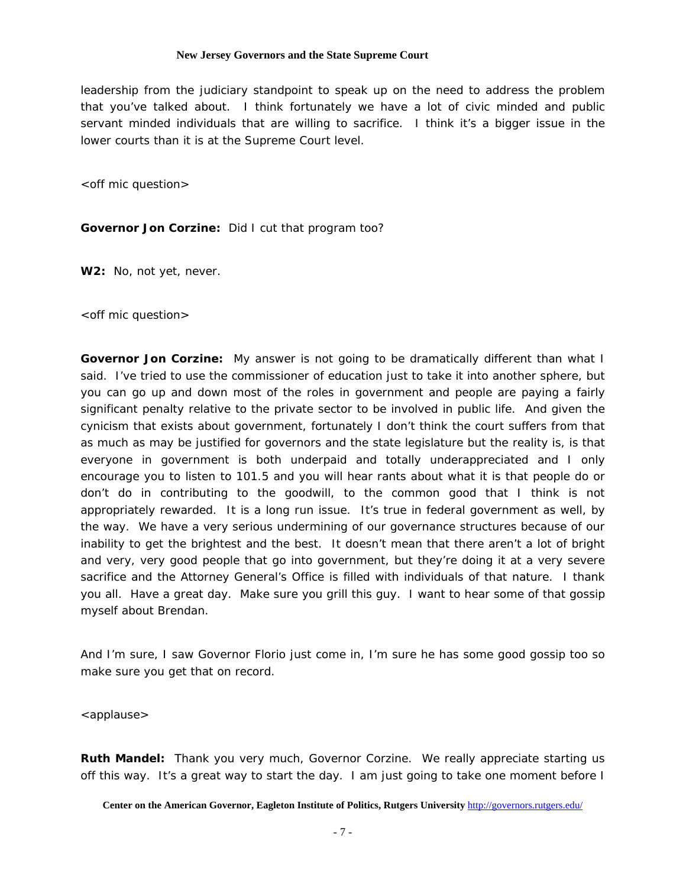leadership from the judiciary standpoint to speak up on the need to address the problem that you've talked about. I think fortunately we have a lot of civic minded and public servant minded individuals that are willing to sacrifice. I think it's a bigger issue in the lower courts than it is at the Supreme Court level.

<off mic question>

# **Governor Jon Corzine:** Did I cut that program too?

**W2:** No, not yet, never.

<off mic question>

**Governor Jon Corzine:** My answer is not going to be dramatically different than what I said. I've tried to use the commissioner of education just to take it into another sphere, but you can go up and down most of the roles in government and people are paying a fairly significant penalty relative to the private sector to be involved in public life. And given the cynicism that exists about government, fortunately I don't think the court suffers from that as much as may be justified for governors and the state legislature but the reality is, is that everyone in government is both underpaid and totally underappreciated and I only encourage you to listen to 101.5 and you will hear rants about what it is that people do or don't do in contributing to the goodwill, to the common good that I think is not appropriately rewarded. It is a long run issue. It's true in federal government as well, by the way. We have a very serious undermining of our governance structures because of our inability to get the brightest and the best. It doesn't mean that there aren't a lot of bright and very, very good people that go into government, but they're doing it at a very severe sacrifice and the Attorney General's Office is filled with individuals of that nature. I thank you all. Have a great day. Make sure you grill this guy. I want to hear some of that gossip myself about Brendan.

And I'm sure, I saw Governor Florio just come in, I'm sure he has some good gossip too so make sure you get that on record.

<applause>

**Ruth Mandel:** Thank you very much, Governor Corzine. We really appreciate starting us off this way. It's a great way to start the day. I am just going to take one moment before I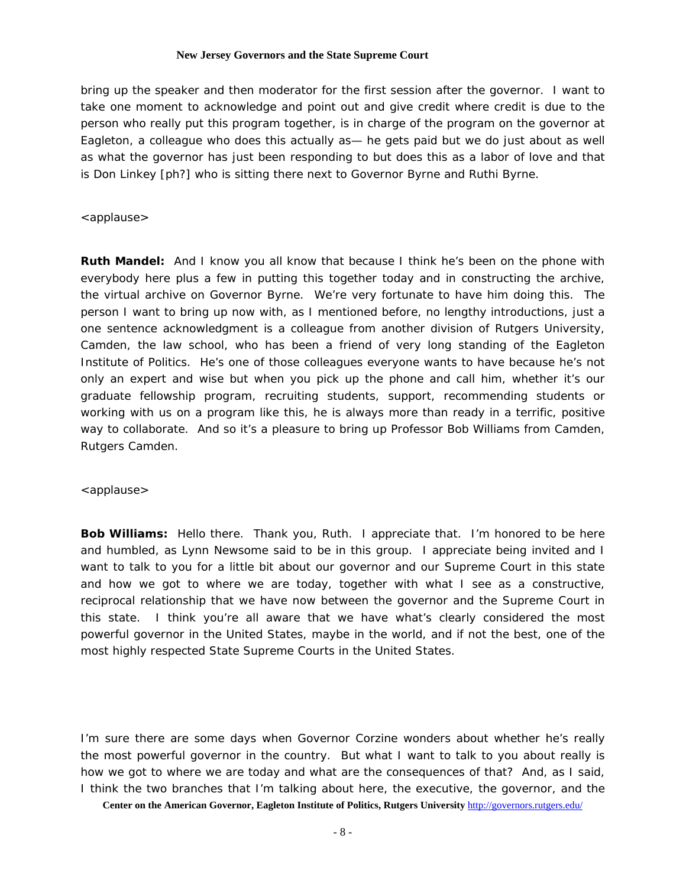bring up the speaker and then moderator for the first session after the governor. I want to take one moment to acknowledge and point out and give credit where credit is due to the person who really put this program together, is in charge of the program on the governor at Eagleton, a colleague who does this actually as— he gets paid but we do just about as well as what the governor has just been responding to but does this as a labor of love and that is Don Linkey [ph?] who is sitting there next to Governor Byrne and Ruthi Byrne.

# <applause>

**Ruth Mandel:** And I know you all know that because I think he's been on the phone with everybody here plus a few in putting this together today and in constructing the archive, the virtual archive on Governor Byrne. We're very fortunate to have him doing this. The person I want to bring up now with, as I mentioned before, no lengthy introductions, just a one sentence acknowledgment is a colleague from another division of Rutgers University, Camden, the law school, who has been a friend of very long standing of the Eagleton Institute of Politics. He's one of those colleagues everyone wants to have because he's not only an expert and wise but when you pick up the phone and call him, whether it's our graduate fellowship program, recruiting students, support, recommending students or working with us on a program like this, he is always more than ready in a terrific, positive way to collaborate. And so it's a pleasure to bring up Professor Bob Williams from Camden, Rutgers Camden.

<applause>

**Bob Williams:** Hello there. Thank you, Ruth. I appreciate that. I'm honored to be here and humbled, as Lynn Newsome said to be in this group. I appreciate being invited and I want to talk to you for a little bit about our governor and our Supreme Court in this state and how we got to where we are today, together with what I see as a constructive, reciprocal relationship that we have now between the governor and the Supreme Court in this state. I think you're all aware that we have what's clearly considered the most powerful governor in the United States, maybe in the world, and if not the best, one of the most highly respected State Supreme Courts in the United States.

I'm sure there are some days when Governor Corzine wonders about whether he's really the most powerful governor in the country. But what I want to talk to you about really is how we got to where we are today and what are the consequences of that? And, as I said, I think the two branches that I'm talking about here, the executive, the governor, and the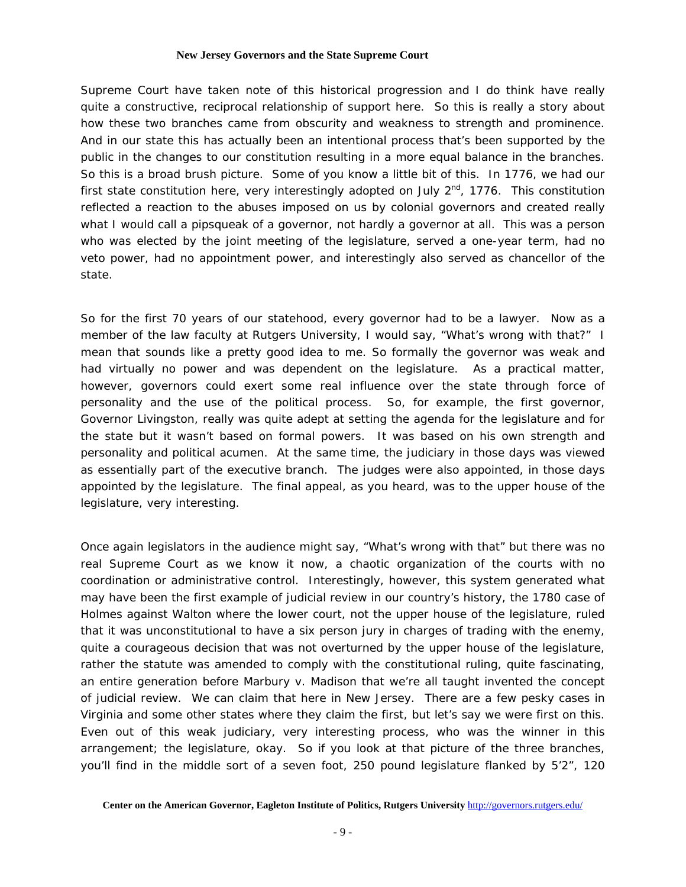Supreme Court have taken note of this historical progression and I do think have really quite a constructive, reciprocal relationship of support here. So this is really a story about how these two branches came from obscurity and weakness to strength and prominence. And in our state this has actually been an intentional process that's been supported by the public in the changes to our constitution resulting in a more equal balance in the branches. So this is a broad brush picture. Some of you know a little bit of this. In 1776, we had our first state constitution here, very interestingly adopted on July  $2^{nd}$ , 1776. This constitution reflected a reaction to the abuses imposed on us by colonial governors and created really what I would call a pipsqueak of a governor, not hardly a governor at all. This was a person who was elected by the joint meeting of the legislature, served a one-year term, had no veto power, had no appointment power, and interestingly also served as chancellor of the state.

So for the first 70 years of our statehood, every governor had to be a lawyer. Now as a member of the law faculty at Rutgers University, I would say, "What's wrong with that?" I mean that sounds like a pretty good idea to me. So formally the governor was weak and had virtually no power and was dependent on the legislature. As a practical matter, however, governors could exert some real influence over the state through force of personality and the use of the political process. So, for example, the first governor, Governor Livingston, really was quite adept at setting the agenda for the legislature and for the state but it wasn't based on formal powers. It was based on his own strength and personality and political acumen. At the same time, the judiciary in those days was viewed as essentially part of the executive branch. The judges were also appointed, in those days appointed by the legislature. The final appeal, as you heard, was to the upper house of the legislature, very interesting.

Once again legislators in the audience might say, "What's wrong with that" but there was no real Supreme Court as we know it now, a chaotic organization of the courts with no coordination or administrative control. Interestingly, however, this system generated what may have been the first example of judicial review in our country's history, the 1780 case of Holmes against Walton where the lower court, not the upper house of the legislature, ruled that it was unconstitutional to have a six person jury in charges of trading with the enemy, quite a courageous decision that was not overturned by the upper house of the legislature, rather the statute was amended to comply with the constitutional ruling, quite fascinating, an entire generation before Marbury v. Madison that we're all taught invented the concept of judicial review. We can claim that here in New Jersey. There are a few pesky cases in Virginia and some other states where they claim the first, but let's say we were first on this. Even out of this weak judiciary, very interesting process, who was the winner in this arrangement; the legislature, okay. So if you look at that picture of the three branches, you'll find in the middle sort of a seven foot, 250 pound legislature flanked by 5'2", 120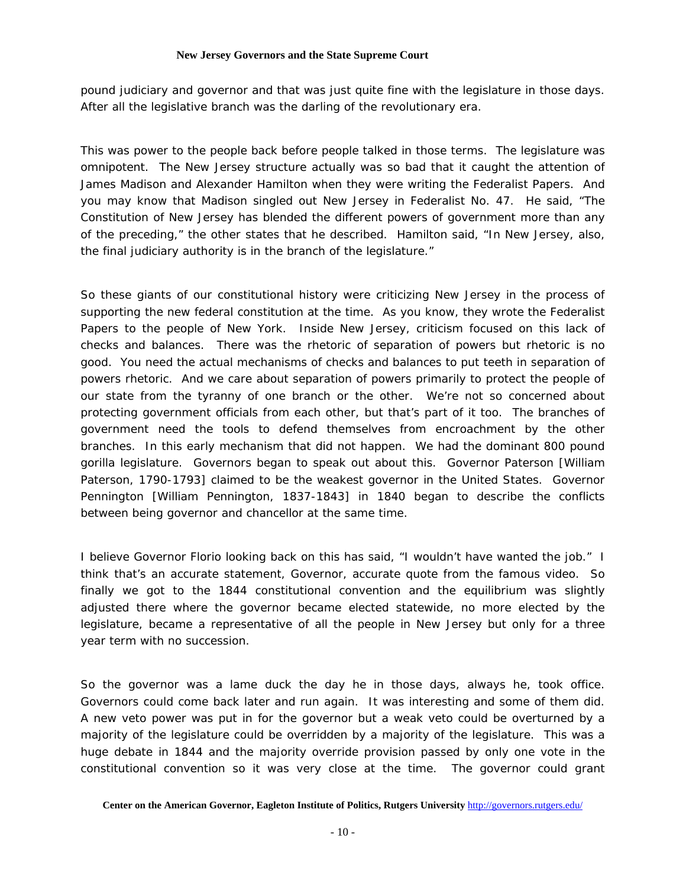pound judiciary and governor and that was just quite fine with the legislature in those days. After all the legislative branch was the darling of the revolutionary era.

This was power to the people back before people talked in those terms. The legislature was omnipotent. The New Jersey structure actually was so bad that it caught the attention of James Madison and Alexander Hamilton when they were writing the Federalist Papers. And you may know that Madison singled out New Jersey in Federalist No. 47. He said, "The Constitution of New Jersey has blended the different powers of government more than any of the preceding," the other states that he described. Hamilton said, "In New Jersey, also, the final judiciary authority is in the branch of the legislature."

So these giants of our constitutional history were criticizing New Jersey in the process of supporting the new federal constitution at the time. As you know, they wrote the Federalist Papers to the people of New York. Inside New Jersey, criticism focused on this lack of checks and balances. There was the rhetoric of separation of powers but rhetoric is no good. You need the actual mechanisms of checks and balances to put teeth in separation of powers rhetoric. And we care about separation of powers primarily to protect the people of our state from the tyranny of one branch or the other. We're not so concerned about protecting government officials from each other, but that's part of it too. The branches of government need the tools to defend themselves from encroachment by the other branches. In this early mechanism that did not happen. We had the dominant 800 pound gorilla legislature. Governors began to speak out about this. Governor Paterson [William Paterson, 1790-1793] claimed to be the weakest governor in the United States. Governor Pennington [William Pennington, 1837-1843] in 1840 began to describe the conflicts between being governor and chancellor at the same time.

I believe Governor Florio looking back on this has said, "I wouldn't have wanted the job." I think that's an accurate statement, Governor, accurate quote from the famous video. So finally we got to the 1844 constitutional convention and the equilibrium was slightly adjusted there where the governor became elected statewide, no more elected by the legislature, became a representative of all the people in New Jersey but only for a three year term with no succession.

So the governor was a lame duck the day he in those days, always he, took office. Governors could come back later and run again. It was interesting and some of them did. A new veto power was put in for the governor but a weak veto could be overturned by a majority of the legislature could be overridden by a majority of the legislature. This was a huge debate in 1844 and the majority override provision passed by only one vote in the constitutional convention so it was very close at the time. The governor could grant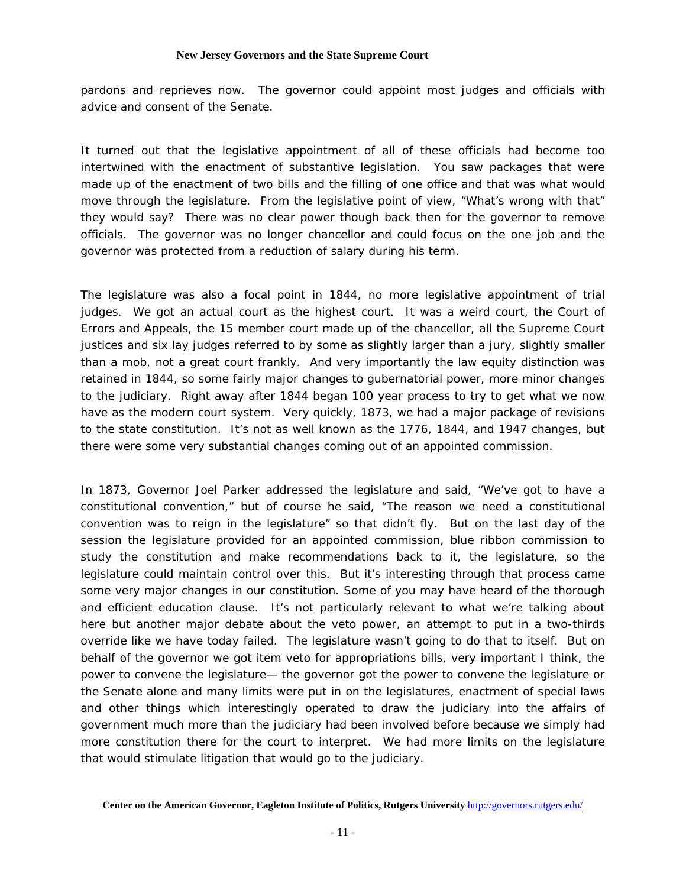pardons and reprieves now. The governor could appoint most judges and officials with advice and consent of the Senate.

It turned out that the legislative appointment of all of these officials had become too intertwined with the enactment of substantive legislation. You saw packages that were made up of the enactment of two bills and the filling of one office and that was what would move through the legislature. From the legislative point of view, "What's wrong with that" they would say? There was no clear power though back then for the governor to remove officials. The governor was no longer chancellor and could focus on the one job and the governor was protected from a reduction of salary during his term.

The legislature was also a focal point in 1844, no more legislative appointment of trial judges. We got an actual court as the highest court. It was a weird court, the Court of Errors and Appeals, the 15 member court made up of the chancellor, all the Supreme Court justices and six lay judges referred to by some as slightly larger than a jury, slightly smaller than a mob, not a great court frankly. And very importantly the law equity distinction was retained in 1844, so some fairly major changes to gubernatorial power, more minor changes to the judiciary. Right away after 1844 began 100 year process to try to get what we now have as the modern court system. Very quickly, 1873, we had a major package of revisions to the state constitution. It's not as well known as the 1776, 1844, and 1947 changes, but there were some very substantial changes coming out of an appointed commission.

In 1873, Governor Joel Parker addressed the legislature and said, "We've got to have a constitutional convention," but of course he said, "The reason we need a constitutional convention was to reign in the legislature" so that didn't fly. But on the last day of the session the legislature provided for an appointed commission, blue ribbon commission to study the constitution and make recommendations back to it, the legislature, so the legislature could maintain control over this. But it's interesting through that process came some very major changes in our constitution. Some of you may have heard of the thorough and efficient education clause. It's not particularly relevant to what we're talking about here but another major debate about the veto power, an attempt to put in a two-thirds override like we have today failed. The legislature wasn't going to do that to itself. But on behalf of the governor we got item veto for appropriations bills, very important I think, the power to convene the legislature— the governor got the power to convene the legislature or the Senate alone and many limits were put in on the legislatures, enactment of special laws and other things which interestingly operated to draw the judiciary into the affairs of government much more than the judiciary had been involved before because we simply had more constitution there for the court to interpret. We had more limits on the legislature that would stimulate litigation that would go to the judiciary.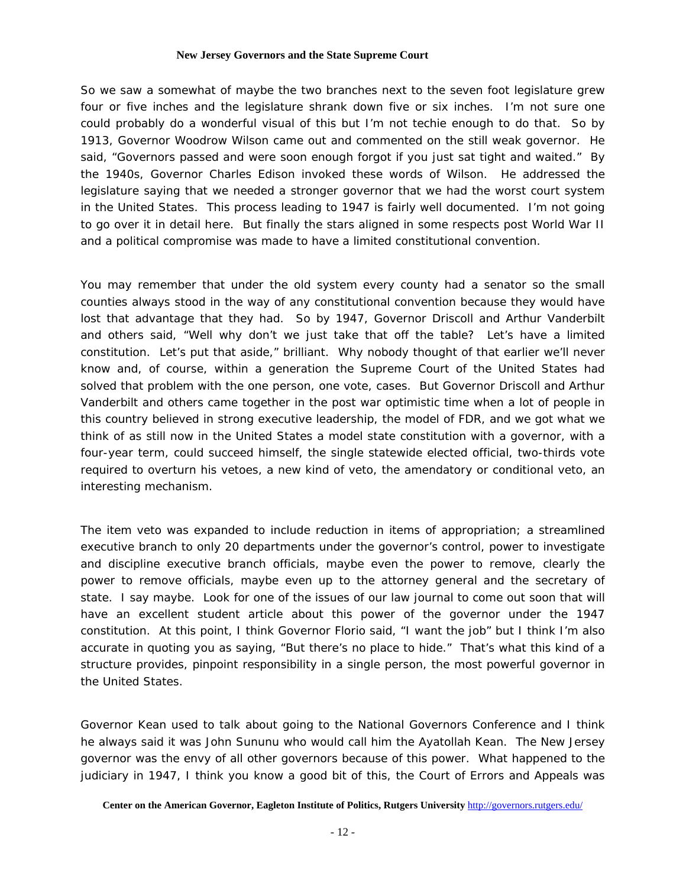So we saw a somewhat of maybe the two branches next to the seven foot legislature grew four or five inches and the legislature shrank down five or six inches. I'm not sure one could probably do a wonderful visual of this but I'm not techie enough to do that. So by 1913, Governor Woodrow Wilson came out and commented on the still weak governor. He said, "Governors passed and were soon enough forgot if you just sat tight and waited." By the 1940s, Governor Charles Edison invoked these words of Wilson. He addressed the legislature saying that we needed a stronger governor that we had the worst court system in the United States. This process leading to 1947 is fairly well documented. I'm not going to go over it in detail here. But finally the stars aligned in some respects post World War II and a political compromise was made to have a limited constitutional convention.

You may remember that under the old system every county had a senator so the small counties always stood in the way of any constitutional convention because they would have lost that advantage that they had. So by 1947, Governor Driscoll and Arthur Vanderbilt and others said, "Well why don't we just take that off the table? Let's have a limited constitution. Let's put that aside," brilliant. Why nobody thought of that earlier we'll never know and, of course, within a generation the Supreme Court of the United States had solved that problem with the one person, one vote, cases. But Governor Driscoll and Arthur Vanderbilt and others came together in the post war optimistic time when a lot of people in this country believed in strong executive leadership, the model of FDR, and we got what we think of as still now in the United States a model state constitution with a governor, with a four-year term, could succeed himself, the single statewide elected official, two-thirds vote required to overturn his vetoes, a new kind of veto, the amendatory or conditional veto, an interesting mechanism.

The item veto was expanded to include reduction in items of appropriation; a streamlined executive branch to only 20 departments under the governor's control, power to investigate and discipline executive branch officials, maybe even the power to remove, clearly the power to remove officials, maybe even up to the attorney general and the secretary of state. I say maybe. Look for one of the issues of our law journal to come out soon that will have an excellent student article about this power of the governor under the 1947 constitution. At this point, I think Governor Florio said, "I want the job" but I think I'm also accurate in quoting you as saying, "But there's no place to hide." That's what this kind of a structure provides, pinpoint responsibility in a single person, the most powerful governor in the United States.

Governor Kean used to talk about going to the National Governors Conference and I think he always said it was John Sununu who would call him the Ayatollah Kean. The New Jersey governor was the envy of all other governors because of this power. What happened to the judiciary in 1947, I think you know a good bit of this, the Court of Errors and Appeals was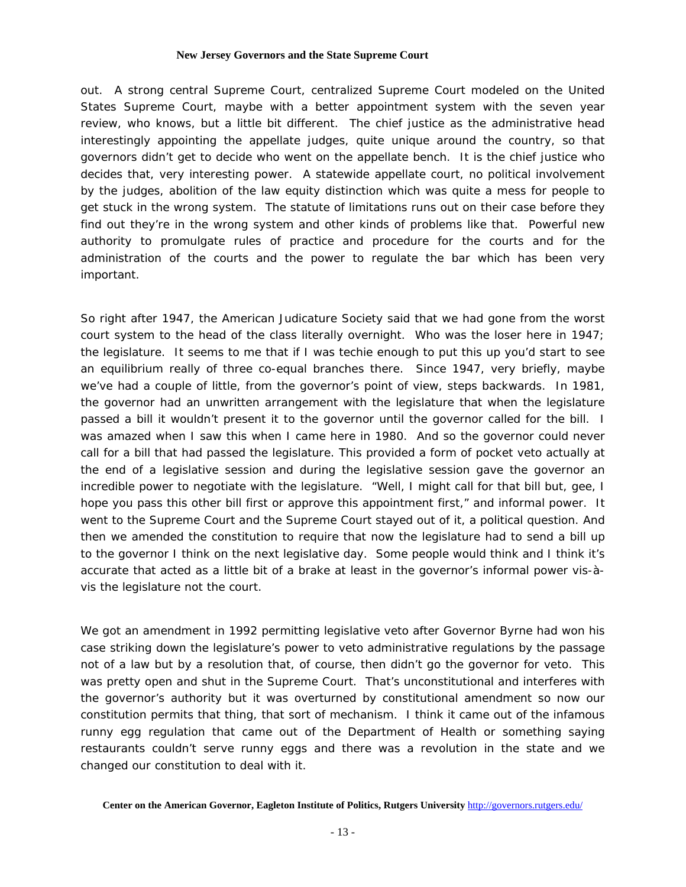out. A strong central Supreme Court, centralized Supreme Court modeled on the United States Supreme Court, maybe with a better appointment system with the seven year review, who knows, but a little bit different. The chief justice as the administrative head interestingly appointing the appellate judges, quite unique around the country, so that governors didn't get to decide who went on the appellate bench. It is the chief justice who decides that, very interesting power. A statewide appellate court, no political involvement by the judges, abolition of the law equity distinction which was quite a mess for people to get stuck in the wrong system. The statute of limitations runs out on their case before they find out they're in the wrong system and other kinds of problems like that. Powerful new authority to promulgate rules of practice and procedure for the courts and for the administration of the courts and the power to regulate the bar which has been very important.

So right after 1947, the American Judicature Society said that we had gone from the worst court system to the head of the class literally overnight. Who was the loser here in 1947; the legislature. It seems to me that if I was techie enough to put this up you'd start to see an equilibrium really of three co-equal branches there. Since 1947, very briefly, maybe we've had a couple of little, from the governor's point of view, steps backwards. In 1981, the governor had an unwritten arrangement with the legislature that when the legislature passed a bill it wouldn't present it to the governor until the governor called for the bill. I was amazed when I saw this when I came here in 1980. And so the governor could never call for a bill that had passed the legislature. This provided a form of pocket veto actually at the end of a legislative session and during the legislative session gave the governor an incredible power to negotiate with the legislature. "Well, I might call for that bill but, gee, I hope you pass this other bill first or approve this appointment first," and informal power. It went to the Supreme Court and the Supreme Court stayed out of it, a political question. And then we amended the constitution to require that now the legislature had to send a bill up to the governor I think on the next legislative day. Some people would think and I think it's accurate that acted as a little bit of a brake at least in the governor's informal power vis-àvis the legislature not the court.

We got an amendment in 1992 permitting legislative veto after Governor Byrne had won his case striking down the legislature's power to veto administrative regulations by the passage not of a law but by a resolution that, of course, then didn't go the governor for veto. This was pretty open and shut in the Supreme Court. That's unconstitutional and interferes with the governor's authority but it was overturned by constitutional amendment so now our constitution permits that thing, that sort of mechanism. I think it came out of the infamous runny egg regulation that came out of the Department of Health or something saying restaurants couldn't serve runny eggs and there was a revolution in the state and we changed our constitution to deal with it.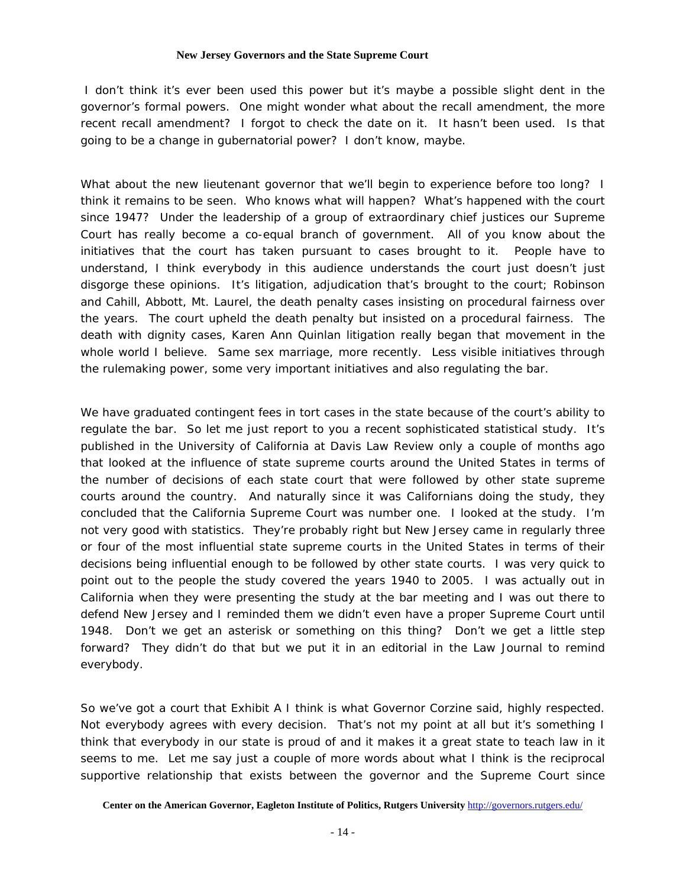I don't think it's ever been used this power but it's maybe a possible slight dent in the governor's formal powers. One might wonder what about the recall amendment, the more recent recall amendment? I forgot to check the date on it. It hasn't been used. Is that going to be a change in gubernatorial power? I don't know, maybe.

What about the new lieutenant governor that we'll begin to experience before too long? I think it remains to be seen. Who knows what will happen? What's happened with the court since 1947? Under the leadership of a group of extraordinary chief justices our Supreme Court has really become a co-equal branch of government. All of you know about the initiatives that the court has taken pursuant to cases brought to it. People have to understand, I think everybody in this audience understands the court just doesn't just disgorge these opinions. It's litigation, adjudication that's brought to the court; Robinson and Cahill, Abbott, Mt. Laurel, the death penalty cases insisting on procedural fairness over the years. The court upheld the death penalty but insisted on a procedural fairness. The death with dignity cases, Karen Ann Quinlan litigation really began that movement in the whole world I believe. Same sex marriage, more recently. Less visible initiatives through the rulemaking power, some very important initiatives and also regulating the bar.

We have graduated contingent fees in tort cases in the state because of the court's ability to regulate the bar. So let me just report to you a recent sophisticated statistical study. It's published in the University of California at Davis Law Review only a couple of months ago that looked at the influence of state supreme courts around the United States in terms of the number of decisions of each state court that were followed by other state supreme courts around the country. And naturally since it was Californians doing the study, they concluded that the California Supreme Court was number one. I looked at the study. I'm not very good with statistics. They're probably right but New Jersey came in regularly three or four of the most influential state supreme courts in the United States in terms of their decisions being influential enough to be followed by other state courts. I was very quick to point out to the people the study covered the years 1940 to 2005. I was actually out in California when they were presenting the study at the bar meeting and I was out there to defend New Jersey and I reminded them we didn't even have a proper Supreme Court until 1948. Don't we get an asterisk or something on this thing? Don't we get a little step forward? They didn't do that but we put it in an editorial in the Law Journal to remind everybody.

So we've got a court that Exhibit A I think is what Governor Corzine said, highly respected. Not everybody agrees with every decision. That's not my point at all but it's something I think that everybody in our state is proud of and it makes it a great state to teach law in it seems to me. Let me say just a couple of more words about what I think is the reciprocal supportive relationship that exists between the governor and the Supreme Court since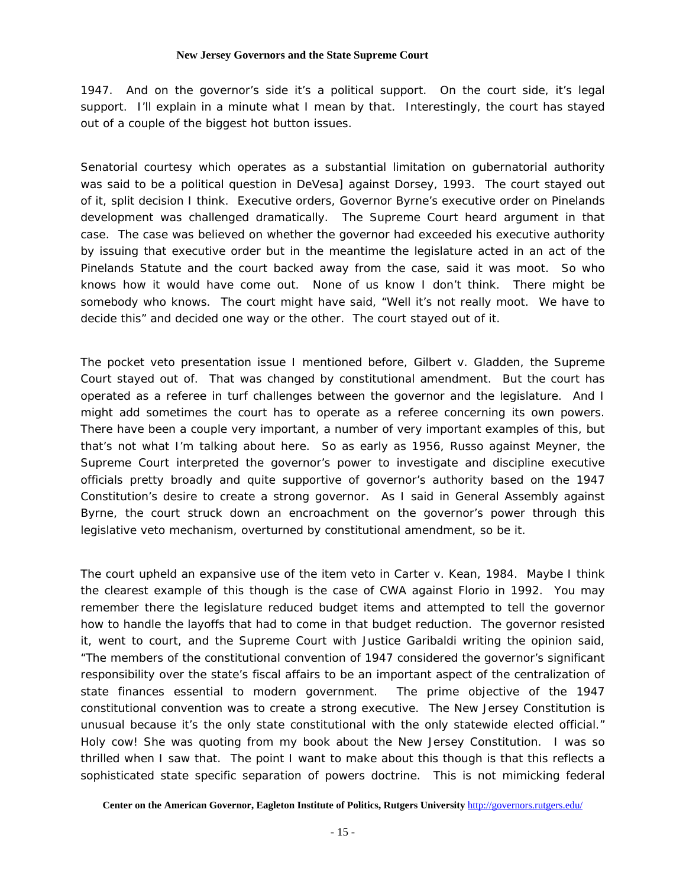1947. And on the governor's side it's a political support. On the court side, it's legal support. I'll explain in a minute what I mean by that. Interestingly, the court has stayed out of a couple of the biggest hot button issues.

Senatorial courtesy which operates as a substantial limitation on gubernatorial authority was said to be a political question in DeVesa] against Dorsey, 1993. The court stayed out of it, split decision I think. Executive orders, Governor Byrne's executive order on Pinelands development was challenged dramatically. The Supreme Court heard argument in that case. The case was believed on whether the governor had exceeded his executive authority by issuing that executive order but in the meantime the legislature acted in an act of the Pinelands Statute and the court backed away from the case, said it was moot. So who knows how it would have come out. None of us know I don't think. There might be somebody who knows. The court might have said, "Well it's not really moot. We have to decide this" and decided one way or the other. The court stayed out of it.

The pocket veto presentation issue I mentioned before, Gilbert v. Gladden, the Supreme Court stayed out of. That was changed by constitutional amendment. But the court has operated as a referee in turf challenges between the governor and the legislature. And I might add sometimes the court has to operate as a referee concerning its own powers. There have been a couple very important, a number of very important examples of this, but that's not what I'm talking about here. So as early as 1956, Russo against Meyner, the Supreme Court interpreted the governor's power to investigate and discipline executive officials pretty broadly and quite supportive of governor's authority based on the 1947 Constitution's desire to create a strong governor. As I said in General Assembly against Byrne, the court struck down an encroachment on the governor's power through this legislative veto mechanism, overturned by constitutional amendment, so be it.

The court upheld an expansive use of the item veto in Carter v. Kean, 1984. Maybe I think the clearest example of this though is the case of CWA against Florio in 1992. You may remember there the legislature reduced budget items and attempted to tell the governor how to handle the layoffs that had to come in that budget reduction. The governor resisted it, went to court, and the Supreme Court with Justice Garibaldi writing the opinion said, "The members of the constitutional convention of 1947 considered the governor's significant responsibility over the state's fiscal affairs to be an important aspect of the centralization of state finances essential to modern government. The prime objective of the 1947 constitutional convention was to create a strong executive. The New Jersey Constitution is unusual because it's the only state constitutional with the only statewide elected official." Holy cow! She was quoting from my book about the New Jersey Constitution. I was so thrilled when I saw that. The point I want to make about this though is that this reflects a sophisticated state specific separation of powers doctrine. This is not mimicking federal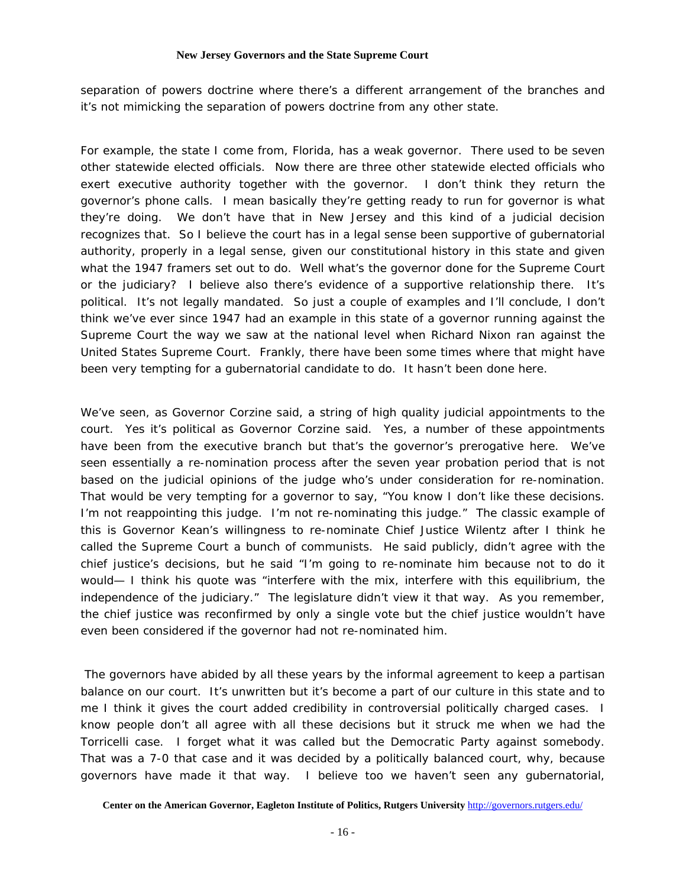separation of powers doctrine where there's a different arrangement of the branches and it's not mimicking the separation of powers doctrine from any other state.

For example, the state I come from, Florida, has a weak governor. There used to be seven other statewide elected officials. Now there are three other statewide elected officials who exert executive authority together with the governor. I don't think they return the governor's phone calls. I mean basically they're getting ready to run for governor is what they're doing. We don't have that in New Jersey and this kind of a judicial decision recognizes that. So I believe the court has in a legal sense been supportive of gubernatorial authority, properly in a legal sense, given our constitutional history in this state and given what the 1947 framers set out to do. Well what's the governor done for the Supreme Court or the judiciary? I believe also there's evidence of a supportive relationship there. It's political. It's not legally mandated. So just a couple of examples and I'll conclude, I don't think we've ever since 1947 had an example in this state of a governor running against the Supreme Court the way we saw at the national level when Richard Nixon ran against the United States Supreme Court. Frankly, there have been some times where that might have been very tempting for a gubernatorial candidate to do. It hasn't been done here.

We've seen, as Governor Corzine said, a string of high quality judicial appointments to the court. Yes it's political as Governor Corzine said. Yes, a number of these appointments have been from the executive branch but that's the governor's prerogative here. We've seen essentially a re-nomination process after the seven year probation period that is not based on the judicial opinions of the judge who's under consideration for re-nomination. That would be very tempting for a governor to say, "You know I don't like these decisions. I'm not reappointing this judge. I'm not re-nominating this judge." The classic example of this is Governor Kean's willingness to re-nominate Chief Justice Wilentz after I think he called the Supreme Court a bunch of communists. He said publicly, didn't agree with the chief justice's decisions, but he said "I'm going to re-nominate him because not to do it would— I think his quote was "interfere with the mix, interfere with this equilibrium, the independence of the judiciary." The legislature didn't view it that way. As you remember, the chief justice was reconfirmed by only a single vote but the chief justice wouldn't have even been considered if the governor had not re-nominated him.

 The governors have abided by all these years by the informal agreement to keep a partisan balance on our court. It's unwritten but it's become a part of our culture in this state and to me I think it gives the court added credibility in controversial politically charged cases. I know people don't all agree with all these decisions but it struck me when we had the Torricelli case. I forget what it was called but the Democratic Party against somebody. That was a 7-0 that case and it was decided by a politically balanced court, why, because governors have made it that way. I believe too we haven't seen any gubernatorial,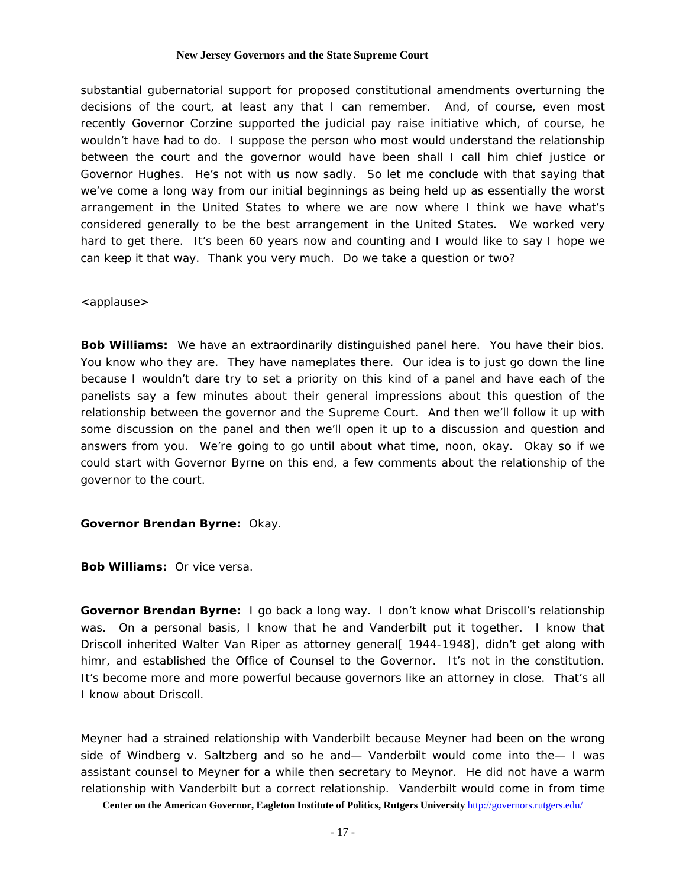substantial gubernatorial support for proposed constitutional amendments overturning the decisions of the court, at least any that I can remember. And, of course, even most recently Governor Corzine supported the judicial pay raise initiative which, of course, he wouldn't have had to do. I suppose the person who most would understand the relationship between the court and the governor would have been shall I call him chief justice or Governor Hughes. He's not with us now sadly. So let me conclude with that saying that we've come a long way from our initial beginnings as being held up as essentially the worst arrangement in the United States to where we are now where I think we have what's considered generally to be the best arrangement in the United States. We worked very hard to get there. It's been 60 years now and counting and I would like to say I hope we can keep it that way. Thank you very much. Do we take a question or two?

# <applause>

**Bob Williams:** We have an extraordinarily distinguished panel here. You have their bios. You know who they are. They have nameplates there. Our idea is to just go down the line because I wouldn't dare try to set a priority on this kind of a panel and have each of the panelists say a few minutes about their general impressions about this question of the relationship between the governor and the Supreme Court. And then we'll follow it up with some discussion on the panel and then we'll open it up to a discussion and question and answers from you. We're going to go until about what time, noon, okay. Okay so if we could start with Governor Byrne on this end, a few comments about the relationship of the governor to the court.

# **Governor Brendan Byrne:** Okay.

**Bob Williams:** Or vice versa.

**Governor Brendan Byrne:** I go back a long way. I don't know what Driscoll's relationship was. On a personal basis, I know that he and Vanderbilt put it together. I know that Driscoll inherited Walter Van Riper as attorney general [1944-1948], didn't get along with himr, and established the Office of Counsel to the Governor. It's not in the constitution. It's become more and more powerful because governors like an attorney in close. That's all I know about Driscoll.

Meyner had a strained relationship with Vanderbilt because Meyner had been on the wrong side of Windberg v. Saltzberg and so he and— Vanderbilt would come into the— I was assistant counsel to Meyner for a while then secretary to Meynor. He did not have a warm relationship with Vanderbilt but a correct relationship. Vanderbilt would come in from time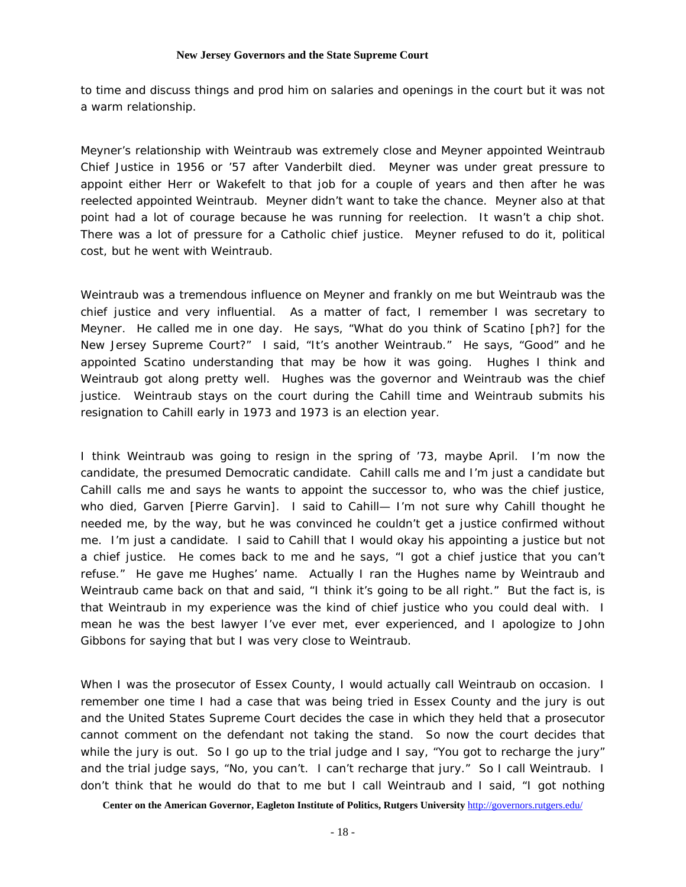to time and discuss things and prod him on salaries and openings in the court but it was not a warm relationship.

Meyner's relationship with Weintraub was extremely close and Meyner appointed Weintraub Chief Justice in 1956 or '57 after Vanderbilt died. Meyner was under great pressure to appoint either Herr or Wakefelt to that job for a couple of years and then after he was reelected appointed Weintraub. Meyner didn't want to take the chance. Meyner also at that point had a lot of courage because he was running for reelection. It wasn't a chip shot. There was a lot of pressure for a Catholic chief justice. Meyner refused to do it, political cost, but he went with Weintraub.

Weintraub was a tremendous influence on Meyner and frankly on me but Weintraub was the chief justice and very influential. As a matter of fact, I remember I was secretary to Meyner. He called me in one day. He says, "What do you think of Scatino [ph?] for the New Jersey Supreme Court?" I said, "It's another Weintraub." He says, "Good" and he appointed Scatino understanding that may be how it was going. Hughes I think and Weintraub got along pretty well. Hughes was the governor and Weintraub was the chief justice. Weintraub stays on the court during the Cahill time and Weintraub submits his resignation to Cahill early in 1973 and 1973 is an election year.

I think Weintraub was going to resign in the spring of '73, maybe April. I'm now the candidate, the presumed Democratic candidate. Cahill calls me and I'm just a candidate but Cahill calls me and says he wants to appoint the successor to, who was the chief justice, who died, Garven [Pierre Garvin]. I said to Cahill— I'm not sure why Cahill thought he needed me, by the way, but he was convinced he couldn't get a justice confirmed without me. I'm just a candidate. I said to Cahill that I would okay his appointing a justice but not a chief justice. He comes back to me and he says, "I got a chief justice that you can't refuse." He gave me Hughes' name. Actually I ran the Hughes name by Weintraub and Weintraub came back on that and said, "I think it's going to be all right." But the fact is, is that Weintraub in my experience was the kind of chief justice who you could deal with. I mean he was the best lawyer I've ever met, ever experienced, and I apologize to John Gibbons for saying that but I was very close to Weintraub.

When I was the prosecutor of Essex County, I would actually call Weintraub on occasion. I remember one time I had a case that was being tried in Essex County and the jury is out and the United States Supreme Court decides the case in which they held that a prosecutor cannot comment on the defendant not taking the stand. So now the court decides that while the jury is out. So I go up to the trial judge and I say, "You got to recharge the jury" and the trial judge says, "No, you can't. I can't recharge that jury." So I call Weintraub. I don't think that he would do that to me but I call Weintraub and I said, "I got nothing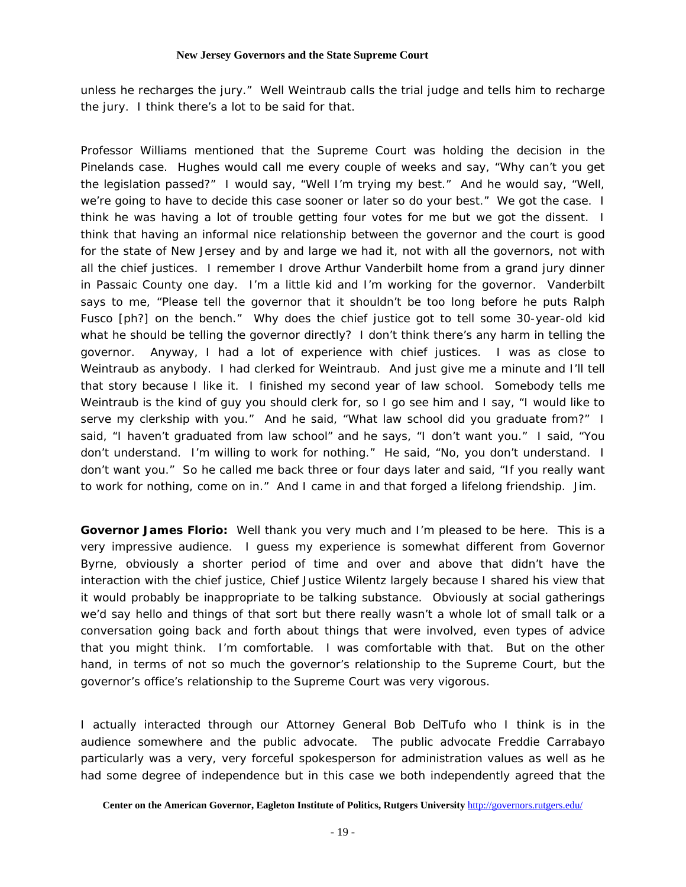unless he recharges the jury." Well Weintraub calls the trial judge and tells him to recharge the jury. I think there's a lot to be said for that.

Professor Williams mentioned that the Supreme Court was holding the decision in the Pinelands case. Hughes would call me every couple of weeks and say, "Why can't you get the legislation passed?" I would say, "Well I'm trying my best." And he would say, "Well, we're going to have to decide this case sooner or later so do your best." We got the case. I think he was having a lot of trouble getting four votes for me but we got the dissent. I think that having an informal nice relationship between the governor and the court is good for the state of New Jersey and by and large we had it, not with all the governors, not with all the chief justices. I remember I drove Arthur Vanderbilt home from a grand jury dinner in Passaic County one day. I'm a little kid and I'm working for the governor. Vanderbilt says to me, "Please tell the governor that it shouldn't be too long before he puts Ralph Fusco [ph?] on the bench." Why does the chief justice got to tell some 30-year-old kid what he should be telling the governor directly? I don't think there's any harm in telling the governor. Anyway, I had a lot of experience with chief justices. I was as close to Weintraub as anybody. I had clerked for Weintraub. And just give me a minute and I'll tell that story because I like it. I finished my second year of law school. Somebody tells me Weintraub is the kind of guy you should clerk for, so I go see him and I say, "I would like to serve my clerkship with you." And he said, "What law school did you graduate from?" I said, "I haven't graduated from law school" and he says, "I don't want you." I said, "You don't understand. I'm willing to work for nothing." He said, "No, you don't understand. I don't want you." So he called me back three or four days later and said, "If you really want to work for nothing, come on in." And I came in and that forged a lifelong friendship. Jim.

**Governor James Florio:** Well thank you very much and I'm pleased to be here. This is a very impressive audience. I guess my experience is somewhat different from Governor Byrne, obviously a shorter period of time and over and above that didn't have the interaction with the chief justice, Chief Justice Wilentz largely because I shared his view that it would probably be inappropriate to be talking substance. Obviously at social gatherings we'd say hello and things of that sort but there really wasn't a whole lot of small talk or a conversation going back and forth about things that were involved, even types of advice that you might think. I'm comfortable. I was comfortable with that. But on the other hand, in terms of not so much the governor's relationship to the Supreme Court, but the governor's office's relationship to the Supreme Court was very vigorous.

I actually interacted through our Attorney General Bob DelTufo who I think is in the audience somewhere and the public advocate. The public advocate Freddie Carrabayo particularly was a very, very forceful spokesperson for administration values as well as he had some degree of independence but in this case we both independently agreed that the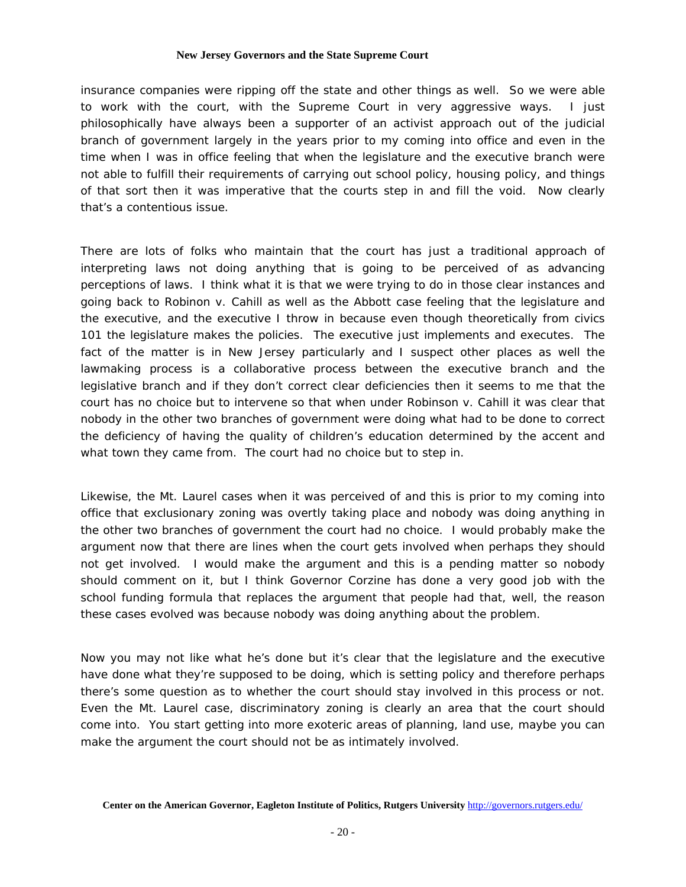insurance companies were ripping off the state and other things as well. So we were able to work with the court, with the Supreme Court in very aggressive ways. I just philosophically have always been a supporter of an activist approach out of the judicial branch of government largely in the years prior to my coming into office and even in the time when I was in office feeling that when the legislature and the executive branch were not able to fulfill their requirements of carrying out school policy, housing policy, and things of that sort then it was imperative that the courts step in and fill the void. Now clearly that's a contentious issue.

There are lots of folks who maintain that the court has just a traditional approach of interpreting laws not doing anything that is going to be perceived of as advancing perceptions of laws. I think what it is that we were trying to do in those clear instances and going back to Robinon v. Cahill as well as the Abbott case feeling that the legislature and the executive, and the executive I throw in because even though theoretically from civics 101 the legislature makes the policies. The executive just implements and executes. The fact of the matter is in New Jersey particularly and I suspect other places as well the lawmaking process is a collaborative process between the executive branch and the legislative branch and if they don't correct clear deficiencies then it seems to me that the court has no choice but to intervene so that when under Robinson v. Cahill it was clear that nobody in the other two branches of government were doing what had to be done to correct the deficiency of having the quality of children's education determined by the accent and what town they came from. The court had no choice but to step in.

Likewise, the Mt. Laurel cases when it was perceived of and this is prior to my coming into office that exclusionary zoning was overtly taking place and nobody was doing anything in the other two branches of government the court had no choice. I would probably make the argument now that there are lines when the court gets involved when perhaps they should not get involved. I would make the argument and this is a pending matter so nobody should comment on it, but I think Governor Corzine has done a very good job with the school funding formula that replaces the argument that people had that, well, the reason these cases evolved was because nobody was doing anything about the problem.

Now you may not like what he's done but it's clear that the legislature and the executive have done what they're supposed to be doing, which is setting policy and therefore perhaps there's some question as to whether the court should stay involved in this process or not. Even the Mt. Laurel case, discriminatory zoning is clearly an area that the court should come into. You start getting into more exoteric areas of planning, land use, maybe you can make the argument the court should not be as intimately involved.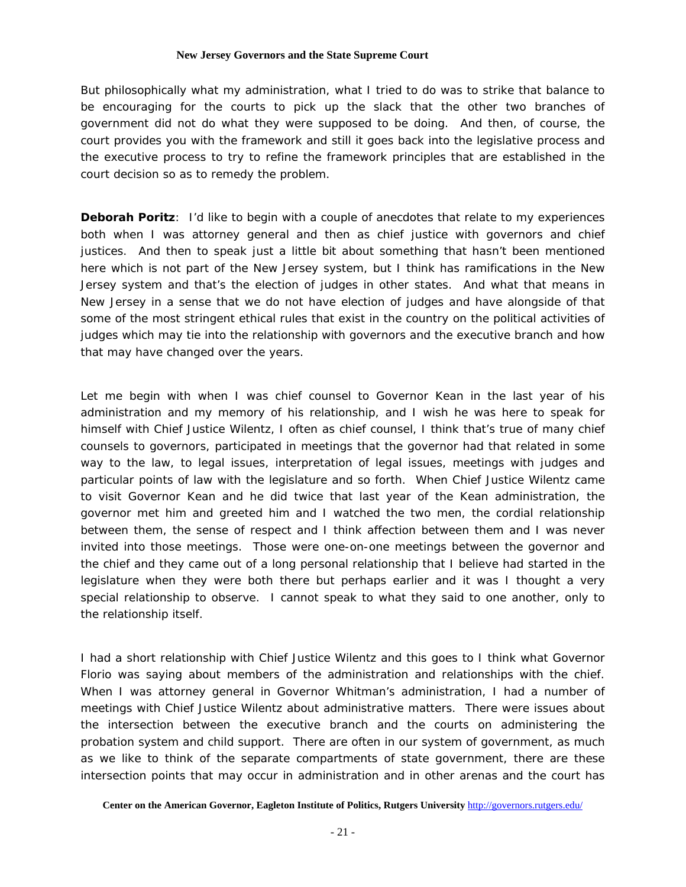But philosophically what my administration, what I tried to do was to strike that balance to be encouraging for the courts to pick up the slack that the other two branches of government did not do what they were supposed to be doing. And then, of course, the court provides you with the framework and still it goes back into the legislative process and the executive process to try to refine the framework principles that are established in the court decision so as to remedy the problem.

**Deborah Poritz**: I'd like to begin with a couple of anecdotes that relate to my experiences both when I was attorney general and then as chief justice with governors and chief justices. And then to speak just a little bit about something that hasn't been mentioned here which is not part of the New Jersey system, but I think has ramifications in the New Jersey system and that's the election of judges in other states. And what that means in New Jersey in a sense that we do not have election of judges and have alongside of that some of the most stringent ethical rules that exist in the country on the political activities of judges which may tie into the relationship with governors and the executive branch and how that may have changed over the years.

Let me begin with when I was chief counsel to Governor Kean in the last year of his administration and my memory of his relationship, and I wish he was here to speak for himself with Chief Justice Wilentz, I often as chief counsel, I think that's true of many chief counsels to governors, participated in meetings that the governor had that related in some way to the law, to legal issues, interpretation of legal issues, meetings with judges and particular points of law with the legislature and so forth. When Chief Justice Wilentz came to visit Governor Kean and he did twice that last year of the Kean administration, the governor met him and greeted him and I watched the two men, the cordial relationship between them, the sense of respect and I think affection between them and I was never invited into those meetings. Those were one-on-one meetings between the governor and the chief and they came out of a long personal relationship that I believe had started in the legislature when they were both there but perhaps earlier and it was I thought a very special relationship to observe. I cannot speak to what they said to one another, only to the relationship itself.

I had a short relationship with Chief Justice Wilentz and this goes to I think what Governor Florio was saying about members of the administration and relationships with the chief. When I was attorney general in Governor Whitman's administration, I had a number of meetings with Chief Justice Wilentz about administrative matters. There were issues about the intersection between the executive branch and the courts on administering the probation system and child support. There are often in our system of government, as much as we like to think of the separate compartments of state government, there are these intersection points that may occur in administration and in other arenas and the court has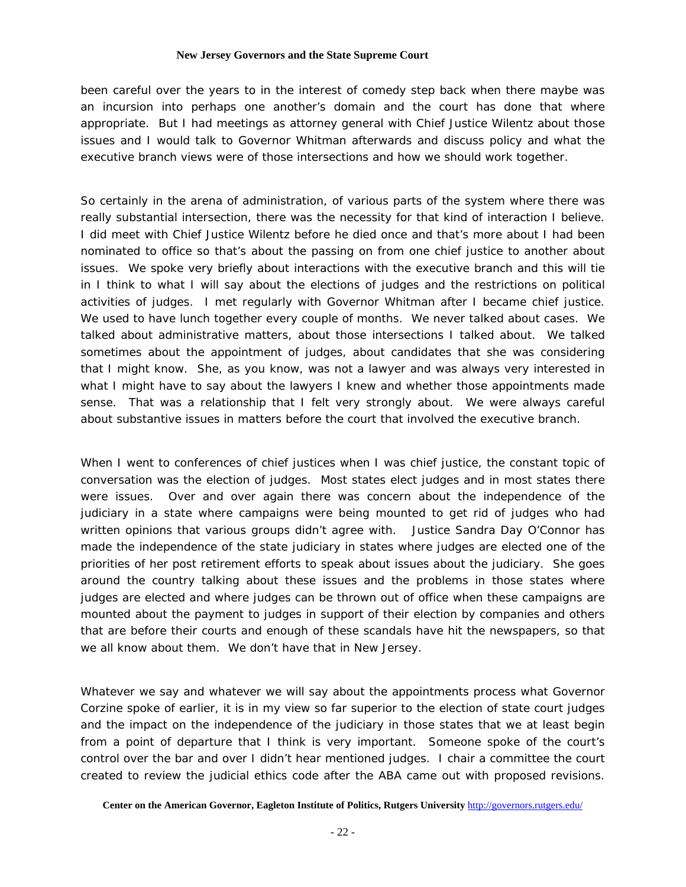been careful over the years to in the interest of comedy step back when there maybe was an incursion into perhaps one another's domain and the court has done that where appropriate. But I had meetings as attorney general with Chief Justice Wilentz about those issues and I would talk to Governor Whitman afterwards and discuss policy and what the executive branch views were of those intersections and how we should work together.

So certainly in the arena of administration, of various parts of the system where there was really substantial intersection, there was the necessity for that kind of interaction I believe. I did meet with Chief Justice Wilentz before he died once and that's more about I had been nominated to office so that's about the passing on from one chief justice to another about issues. We spoke very briefly about interactions with the executive branch and this will tie in I think to what I will say about the elections of judges and the restrictions on political activities of judges. I met regularly with Governor Whitman after I became chief justice. We used to have lunch together every couple of months. We never talked about cases. We talked about administrative matters, about those intersections I talked about. We talked sometimes about the appointment of judges, about candidates that she was considering that I might know. She, as you know, was not a lawyer and was always very interested in what I might have to say about the lawyers I knew and whether those appointments made sense. That was a relationship that I felt very strongly about. We were always careful about substantive issues in matters before the court that involved the executive branch.

When I went to conferences of chief justices when I was chief justice, the constant topic of conversation was the election of judges. Most states elect judges and in most states there were issues. Over and over again there was concern about the independence of the judiciary in a state where campaigns were being mounted to get rid of judges who had written opinions that various groups didn't agree with. Justice Sandra Day O'Connor has made the independence of the state judiciary in states where judges are elected one of the priorities of her post retirement efforts to speak about issues about the judiciary. She goes around the country talking about these issues and the problems in those states where judges are elected and where judges can be thrown out of office when these campaigns are mounted about the payment to judges in support of their election by companies and others that are before their courts and enough of these scandals have hit the newspapers, so that we all know about them. We don't have that in New Jersey.

Whatever we say and whatever we will say about the appointments process what Governor Corzine spoke of earlier, it is in my view so far superior to the election of state court judges and the impact on the independence of the judiciary in those states that we at least begin from a point of departure that I think is very important. Someone spoke of the court's control over the bar and over I didn't hear mentioned judges. I chair a committee the court created to review the judicial ethics code after the ABA came out with proposed revisions.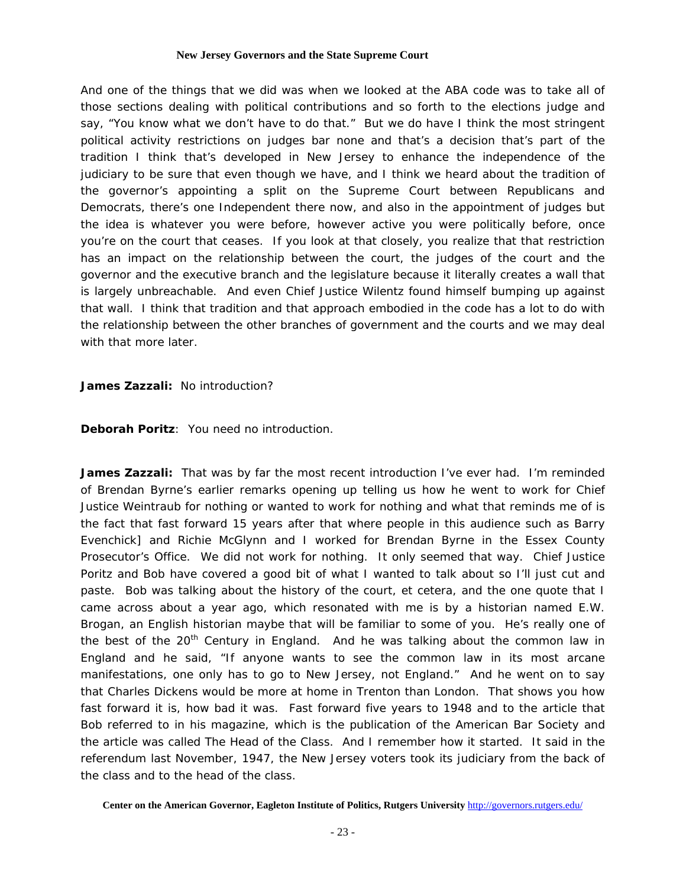And one of the things that we did was when we looked at the ABA code was to take all of those sections dealing with political contributions and so forth to the elections judge and say, "You know what we don't have to do that." But we do have I think the most stringent political activity restrictions on judges bar none and that's a decision that's part of the tradition I think that's developed in New Jersey to enhance the independence of the judiciary to be sure that even though we have, and I think we heard about the tradition of the governor's appointing a split on the Supreme Court between Republicans and Democrats, there's one Independent there now, and also in the appointment of judges but the idea is whatever you were before, however active you were politically before, once you're on the court that ceases. If you look at that closely, you realize that that restriction has an impact on the relationship between the court, the judges of the court and the governor and the executive branch and the legislature because it literally creates a wall that is largely unbreachable. And even Chief Justice Wilentz found himself bumping up against that wall. I think that tradition and that approach embodied in the code has a lot to do with the relationship between the other branches of government and the courts and we may deal with that more later.

**James Zazzali:** No introduction?

**Deborah Poritz**: You need no introduction.

**James Zazzali:** That was by far the most recent introduction I've ever had. I'm reminded of Brendan Byrne's earlier remarks opening up telling us how he went to work for Chief Justice Weintraub for nothing or wanted to work for nothing and what that reminds me of is the fact that fast forward 15 years after that where people in this audience such as Barry Evenchick] and Richie McGlynn and I worked for Brendan Byrne in the Essex County Prosecutor's Office. We did not work for nothing. It only seemed that way. Chief Justice Poritz and Bob have covered a good bit of what I wanted to talk about so I'll just cut and paste. Bob was talking about the history of the court, et cetera, and the one quote that I came across about a year ago, which resonated with me is by a historian named E.W. Brogan, an English historian maybe that will be familiar to some of you. He's really one of the best of the  $20<sup>th</sup>$  Century in England. And he was talking about the common law in England and he said, "If anyone wants to see the common law in its most arcane manifestations, one only has to go to New Jersey, not England." And he went on to say that Charles Dickens would be more at home in Trenton than London. That shows you how fast forward it is, how bad it was. Fast forward five years to 1948 and to the article that Bob referred to in his magazine, which is the publication of the American Bar Society and the article was called The Head of the Class. And I remember how it started. It said in the referendum last November, 1947, the New Jersey voters took its judiciary from the back of the class and to the head of the class.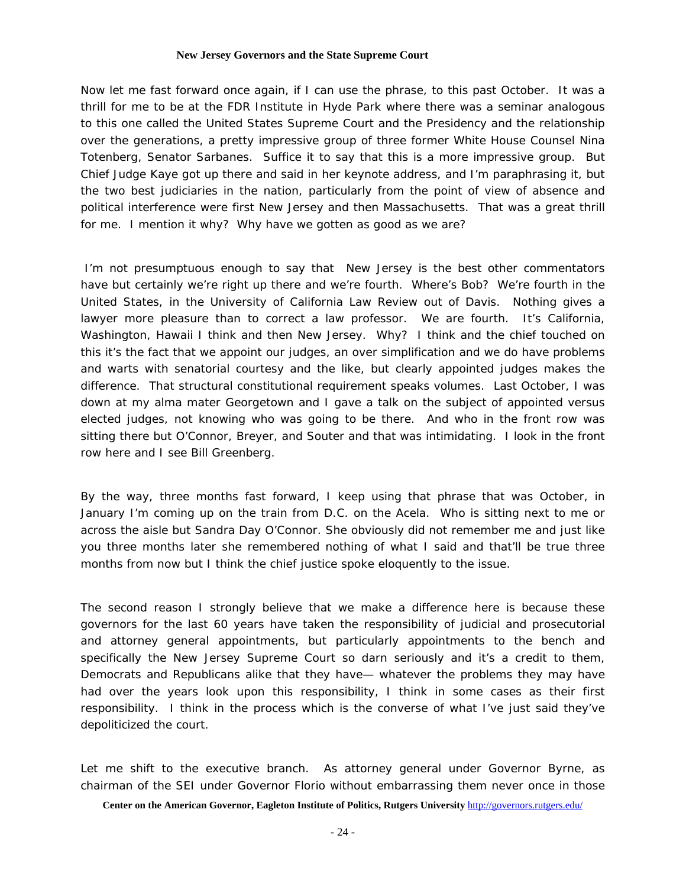Now let me fast forward once again, if I can use the phrase, to this past October. It was a thrill for me to be at the FDR Institute in Hyde Park where there was a seminar analogous to this one called the United States Supreme Court and the Presidency and the relationship over the generations, a pretty impressive group of three former White House Counsel Nina Totenberg, Senator Sarbanes. Suffice it to say that this is a more impressive group. But Chief Judge Kaye got up there and said in her keynote address, and I'm paraphrasing it, but the two best judiciaries in the nation, particularly from the point of view of absence and political interference were first New Jersey and then Massachusetts. That was a great thrill for me. I mention it why? Why have we gotten as good as we are?

 I'm not presumptuous enough to say that New Jersey is the best other commentators have but certainly we're right up there and we're fourth. Where's Bob? We're fourth in the United States, in the University of California Law Review out of Davis. Nothing gives a lawyer more pleasure than to correct a law professor. We are fourth. It's California, Washington, Hawaii I think and then New Jersey. Why? I think and the chief touched on this it's the fact that we appoint our judges, an over simplification and we do have problems and warts with senatorial courtesy and the like, but clearly appointed judges makes the difference. That structural constitutional requirement speaks volumes. Last October, I was down at my alma mater Georgetown and I gave a talk on the subject of appointed versus elected judges, not knowing who was going to be there. And who in the front row was sitting there but O'Connor, Breyer, and Souter and that was intimidating. I look in the front row here and I see Bill Greenberg.

By the way, three months fast forward, I keep using that phrase that was October, in January I'm coming up on the train from D.C. on the Acela. Who is sitting next to me or across the aisle but Sandra Day O'Connor. She obviously did not remember me and just like you three months later she remembered nothing of what I said and that'll be true three months from now but I think the chief justice spoke eloquently to the issue.

The second reason I strongly believe that we make a difference here is because these governors for the last 60 years have taken the responsibility of judicial and prosecutorial and attorney general appointments, but particularly appointments to the bench and specifically the New Jersey Supreme Court so darn seriously and it's a credit to them, Democrats and Republicans alike that they have— whatever the problems they may have had over the years look upon this responsibility, I think in some cases as their first responsibility. I think in the process which is the converse of what I've just said they've depoliticized the court.

Let me shift to the executive branch. As attorney general under Governor Byrne, as chairman of the SEI under Governor Florio without embarrassing them never once in those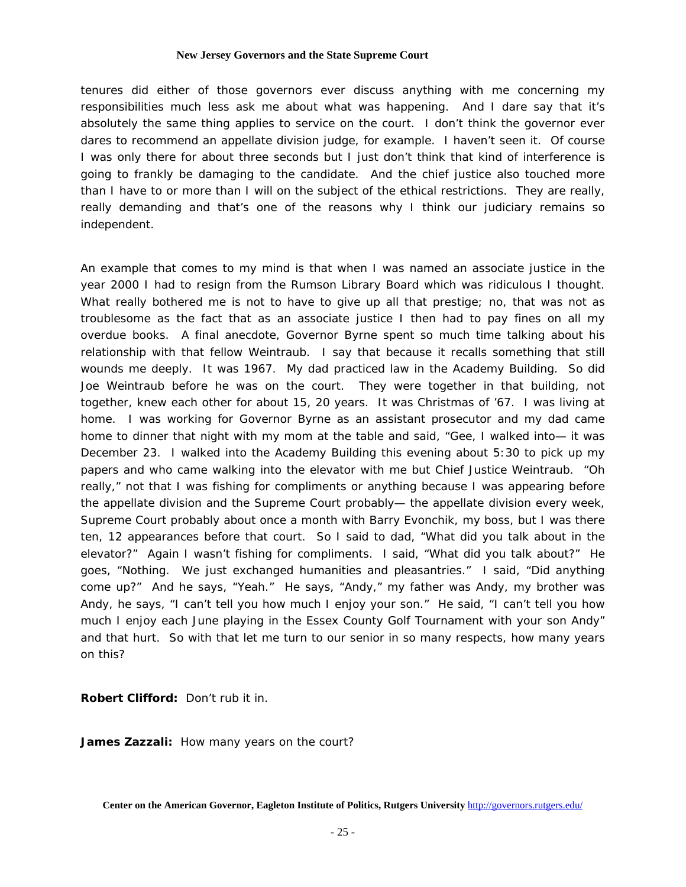tenures did either of those governors ever discuss anything with me concerning my responsibilities much less ask me about what was happening. And I dare say that it's absolutely the same thing applies to service on the court. I don't think the governor ever dares to recommend an appellate division judge, for example. I haven't seen it. Of course I was only there for about three seconds but I just don't think that kind of interference is going to frankly be damaging to the candidate. And the chief justice also touched more than I have to or more than I will on the subject of the ethical restrictions. They are really, really demanding and that's one of the reasons why I think our judiciary remains so independent.

An example that comes to my mind is that when I was named an associate justice in the year 2000 I had to resign from the Rumson Library Board which was ridiculous I thought. What really bothered me is not to have to give up all that prestige; no, that was not as troublesome as the fact that as an associate justice I then had to pay fines on all my overdue books. A final anecdote, Governor Byrne spent so much time talking about his relationship with that fellow Weintraub. I say that because it recalls something that still wounds me deeply. It was 1967. My dad practiced law in the Academy Building. So did Joe Weintraub before he was on the court. They were together in that building, not together, knew each other for about 15, 20 years. It was Christmas of '67. I was living at home. I was working for Governor Byrne as an assistant prosecutor and my dad came home to dinner that night with my mom at the table and said, "Gee, I walked into— it was December 23. I walked into the Academy Building this evening about 5:30 to pick up my papers and who came walking into the elevator with me but Chief Justice Weintraub. "Oh really," not that I was fishing for compliments or anything because I was appearing before the appellate division and the Supreme Court probably— the appellate division every week, Supreme Court probably about once a month with Barry Evonchik, my boss, but I was there ten, 12 appearances before that court. So I said to dad, "What did you talk about in the elevator?" Again I wasn't fishing for compliments. I said, "What did you talk about?" He goes, "Nothing. We just exchanged humanities and pleasantries." I said, "Did anything come up?" And he says, "Yeah." He says, "Andy," my father was Andy, my brother was Andy, he says, "I can't tell you how much I enjoy your son." He said, "I can't tell you how much I enjoy each June playing in the Essex County Golf Tournament with your son Andy" and that hurt. So with that let me turn to our senior in so many respects, how many years on this?

**Robert Clifford:** Don't rub it in.

**James Zazzali:** How many years on the court?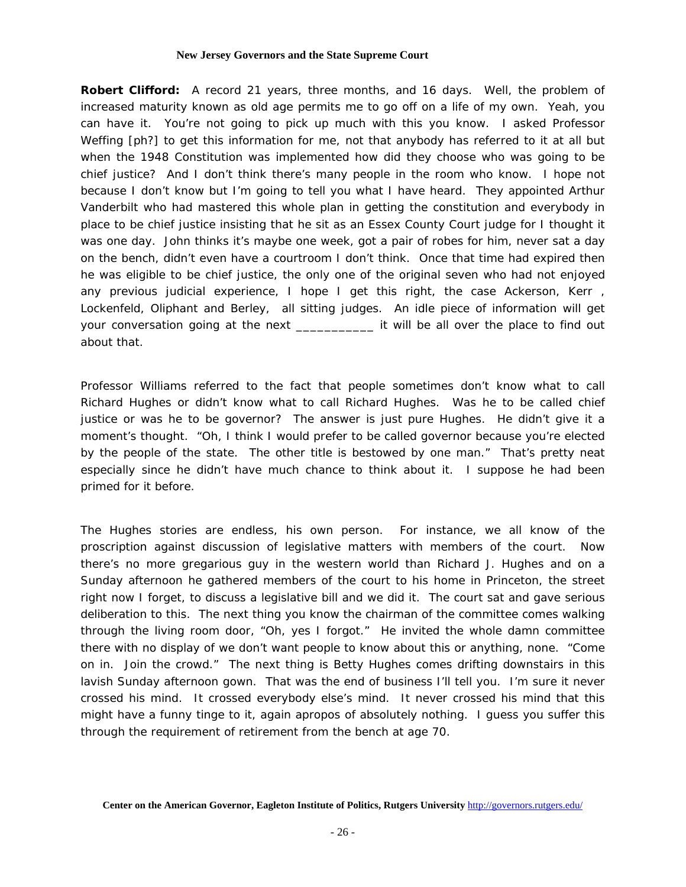**Robert Clifford:** A record 21 years, three months, and 16 days. Well, the problem of increased maturity known as old age permits me to go off on a life of my own. Yeah, you can have it. You're not going to pick up much with this you know. I asked Professor Weffing [ph?] to get this information for me, not that anybody has referred to it at all but when the 1948 Constitution was implemented how did they choose who was going to be chief justice? And I don't think there's many people in the room who know. I hope not because I don't know but I'm going to tell you what I have heard. They appointed Arthur Vanderbilt who had mastered this whole plan in getting the constitution and everybody in place to be chief justice insisting that he sit as an Essex County Court judge for I thought it was one day. John thinks it's maybe one week, got a pair of robes for him, never sat a day on the bench, didn't even have a courtroom I don't think. Once that time had expired then he was eligible to be chief justice, the only one of the original seven who had not enjoyed any previous judicial experience, I hope I get this right, the case Ackerson, Kerr , Lockenfeld, Oliphant and Berley, all sitting judges. An idle piece of information will get your conversation going at the next \_\_\_\_\_\_\_\_\_\_\_\_\_ it will be all over the place to find out about that.

Professor Williams referred to the fact that people sometimes don't know what to call Richard Hughes or didn't know what to call Richard Hughes. Was he to be called chief justice or was he to be governor? The answer is just pure Hughes. He didn't give it a moment's thought. "Oh, I think I would prefer to be called governor because you're elected by the people of the state. The other title is bestowed by one man." That's pretty neat especially since he didn't have much chance to think about it. I suppose he had been primed for it before.

The Hughes stories are endless, his own person. For instance, we all know of the proscription against discussion of legislative matters with members of the court. Now there's no more gregarious guy in the western world than Richard J. Hughes and on a Sunday afternoon he gathered members of the court to his home in Princeton, the street right now I forget, to discuss a legislative bill and we did it. The court sat and gave serious deliberation to this. The next thing you know the chairman of the committee comes walking through the living room door, "Oh, yes I forgot." He invited the whole damn committee there with no display of we don't want people to know about this or anything, none. "Come on in. Join the crowd." The next thing is Betty Hughes comes drifting downstairs in this lavish Sunday afternoon gown. That was the end of business I'll tell you. I'm sure it never crossed his mind. It crossed everybody else's mind. It never crossed his mind that this might have a funny tinge to it, again apropos of absolutely nothing. I guess you suffer this through the requirement of retirement from the bench at age 70.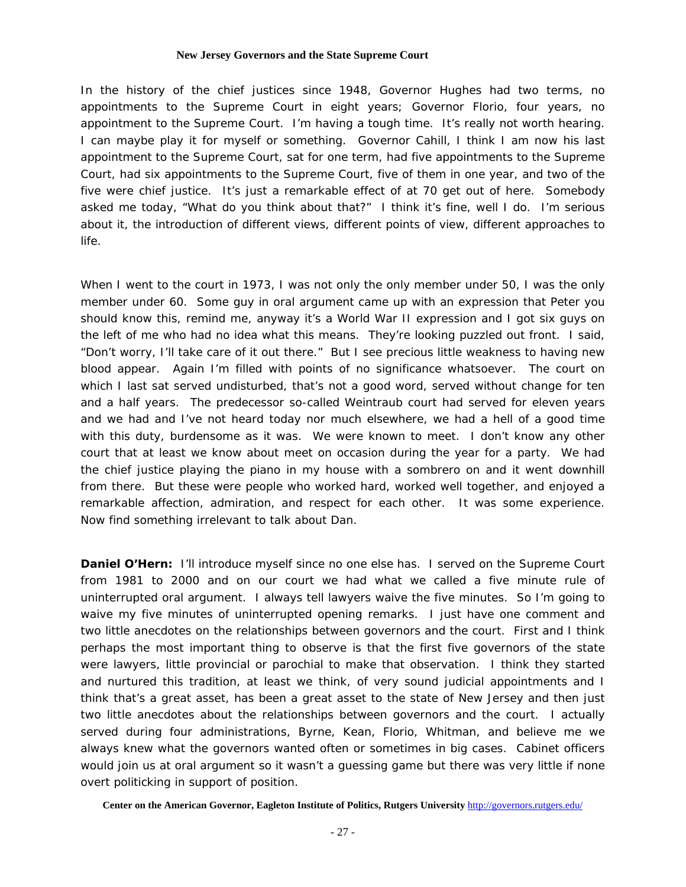In the history of the chief justices since 1948, Governor Hughes had two terms, no appointments to the Supreme Court in eight years; Governor Florio, four years, no appointment to the Supreme Court. I'm having a tough time. It's really not worth hearing. I can maybe play it for myself or something. Governor Cahill, I think I am now his last appointment to the Supreme Court, sat for one term, had five appointments to the Supreme Court, had six appointments to the Supreme Court, five of them in one year, and two of the five were chief justice. It's just a remarkable effect of at 70 get out of here. Somebody asked me today, "What do you think about that?" I think it's fine, well I do. I'm serious about it, the introduction of different views, different points of view, different approaches to life.

When I went to the court in 1973, I was not only the only member under 50, I was the only member under 60. Some guy in oral argument came up with an expression that Peter you should know this, remind me, anyway it's a World War II expression and I got six guys on the left of me who had no idea what this means. They're looking puzzled out front. I said, "Don't worry, I'll take care of it out there." But I see precious little weakness to having new blood appear. Again I'm filled with points of no significance whatsoever. The court on which I last sat served undisturbed, that's not a good word, served without change for ten and a half years. The predecessor so-called Weintraub court had served for eleven years and we had and I've not heard today nor much elsewhere, we had a hell of a good time with this duty, burdensome as it was. We were known to meet. I don't know any other court that at least we know about meet on occasion during the year for a party. We had the chief justice playing the piano in my house with a sombrero on and it went downhill from there. But these were people who worked hard, worked well together, and enjoyed a remarkable affection, admiration, and respect for each other. It was some experience. Now find something irrelevant to talk about Dan.

**Daniel O'Hern:** I'll introduce myself since no one else has. I served on the Supreme Court from 1981 to 2000 and on our court we had what we called a five minute rule of uninterrupted oral argument. I always tell lawyers waive the five minutes. So I'm going to waive my five minutes of uninterrupted opening remarks. I just have one comment and two little anecdotes on the relationships between governors and the court. First and I think perhaps the most important thing to observe is that the first five governors of the state were lawyers, little provincial or parochial to make that observation. I think they started and nurtured this tradition, at least we think, of very sound judicial appointments and I think that's a great asset, has been a great asset to the state of New Jersey and then just two little anecdotes about the relationships between governors and the court. I actually served during four administrations, Byrne, Kean, Florio, Whitman, and believe me we always knew what the governors wanted often or sometimes in big cases. Cabinet officers would join us at oral argument so it wasn't a guessing game but there was very little if none overt politicking in support of position.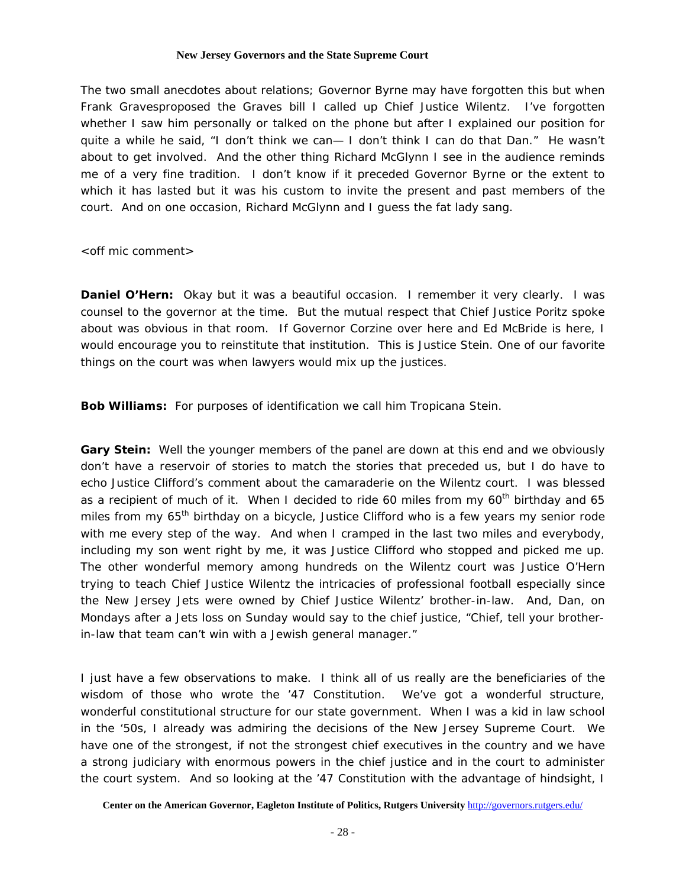The two small anecdotes about relations; Governor Byrne may have forgotten this but when Frank Gravesproposed the Graves bill I called up Chief Justice Wilentz. I've forgotten whether I saw him personally or talked on the phone but after I explained our position for quite a while he said, "I don't think we can— I don't think I can do that Dan." He wasn't about to get involved. And the other thing Richard McGlynn I see in the audience reminds me of a very fine tradition. I don't know if it preceded Governor Byrne or the extent to which it has lasted but it was his custom to invite the present and past members of the court. And on one occasion, Richard McGlynn and I guess the fat lady sang.

<off mic comment>

**Daniel O'Hern:** Okay but it was a beautiful occasion. I remember it very clearly. I was counsel to the governor at the time. But the mutual respect that Chief Justice Poritz spoke about was obvious in that room. If Governor Corzine over here and Ed McBride is here, I would encourage you to reinstitute that institution. This is Justice Stein. One of our favorite things on the court was when lawyers would mix up the justices.

**Bob Williams:** For purposes of identification we call him Tropicana Stein.

**Gary Stein:** Well the younger members of the panel are down at this end and we obviously don't have a reservoir of stories to match the stories that preceded us, but I do have to echo Justice Clifford's comment about the camaraderie on the Wilentz court. I was blessed as a recipient of much of it. When I decided to ride 60 miles from my  $60<sup>th</sup>$  birthday and 65 miles from my  $65<sup>th</sup>$  birthday on a bicycle, Justice Clifford who is a few years my senior rode with me every step of the way. And when I cramped in the last two miles and everybody, including my son went right by me, it was Justice Clifford who stopped and picked me up. The other wonderful memory among hundreds on the Wilentz court was Justice O'Hern trying to teach Chief Justice Wilentz the intricacies of professional football especially since the New Jersey Jets were owned by Chief Justice Wilentz' brother-in-law. And, Dan, on Mondays after a Jets loss on Sunday would say to the chief justice, "Chief, tell your brotherin-law that team can't win with a Jewish general manager."

I just have a few observations to make. I think all of us really are the beneficiaries of the wisdom of those who wrote the '47 Constitution. We've got a wonderful structure, wonderful constitutional structure for our state government. When I was a kid in law school in the '50s, I already was admiring the decisions of the New Jersey Supreme Court. We have one of the strongest, if not the strongest chief executives in the country and we have a strong judiciary with enormous powers in the chief justice and in the court to administer the court system. And so looking at the '47 Constitution with the advantage of hindsight, I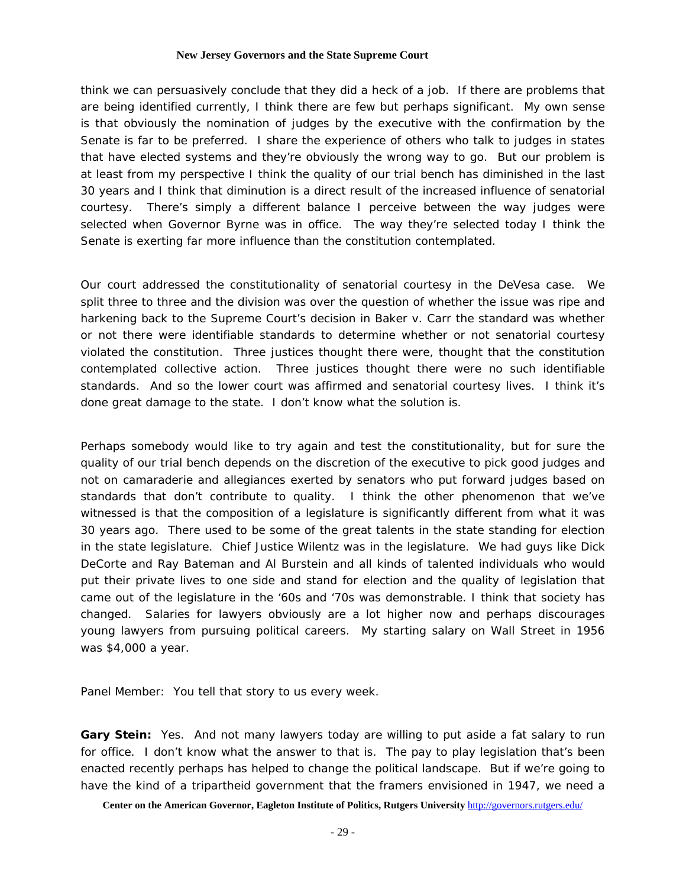think we can persuasively conclude that they did a heck of a job. If there are problems that are being identified currently, I think there are few but perhaps significant. My own sense is that obviously the nomination of judges by the executive with the confirmation by the Senate is far to be preferred. I share the experience of others who talk to judges in states that have elected systems and they're obviously the wrong way to go. But our problem is at least from my perspective I think the quality of our trial bench has diminished in the last 30 years and I think that diminution is a direct result of the increased influence of senatorial courtesy. There's simply a different balance I perceive between the way judges were selected when Governor Byrne was in office. The way they're selected today I think the Senate is exerting far more influence than the constitution contemplated.

Our court addressed the constitutionality of senatorial courtesy in the DeVesa case. We split three to three and the division was over the question of whether the issue was ripe and harkening back to the Supreme Court's decision in Baker v. Carr the standard was whether or not there were identifiable standards to determine whether or not senatorial courtesy violated the constitution. Three justices thought there were, thought that the constitution contemplated collective action. Three justices thought there were no such identifiable standards. And so the lower court was affirmed and senatorial courtesy lives. I think it's done great damage to the state. I don't know what the solution is.

Perhaps somebody would like to try again and test the constitutionality, but for sure the quality of our trial bench depends on the discretion of the executive to pick good judges and not on camaraderie and allegiances exerted by senators who put forward judges based on standards that don't contribute to quality. I think the other phenomenon that we've witnessed is that the composition of a legislature is significantly different from what it was 30 years ago. There used to be some of the great talents in the state standing for election in the state legislature. Chief Justice Wilentz was in the legislature. We had guys like Dick DeCorte and Ray Bateman and Al Burstein and all kinds of talented individuals who would put their private lives to one side and stand for election and the quality of legislation that came out of the legislature in the '60s and '70s was demonstrable. I think that society has changed. Salaries for lawyers obviously are a lot higher now and perhaps discourages young lawyers from pursuing political careers. My starting salary on Wall Street in 1956 was \$4,000 a year.

Panel Member: You tell that story to us every week.

**Gary Stein:** Yes. And not many lawyers today are willing to put aside a fat salary to run for office. I don't know what the answer to that is. The pay to play legislation that's been enacted recently perhaps has helped to change the political landscape. But if we're going to have the kind of a tripartheid government that the framers envisioned in 1947, we need a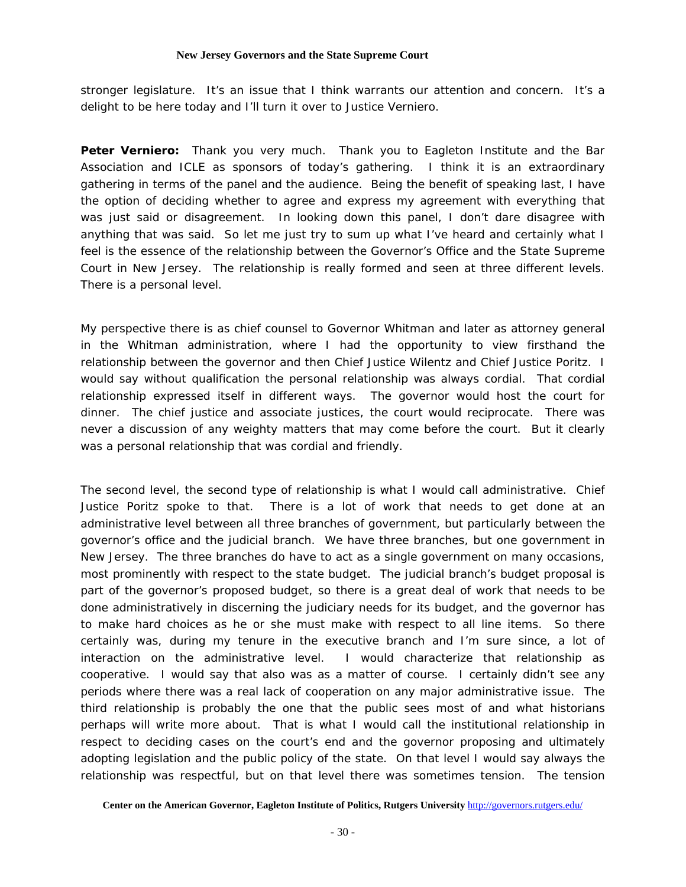stronger legislature. It's an issue that I think warrants our attention and concern. It's a delight to be here today and I'll turn it over to Justice Verniero.

**Peter Verniero:** Thank you very much. Thank you to Eagleton Institute and the Bar Association and ICLE as sponsors of today's gathering. I think it is an extraordinary gathering in terms of the panel and the audience. Being the benefit of speaking last, I have the option of deciding whether to agree and express my agreement with everything that was just said or disagreement. In looking down this panel, I don't dare disagree with anything that was said. So let me just try to sum up what I've heard and certainly what I feel is the essence of the relationship between the Governor's Office and the State Supreme Court in New Jersey. The relationship is really formed and seen at three different levels. There is a personal level.

My perspective there is as chief counsel to Governor Whitman and later as attorney general in the Whitman administration, where I had the opportunity to view firsthand the relationship between the governor and then Chief Justice Wilentz and Chief Justice Poritz. I would say without qualification the personal relationship was always cordial. That cordial relationship expressed itself in different ways. The governor would host the court for dinner. The chief justice and associate justices, the court would reciprocate. There was never a discussion of any weighty matters that may come before the court. But it clearly was a personal relationship that was cordial and friendly.

The second level, the second type of relationship is what I would call administrative. Chief Justice Poritz spoke to that. There is a lot of work that needs to get done at an administrative level between all three branches of government, but particularly between the governor's office and the judicial branch. We have three branches, but one government in New Jersey. The three branches do have to act as a single government on many occasions, most prominently with respect to the state budget. The judicial branch's budget proposal is part of the governor's proposed budget, so there is a great deal of work that needs to be done administratively in discerning the judiciary needs for its budget, and the governor has to make hard choices as he or she must make with respect to all line items. So there certainly was, during my tenure in the executive branch and I'm sure since, a lot of interaction on the administrative level. I would characterize that relationship as cooperative. I would say that also was as a matter of course. I certainly didn't see any periods where there was a real lack of cooperation on any major administrative issue. The third relationship is probably the one that the public sees most of and what historians perhaps will write more about. That is what I would call the institutional relationship in respect to deciding cases on the court's end and the governor proposing and ultimately adopting legislation and the public policy of the state. On that level I would say always the relationship was respectful, but on that level there was sometimes tension. The tension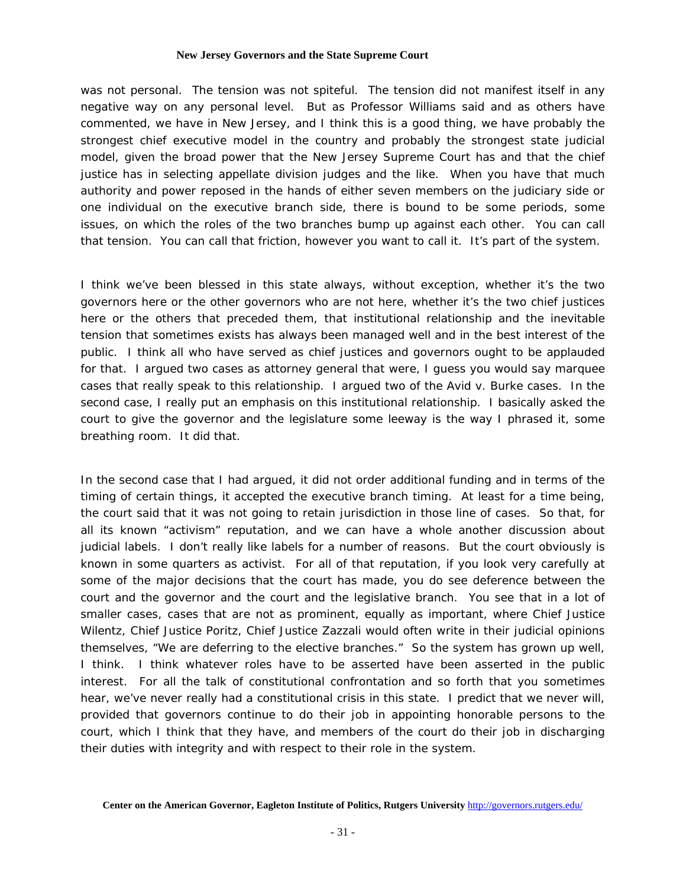was not personal. The tension was not spiteful. The tension did not manifest itself in any negative way on any personal level. But as Professor Williams said and as others have commented, we have in New Jersey, and I think this is a good thing, we have probably the strongest chief executive model in the country and probably the strongest state judicial model, given the broad power that the New Jersey Supreme Court has and that the chief justice has in selecting appellate division judges and the like. When you have that much authority and power reposed in the hands of either seven members on the judiciary side or one individual on the executive branch side, there is bound to be some periods, some issues, on which the roles of the two branches bump up against each other. You can call that tension. You can call that friction, however you want to call it. It's part of the system.

I think we've been blessed in this state always, without exception, whether it's the two governors here or the other governors who are not here, whether it's the two chief justices here or the others that preceded them, that institutional relationship and the inevitable tension that sometimes exists has always been managed well and in the best interest of the public. I think all who have served as chief justices and governors ought to be applauded for that. I argued two cases as attorney general that were, I guess you would say marquee cases that really speak to this relationship. I argued two of the *Avid v. Burke* cases. In the second case, I really put an emphasis on this institutional relationship. I basically asked the court to give the governor and the legislature some leeway is the way I phrased it, some breathing room. It did that.

In the second case that I had argued, it did not order additional funding and in terms of the timing of certain things, it accepted the executive branch timing. At least for a time being, the court said that it was not going to retain jurisdiction in those line of cases. So that, for all its known "activism" reputation, and we can have a whole another discussion about judicial labels. I don't really like labels for a number of reasons. But the court obviously is known in some quarters as activist. For all of that reputation, if you look very carefully at some of the major decisions that the court has made, you do see deference between the court and the governor and the court and the legislative branch. You see that in a lot of smaller cases, cases that are not as prominent, equally as important, where Chief Justice Wilentz, Chief Justice Poritz, Chief Justice Zazzali would often write in their judicial opinions themselves, "We are deferring to the elective branches." So the system has grown up well, I think. I think whatever roles have to be asserted have been asserted in the public interest. For all the talk of constitutional confrontation and so forth that you sometimes hear, we've never really had a constitutional crisis in this state. I predict that we never will, provided that governors continue to do their job in appointing honorable persons to the court, which I think that they have, and members of the court do their job in discharging their duties with integrity and with respect to their role in the system.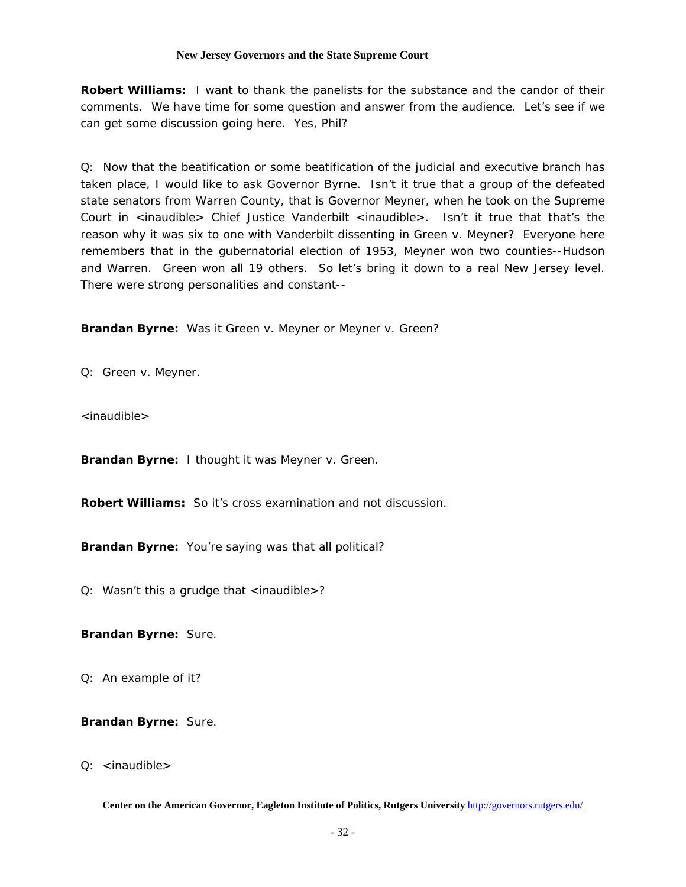**Robert Williams:** I want to thank the panelists for the substance and the candor of their comments. We have time for some question and answer from the audience. Let's see if we can get some discussion going here. Yes, Phil?

Q: Now that the beatification or some beatification of the judicial and executive branch has taken place, I would like to ask Governor Byrne. Isn't it true that a group of the defeated state senators from Warren County, that is Governor Meyner, when he took on the Supreme Court in  $\le$ inaudible> Chief Justice Vanderbilt  $\le$ inaudible>. Isn't it true that that's the reason why it was six to one with Vanderbilt dissenting in *Green v. Meyner*? Everyone here remembers that in the gubernatorial election of 1953, Meyner won two counties--Hudson and Warren. Green won all 19 others. So let's bring it down to a real New Jersey level. There were strong personalities and constant--

**Brandan Byrne:** Was it *Green v. Meyner* or *Meyner v. Green*?

Q: *Green v. Meyner.*

<inaudible>

**Brandan Byrne:** I thought it was *Meyner v. Green.*

**Robert Williams:** So it's cross examination and not discussion.

**Brandan Byrne:** You're saying was that all political?

Q: Wasn't this a grudge that <inaudible>?

**Brandan Byrne:** Sure.

Q: An example of it?

**Brandan Byrne:** Sure.

Q: <inaudible>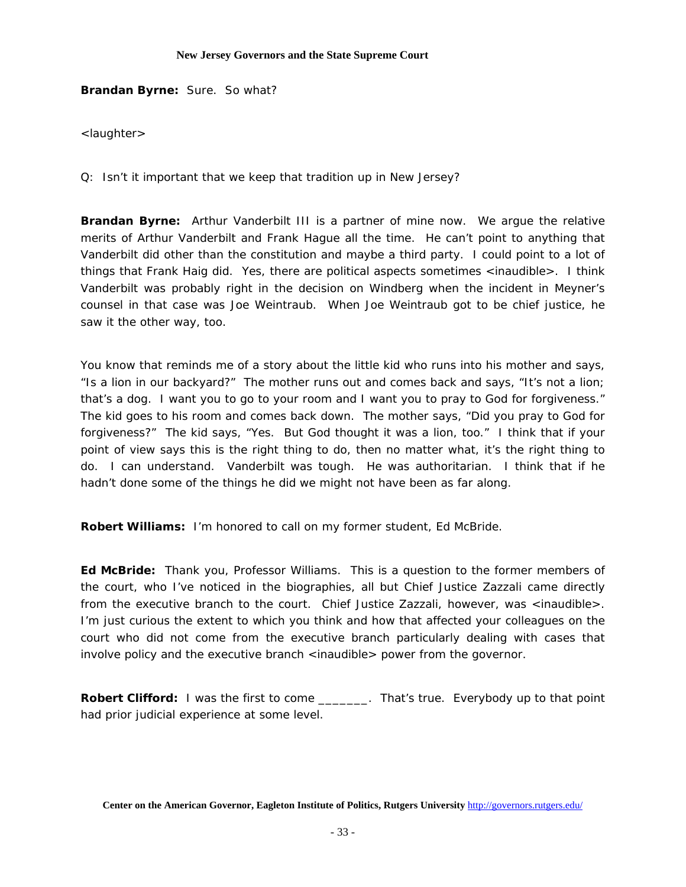**Brandan Byrne:** Sure. So what?

<laughter>

Q: Isn't it important that we keep that tradition up in New Jersey?

**Brandan Byrne:** Arthur Vanderbilt III is a partner of mine now. We argue the relative merits of Arthur Vanderbilt and Frank Hague all the time. He can't point to anything that Vanderbilt did other than the constitution and maybe a third party. I could point to a lot of things that Frank Haig did. Yes, there are political aspects sometimes <inaudible>. I think Vanderbilt was probably right in the decision on Windberg when the incident in Meyner's counsel in that case was Joe Weintraub. When Joe Weintraub got to be chief justice, he saw it the other way, too.

You know that reminds me of a story about the little kid who runs into his mother and says, "Is a lion in our backyard?" The mother runs out and comes back and says, "It's not a lion; that's a dog. I want you to go to your room and I want you to pray to God for forgiveness." The kid goes to his room and comes back down. The mother says, "Did you pray to God for forgiveness?" The kid says, "Yes. But God thought it was a lion, too." I think that if your point of view says this is the right thing to do, then no matter what, it's the right thing to do. I can understand. Vanderbilt was tough. He was authoritarian. I think that if he hadn't done some of the things he did we might not have been as far along.

**Robert Williams:** I'm honored to call on my former student, Ed McBride.

**Ed McBride:** Thank you, Professor Williams. This is a question to the former members of the court, who I've noticed in the biographies, all but Chief Justice Zazzali came directly from the executive branch to the court. Chief Justice Zazzali, however, was <inaudible>. I'm just curious the extent to which you think and how that affected your colleagues on the court who did not come from the executive branch particularly dealing with cases that involve policy and the executive branch <inaudible> power from the governor.

**Robert Clifford:** I was the first to come \_\_\_\_\_\_\_. That's true. Everybody up to that point had prior judicial experience at some level.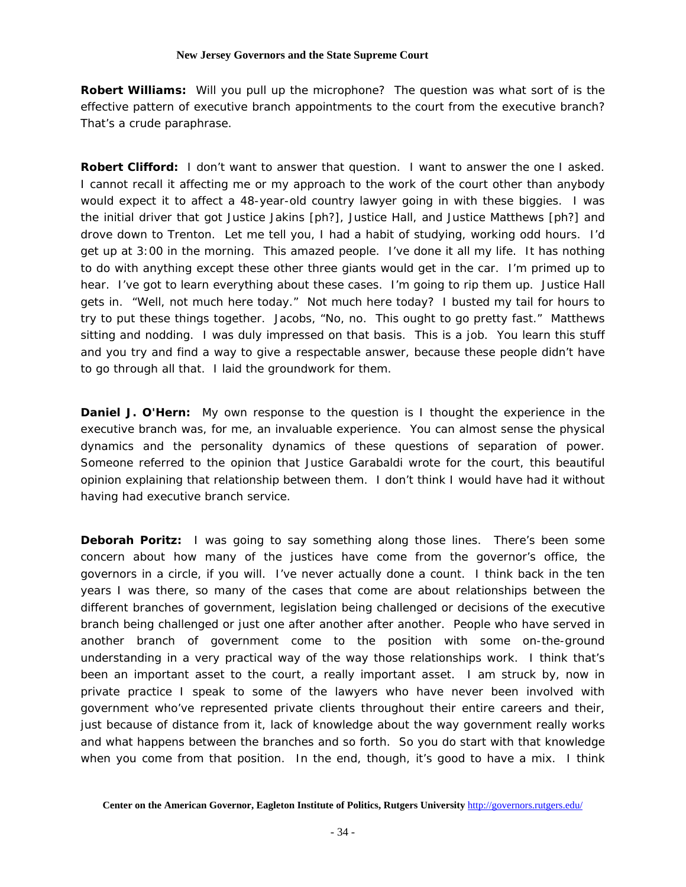**Robert Williams:** Will you pull up the microphone? The question was what sort of is the effective pattern of executive branch appointments to the court from the executive branch? That's a crude paraphrase.

**Robert Clifford:** I don't want to answer that question. I want to answer the one I asked. I cannot recall it affecting me or my approach to the work of the court other than anybody would expect it to affect a 48-year-old country lawyer going in with these biggies. I was the initial driver that got Justice Jakins [ph?], Justice Hall, and Justice Matthews [ph?] and drove down to Trenton. Let me tell you, I had a habit of studying, working odd hours. I'd get up at 3:00 in the morning. This amazed people. I've done it all my life. It has nothing to do with anything except these other three giants would get in the car. I'm primed up to hear. I've got to learn everything about these cases. I'm going to rip them up. Justice Hall gets in. "Well, not much here today." Not much here today? I busted my tail for hours to try to put these things together. Jacobs, "No, no. This ought to go pretty fast." Matthews sitting and nodding. I was duly impressed on that basis. This is a job. You learn this stuff and you try and find a way to give a respectable answer, because these people didn't have to go through all that. I laid the groundwork for them.

**Daniel J. O'Hern:** My own response to the question is I thought the experience in the executive branch was, for me, an invaluable experience. You can almost sense the physical dynamics and the personality dynamics of these questions of separation of power. Someone referred to the opinion that Justice Garabaldi wrote for the court, this beautiful opinion explaining that relationship between them. I don't think I would have had it without having had executive branch service.

**Deborah Poritz:** I was going to say something along those lines. There's been some concern about how many of the justices have come from the governor's office, the governors in a circle, if you will. I've never actually done a count. I think back in the ten years I was there, so many of the cases that come are about relationships between the different branches of government, legislation being challenged or decisions of the executive branch being challenged or just one after another after another. People who have served in another branch of government come to the position with some on-the-ground understanding in a very practical way of the way those relationships work. I think that's been an important asset to the court, a really important asset. I am struck by, now in private practice I speak to some of the lawyers who have never been involved with government who've represented private clients throughout their entire careers and their, just because of distance from it, lack of knowledge about the way government really works and what happens between the branches and so forth. So you do start with that knowledge when you come from that position. In the end, though, it's good to have a mix. I think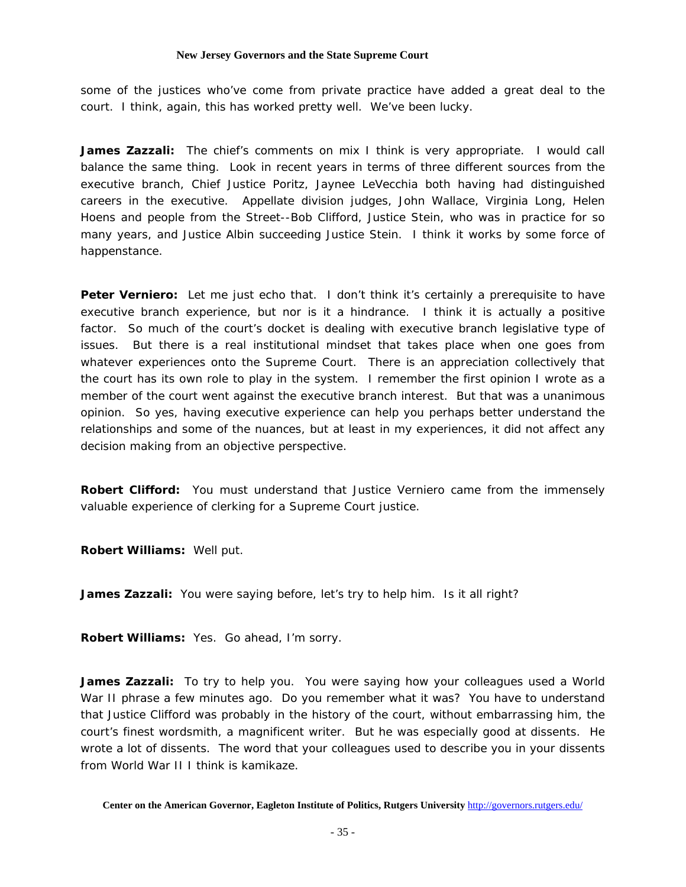some of the justices who've come from private practice have added a great deal to the court. I think, again, this has worked pretty well. We've been lucky.

**James Zazzali:** The chief's comments on mix I think is very appropriate. I would call balance the same thing. Look in recent years in terms of three different sources from the executive branch, Chief Justice Poritz, Jaynee LeVecchia both having had distinguished careers in the executive. Appellate division judges, John Wallace, Virginia Long, Helen Hoens and people from the Street--Bob Clifford, Justice Stein, who was in practice for so many years, and Justice Albin succeeding Justice Stein. I think it works by some force of happenstance.

Peter Verniero: Let me just echo that. I don't think it's certainly a prerequisite to have executive branch experience, but nor is it a hindrance. I think it is actually a positive factor. So much of the court's docket is dealing with executive branch legislative type of issues. But there is a real institutional mindset that takes place when one goes from whatever experiences onto the Supreme Court. There is an appreciation collectively that the court has its own role to play in the system. I remember the first opinion I wrote as a member of the court went against the executive branch interest. But that was a unanimous opinion. So yes, having executive experience can help you perhaps better understand the relationships and some of the nuances, but at least in my experiences, it did not affect any decision making from an objective perspective.

**Robert Clifford:** You must understand that Justice Verniero came from the immensely valuable experience of clerking for a Supreme Court justice.

**Robert Williams:** Well put.

**James Zazzali:** You were saying before, let's try to help him. Is it all right?

**Robert Williams:** Yes. Go ahead, I'm sorry.

**James Zazzali:** To try to help you. You were saying how your colleagues used a World War II phrase a few minutes ago. Do you remember what it was? You have to understand that Justice Clifford was probably in the history of the court, without embarrassing him, the court's finest wordsmith, a magnificent writer. But he was especially good at dissents. He wrote a lot of dissents. The word that your colleagues used to describe you in your dissents from World War II I think is kamikaze.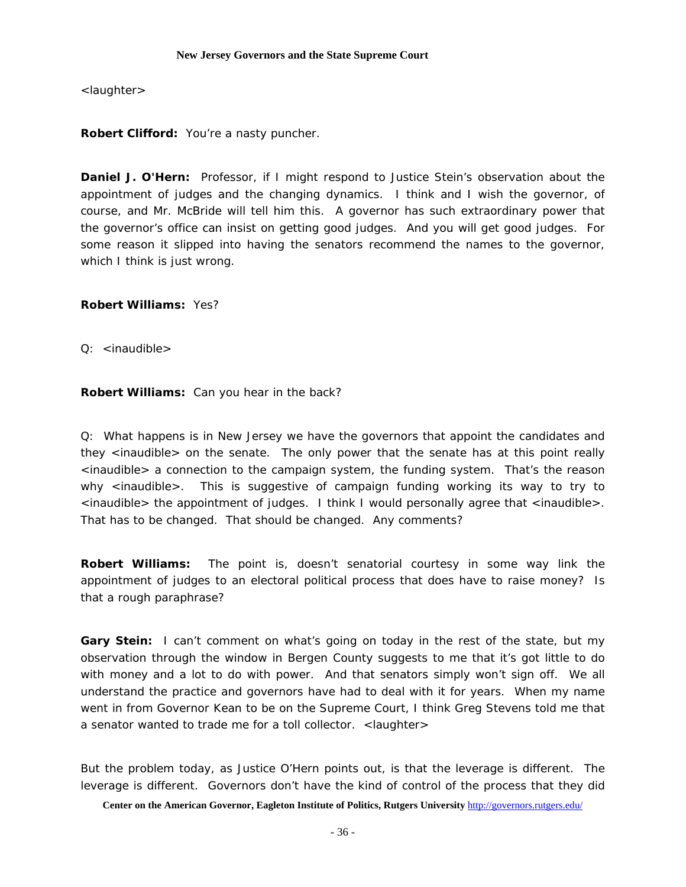<laughter>

**Robert Clifford:** You're a nasty puncher.

**Daniel J. O'Hern:** Professor, if I might respond to Justice Stein's observation about the appointment of judges and the changing dynamics. I think and I wish the governor, of course, and Mr. McBride will tell him this. A governor has such extraordinary power that the governor's office can insist on getting good judges. And you will get good judges. For some reason it slipped into having the senators recommend the names to the governor, which I think is just wrong.

**Robert Williams:** Yes?

Q: <inaudible>

**Robert Williams:** Can you hear in the back?

Q: What happens is in New Jersey we have the governors that appoint the candidates and they <inaudible> on the senate. The only power that the senate has at this point really <inaudible> a connection to the campaign system, the funding system. That's the reason why <inaudible>. This is suggestive of campaign funding working its way to try to <inaudible> the appointment of judges. I think I would personally agree that <inaudible>. That has to be changed. That should be changed. Any comments?

**Robert Williams:** The point is, doesn't senatorial courtesy in some way link the appointment of judges to an electoral political process that does have to raise money? Is that a rough paraphrase?

**Gary Stein:** I can't comment on what's going on today in the rest of the state, but my observation through the window in Bergen County suggests to me that it's got little to do with money and a lot to do with power. And that senators simply won't sign off. We all understand the practice and governors have had to deal with it for years. When my name went in from Governor Kean to be on the Supreme Court, I think Greg Stevens told me that a senator wanted to trade me for a toll collector. <laughter>

But the problem today, as Justice O'Hern points out, is that the leverage is different. The leverage is different. Governors don't have the kind of control of the process that they did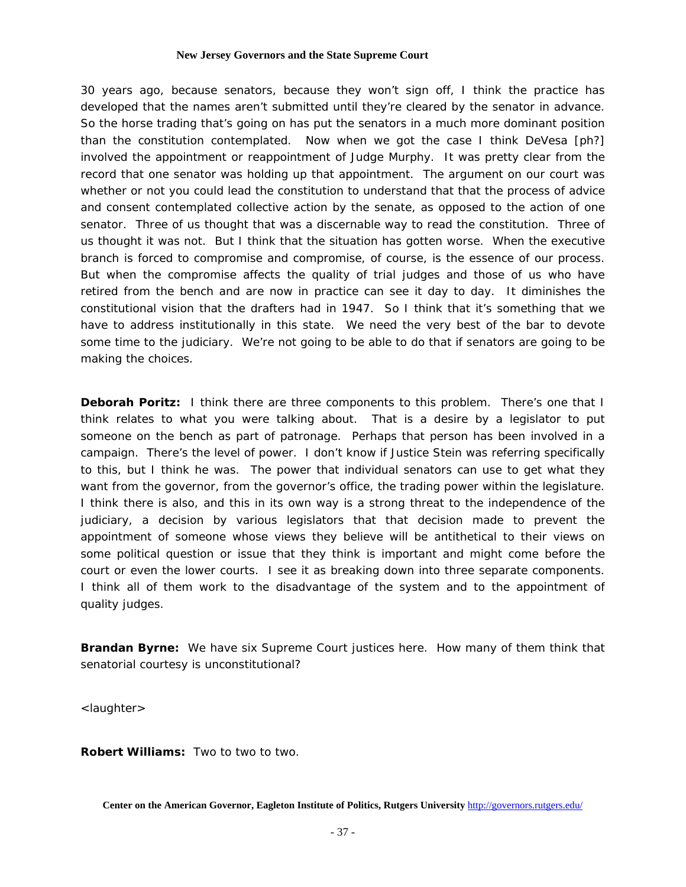30 years ago, because senators, because they won't sign off, I think the practice has developed that the names aren't submitted until they're cleared by the senator in advance. So the horse trading that's going on has put the senators in a much more dominant position than the constitution contemplated. Now when we got the case I think DeVesa [ph?] involved the appointment or reappointment of Judge Murphy. It was pretty clear from the record that one senator was holding up that appointment. The argument on our court was whether or not you could lead the constitution to understand that that the process of advice and consent contemplated collective action by the senate, as opposed to the action of one senator. Three of us thought that was a discernable way to read the constitution. Three of us thought it was not. But I think that the situation has gotten worse. When the executive branch is forced to compromise and compromise, of course, is the essence of our process. But when the compromise affects the quality of trial judges and those of us who have retired from the bench and are now in practice can see it day to day. It diminishes the constitutional vision that the drafters had in 1947. So I think that it's something that we have to address institutionally in this state. We need the very best of the bar to devote some time to the judiciary. We're not going to be able to do that if senators are going to be making the choices.

**Deborah Poritz:** I think there are three components to this problem. There's one that I think relates to what you were talking about. That is a desire by a legislator to put someone on the bench as part of patronage. Perhaps that person has been involved in a campaign. There's the level of power. I don't know if Justice Stein was referring specifically to this, but I think he was. The power that individual senators can use to get what they want from the governor, from the governor's office, the trading power within the legislature. I think there is also, and this in its own way is a strong threat to the independence of the judiciary, a decision by various legislators that that decision made to prevent the appointment of someone whose views they believe will be antithetical to their views on some political question or issue that they think is important and might come before the court or even the lower courts. I see it as breaking down into three separate components. I think all of them work to the disadvantage of the system and to the appointment of quality judges.

**Brandan Byrne:** We have six Supreme Court justices here. How many of them think that senatorial courtesy is unconstitutional?

<laughter>

**Robert Williams:** Two to two to two.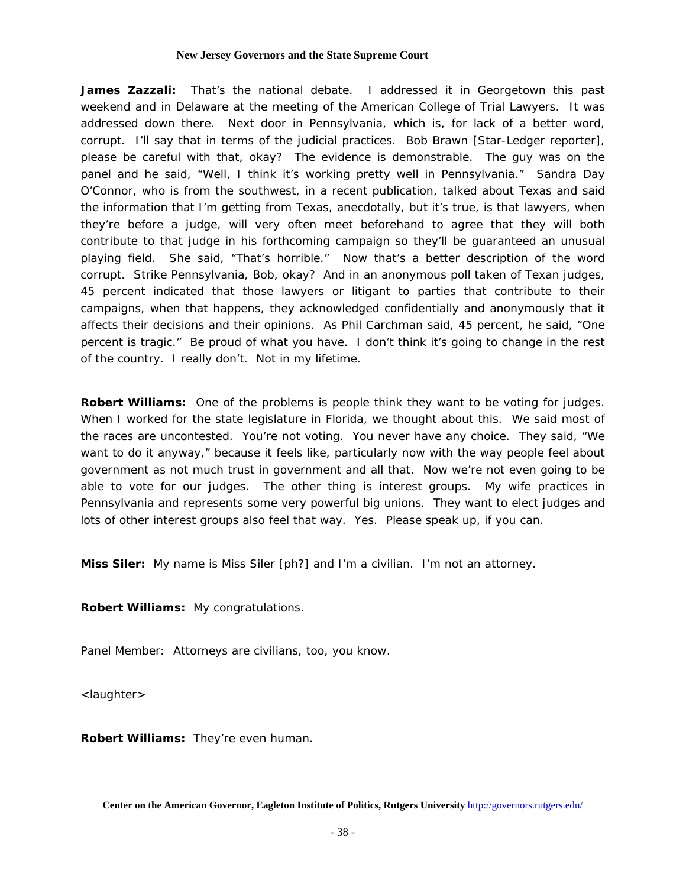**James Zazzali:** That's the national debate. I addressed it in Georgetown this past weekend and in Delaware at the meeting of the American College of Trial Lawyers. It was addressed down there. Next door in Pennsylvania, which is, for lack of a better word, corrupt. I'll say that in terms of the judicial practices. Bob Brawn [*Star-Ledger* reporter], please be careful with that, okay? The evidence is demonstrable. The guy was on the panel and he said, "Well, I think it's working pretty well in Pennsylvania." Sandra Day O'Connor, who is from the southwest, in a recent publication, talked about Texas and said the information that I'm getting from Texas, anecdotally, but it's true, is that lawyers, when they're before a judge, will very often meet beforehand to agree that they will both contribute to that judge in his forthcoming campaign so they'll be guaranteed an unusual playing field. She said, "That's horrible." Now that's a better description of the word corrupt. Strike Pennsylvania, Bob, okay? And in an anonymous poll taken of Texan judges, 45 percent indicated that those lawyers or litigant to parties that contribute to their campaigns, when that happens, they acknowledged confidentially and anonymously that it affects their decisions and their opinions. As Phil Carchman said, 45 percent, he said, "One percent is tragic." Be proud of what you have. I don't think it's going to change in the rest of the country. I really don't. Not in my lifetime.

**Robert Williams:** One of the problems is people think they want to be voting for judges. When I worked for the state legislature in Florida, we thought about this. We said most of the races are uncontested. You're not voting. You never have any choice. They said, "We want to do it anyway," because it feels like, particularly now with the way people feel about government as not much trust in government and all that. Now we're not even going to be able to vote for our judges. The other thing is interest groups. My wife practices in Pennsylvania and represents some very powerful big unions. They want to elect judges and lots of other interest groups also feel that way. Yes. Please speak up, if you can.

**Miss Siler:** My name is Miss Siler [ph?] and I'm a civilian. I'm not an attorney.

**Robert Williams:** My congratulations.

Panel Member: Attorneys are civilians, too, you know.

<laughter>

**Robert Williams:** They're even human.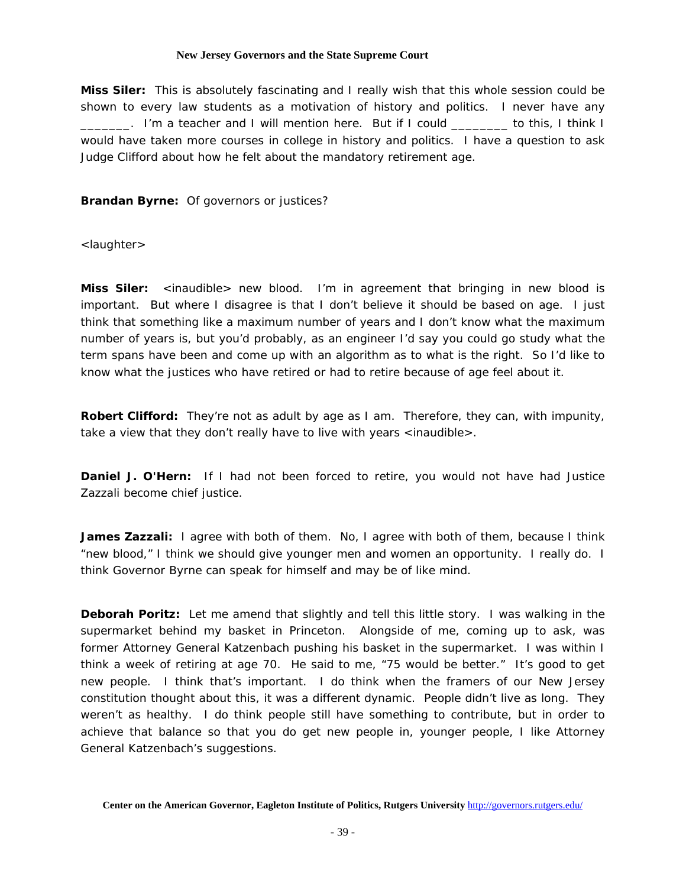**Miss Siler:** This is absolutely fascinating and I really wish that this whole session could be shown to every law students as a motivation of history and politics. I never have any \_\_\_\_\_\_\_. I'm a teacher and I will mention here. But if I could \_\_\_\_\_\_\_\_ to this, I think I would have taken more courses in college in history and politics. I have a question to ask Judge Clifford about how he felt about the mandatory retirement age.

**Brandan Byrne:** Of governors or justices?

<laughter>

**Miss Siler:** <inaudible> new blood. I'm in agreement that bringing in new blood is important. But where I disagree is that I don't believe it should be based on age. I just think that something like a maximum number of years and I don't know what the maximum number of years is, but you'd probably, as an engineer I'd say you could go study what the term spans have been and come up with an algorithm as to what is the right. So I'd like to know what the justices who have retired or had to retire because of age feel about it.

**Robert Clifford:** They're not as adult by age as I am. Therefore, they can, with impunity, take a view that they don't really have to live with years <inaudible>.

**Daniel J. O'Hern:** If I had not been forced to retire, you would not have had Justice Zazzali become chief justice.

**James Zazzali:** I agree with both of them. No, I agree with both of them, because I think "new blood," I think we should give younger men and women an opportunity. I really do. I think Governor Byrne can speak for himself and may be of like mind.

**Deborah Poritz:** Let me amend that slightly and tell this little story. I was walking in the supermarket behind my basket in Princeton. Alongside of me, coming up to ask, was former Attorney General Katzenbach pushing his basket in the supermarket. I was within I think a week of retiring at age 70. He said to me, "75 would be better." It's good to get new people. I think that's important. I do think when the framers of our New Jersey constitution thought about this, it was a different dynamic. People didn't live as long. They weren't as healthy. I do think people still have something to contribute, but in order to achieve that balance so that you do get new people in, younger people, I like Attorney General Katzenbach's suggestions.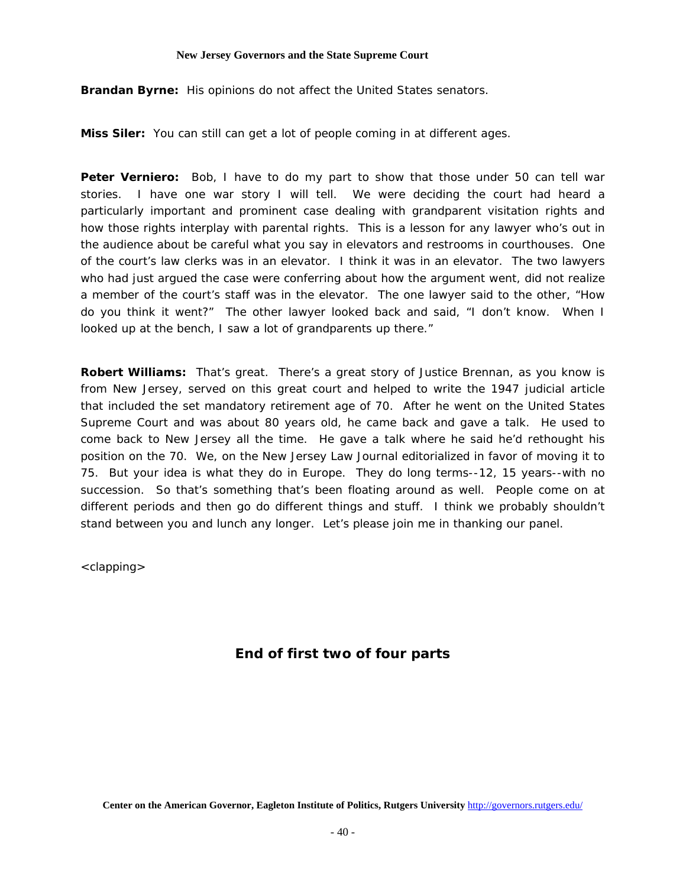**Brandan Byrne:** His opinions do not affect the United States senators.

**Miss Siler:** You can still can get a lot of people coming in at different ages.

**Peter Verniero:** Bob, I have to do my part to show that those under 50 can tell war stories. I have one war story I will tell. We were deciding the court had heard a particularly important and prominent case dealing with grandparent visitation rights and how those rights interplay with parental rights. This is a lesson for any lawyer who's out in the audience about be careful what you say in elevators and restrooms in courthouses. One of the court's law clerks was in an elevator. I think it was in an elevator. The two lawyers who had just argued the case were conferring about how the argument went, did not realize a member of the court's staff was in the elevator. The one lawyer said to the other, "How do you think it went?" The other lawyer looked back and said, "I don't know. When I looked up at the bench, I saw a lot of grandparents up there."

**Robert Williams:** That's great. There's a great story of Justice Brennan, as you know is from New Jersey, served on this great court and helped to write the 1947 judicial article that included the set mandatory retirement age of 70. After he went on the United States Supreme Court and was about 80 years old, he came back and gave a talk. He used to come back to New Jersey all the time. He gave a talk where he said he'd rethought his position on the 70. We, on the *New Jersey Law Journal* editorialized in favor of moving it to 75. But your idea is what they do in Europe. They do long terms--12, 15 years--with no succession. So that's something that's been floating around as well. People come on at different periods and then go do different things and stuff. I think we probably shouldn't stand between you and lunch any longer. Let's please join me in thanking our panel.

<clapping>

# *End of first two of four parts*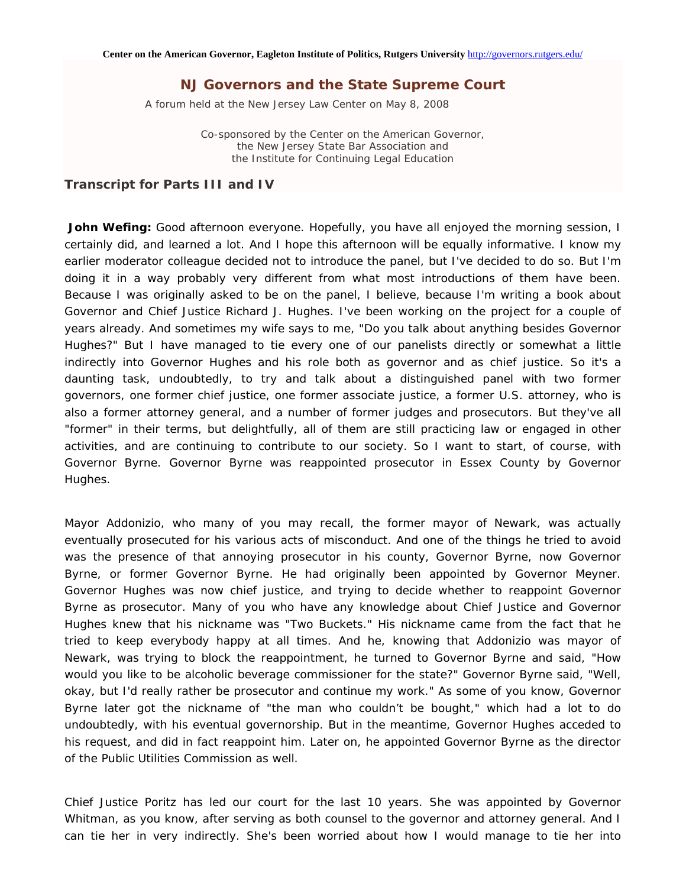A forum held at the New Jersey Law Center on May 8, 2008

Co-sponsored by the Center on the American Governor, the New Jersey State Bar Association and the Institute for Continuing Legal Education

### *Transcript for Parts III and IV*

John Wefing: Good afternoon everyone. Hopefully, you have all enjoyed the morning session, I certainly did, and learned a lot. And I hope this afternoon will be equally informative. I know my earlier moderator colleague decided not to introduce the panel, but I've decided to do so. But I'm doing it in a way probably very different from what most introductions of them have been. Because I was originally asked to be on the panel, I believe, because I'm writing a book about Governor and Chief Justice Richard J. Hughes. I've been working on the project for a couple of years already. And sometimes my wife says to me, "Do you talk about anything besides Governor Hughes?" But I have managed to tie every one of our panelists directly or somewhat a little indirectly into Governor Hughes and his role both as governor and as chief justice. So it's a daunting task, undoubtedly, to try and talk about a distinguished panel with two former governors, one former chief justice, one former associate justice, a former U.S. attorney, who is also a former attorney general, and a number of former judges and prosecutors. But they've all "former" in their terms, but delightfully, all of them are still practicing law or engaged in other activities, and are continuing to contribute to our society. So I want to start, of course, with Governor Byrne. Governor Byrne was reappointed prosecutor in Essex County by Governor Hughes.

Mayor Addonizio, who many of you may recall, the former mayor of Newark, was actually eventually prosecuted for his various acts of misconduct. And one of the things he tried to avoid was the presence of that annoying prosecutor in his county, Governor Byrne, now Governor Byrne, or former Governor Byrne. He had originally been appointed by Governor Meyner. Governor Hughes was now chief justice, and trying to decide whether to reappoint Governor Byrne as prosecutor. Many of you who have any knowledge about Chief Justice and Governor Hughes knew that his nickname was "Two Buckets." His nickname came from the fact that he tried to keep everybody happy at all times. And he, knowing that Addonizio was mayor of Newark, was trying to block the reappointment, he turned to Governor Byrne and said, "How would you like to be alcoholic beverage commissioner for the state?" Governor Byrne said, "Well, okay, but I'd really rather be prosecutor and continue my work." As some of you know, Governor Byrne later got the nickname of "the man who couldn't be bought," which had a lot to do undoubtedly, with his eventual governorship. But in the meantime, Governor Hughes acceded to his request, and did in fact reappoint him. Later on, he appointed Governor Byrne as the director of the Public Utilities Commission as well.

Chief Justice Poritz has led our court for the last 10 years. She was appointed by Governor Whitman, as you know, after serving as both counsel to the governor and attorney general. And I can tie her in very indirectly. She's been worried about how I would manage to tie her into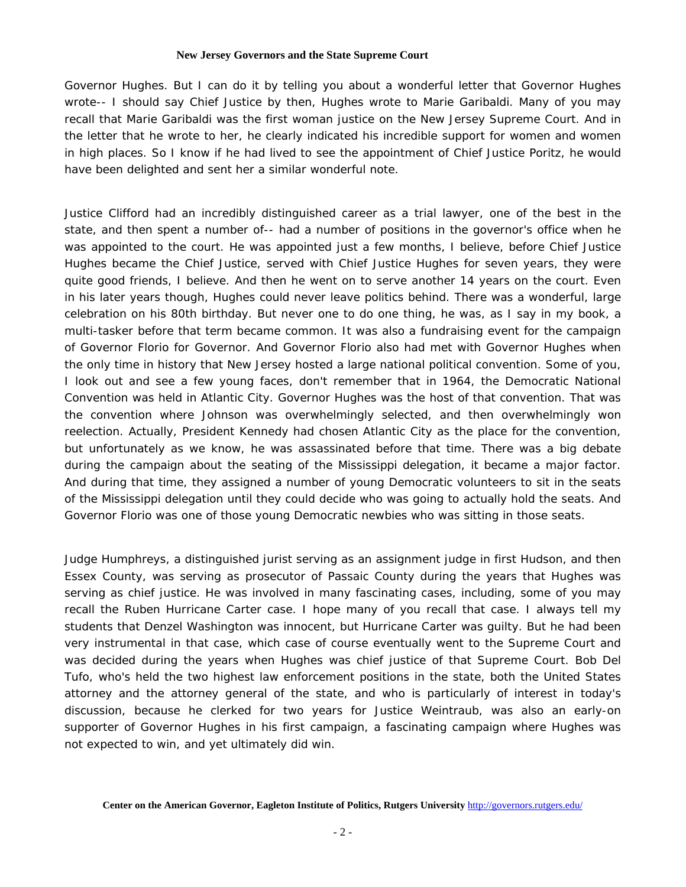Governor Hughes. But I can do it by telling you about a wonderful letter that Governor Hughes wrote-- I should say Chief Justice by then, Hughes wrote to Marie Garibaldi. Many of you may recall that Marie Garibaldi was the first woman justice on the New Jersey Supreme Court. And in the letter that he wrote to her, he clearly indicated his incredible support for women and women in high places. So I know if he had lived to see the appointment of Chief Justice Poritz, he would have been delighted and sent her a similar wonderful note.

Justice Clifford had an incredibly distinguished career as a trial lawyer, one of the best in the state, and then spent a number of-- had a number of positions in the governor's office when he was appointed to the court. He was appointed just a few months, I believe, before Chief Justice Hughes became the Chief Justice, served with Chief Justice Hughes for seven years, they were quite good friends, I believe. And then he went on to serve another 14 years on the court. Even in his later years though, Hughes could never leave politics behind. There was a wonderful, large celebration on his 80th birthday. But never one to do one thing, he was, as I say in my book, a multi-tasker before that term became common. It was also a fundraising event for the campaign of Governor Florio for Governor. And Governor Florio also had met with Governor Hughes when the only time in history that New Jersey hosted a large national political convention. Some of you, I look out and see a few young faces, don't remember that in 1964, the Democratic National Convention was held in Atlantic City. Governor Hughes was the host of that convention. That was the convention where Johnson was overwhelmingly selected, and then overwhelmingly won reelection. Actually, President Kennedy had chosen Atlantic City as the place for the convention, but unfortunately as we know, he was assassinated before that time. There was a big debate during the campaign about the seating of the Mississippi delegation, it became a major factor. And during that time, they assigned a number of young Democratic volunteers to sit in the seats of the Mississippi delegation until they could decide who was going to actually hold the seats. And Governor Florio was one of those young Democratic newbies who was sitting in those seats.

Judge Humphreys, a distinguished jurist serving as an assignment judge in first Hudson, and then Essex County, was serving as prosecutor of Passaic County during the years that Hughes was serving as chief justice. He was involved in many fascinating cases, including, some of you may recall the Ruben Hurricane Carter case. I hope many of you recall that case. I always tell my students that Denzel Washington was innocent, but Hurricane Carter was guilty. But he had been very instrumental in that case, which case of course eventually went to the Supreme Court and was decided during the years when Hughes was chief justice of that Supreme Court. Bob Del Tufo, who's held the two highest law enforcement positions in the state, both the United States attorney and the attorney general of the state, and who is particularly of interest in today's discussion, because he clerked for two years for Justice Weintraub, was also an early-on supporter of Governor Hughes in his first campaign, a fascinating campaign where Hughes was not expected to win, and yet ultimately did win.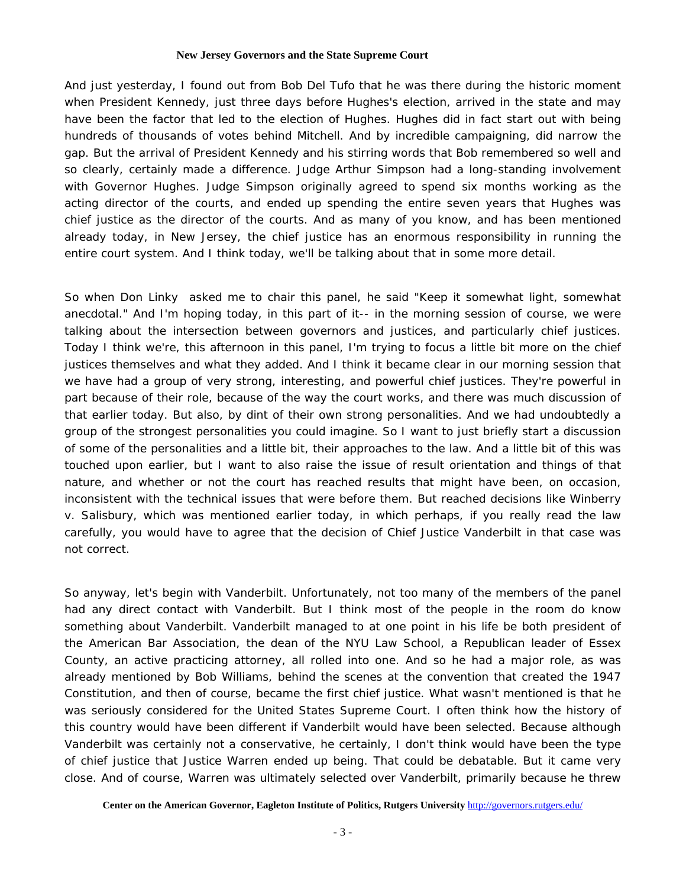And just yesterday, I found out from Bob Del Tufo that he was there during the historic moment when President Kennedy, just three days before Hughes's election, arrived in the state and may have been the factor that led to the election of Hughes. Hughes did in fact start out with being hundreds of thousands of votes behind Mitchell. And by incredible campaigning, did narrow the gap. But the arrival of President Kennedy and his stirring words that Bob remembered so well and so clearly, certainly made a difference. Judge Arthur Simpson had a long-standing involvement with Governor Hughes. Judge Simpson originally agreed to spend six months working as the acting director of the courts, and ended up spending the entire seven years that Hughes was chief justice as the director of the courts. And as many of you know, and has been mentioned already today, in New Jersey, the chief justice has an enormous responsibility in running the entire court system. And I think today, we'll be talking about that in some more detail.

So when Don Linky asked me to chair this panel, he said "Keep it somewhat light, somewhat anecdotal." And I'm hoping today, in this part of it-- in the morning session of course, we were talking about the intersection between governors and justices, and particularly chief justices. Today I think we're, this afternoon in this panel, I'm trying to focus a little bit more on the chief justices themselves and what they added. And I think it became clear in our morning session that we have had a group of very strong, interesting, and powerful chief justices. They're powerful in part because of their role, because of the way the court works, and there was much discussion of that earlier today. But also, by dint of their own strong personalities. And we had undoubtedly a group of the strongest personalities you could imagine. So I want to just briefly start a discussion of some of the personalities and a little bit, their approaches to the law. And a little bit of this was touched upon earlier, but I want to also raise the issue of result orientation and things of that nature, and whether or not the court has reached results that might have been, on occasion, inconsistent with the technical issues that were before them. But reached decisions like Winberry v. Salisbury, which was mentioned earlier today, in which perhaps, if you really read the law carefully, you would have to agree that the decision of Chief Justice Vanderbilt in that case was not correct.

So anyway, let's begin with Vanderbilt. Unfortunately, not too many of the members of the panel had any direct contact with Vanderbilt. But I think most of the people in the room do know something about Vanderbilt. Vanderbilt managed to at one point in his life be both president of the American Bar Association, the dean of the NYU Law School, a Republican leader of Essex County, an active practicing attorney, all rolled into one. And so he had a major role, as was already mentioned by Bob Williams, behind the scenes at the convention that created the 1947 Constitution, and then of course, became the first chief justice. What wasn't mentioned is that he was seriously considered for the United States Supreme Court. I often think how the history of this country would have been different if Vanderbilt would have been selected. Because although Vanderbilt was certainly not a conservative, he certainly, I don't think would have been the type of chief justice that Justice Warren ended up being. That could be debatable. But it came very close. And of course, Warren was ultimately selected over Vanderbilt, primarily because he threw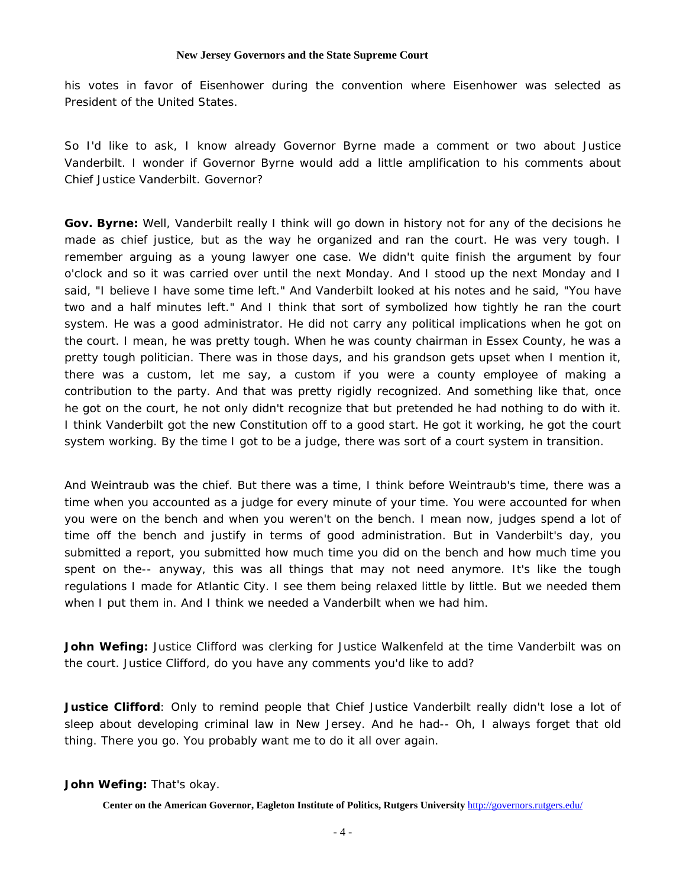his votes in favor of Eisenhower during the convention where Eisenhower was selected as President of the United States.

So I'd like to ask, I know already Governor Byrne made a comment or two about Justice Vanderbilt. I wonder if Governor Byrne would add a little amplification to his comments about Chief Justice Vanderbilt. Governor?

**Gov. Byrne:** Well, Vanderbilt really I think will go down in history not for any of the decisions he made as chief justice, but as the way he organized and ran the court. He was very tough. I remember arguing as a young lawyer one case. We didn't quite finish the argument by four o'clock and so it was carried over until the next Monday. And I stood up the next Monday and I said, "I believe I have some time left." And Vanderbilt looked at his notes and he said, "You have two and a half minutes left." And I think that sort of symbolized how tightly he ran the court system. He was a good administrator. He did not carry any political implications when he got on the court. I mean, he was pretty tough. When he was county chairman in Essex County, he was a pretty tough politician. There was in those days, and his grandson gets upset when I mention it, there was a custom, let me say, a custom if you were a county employee of making a contribution to the party. And that was pretty rigidly recognized. And something like that, once he got on the court, he not only didn't recognize that but pretended he had nothing to do with it. I think Vanderbilt got the new Constitution off to a good start. He got it working, he got the court system working. By the time I got to be a judge, there was sort of a court system in transition.

And Weintraub was the chief. But there was a time, I think before Weintraub's time, there was a time when you accounted as a judge for every minute of your time. You were accounted for when you were on the bench and when you weren't on the bench. I mean now, judges spend a lot of time off the bench and justify in terms of good administration. But in Vanderbilt's day, you submitted a report, you submitted how much time you did on the bench and how much time you spent on the-- anyway, this was all things that may not need anymore. It's like the tough regulations I made for Atlantic City. I see them being relaxed little by little. But we needed them when I put them in. And I think we needed a Vanderbilt when we had him.

**John Wefing:** Justice Clifford was clerking for Justice Walkenfeld at the time Vanderbilt was on the court. Justice Clifford, do you have any comments you'd like to add?

**Justice Clifford**: Only to remind people that Chief Justice Vanderbilt really didn't lose a lot of sleep about developing criminal law in New Jersey. And he had-- Oh, I always forget that old thing. There you go. You probably want me to do it all over again.

### **John Wefing:** That's okay.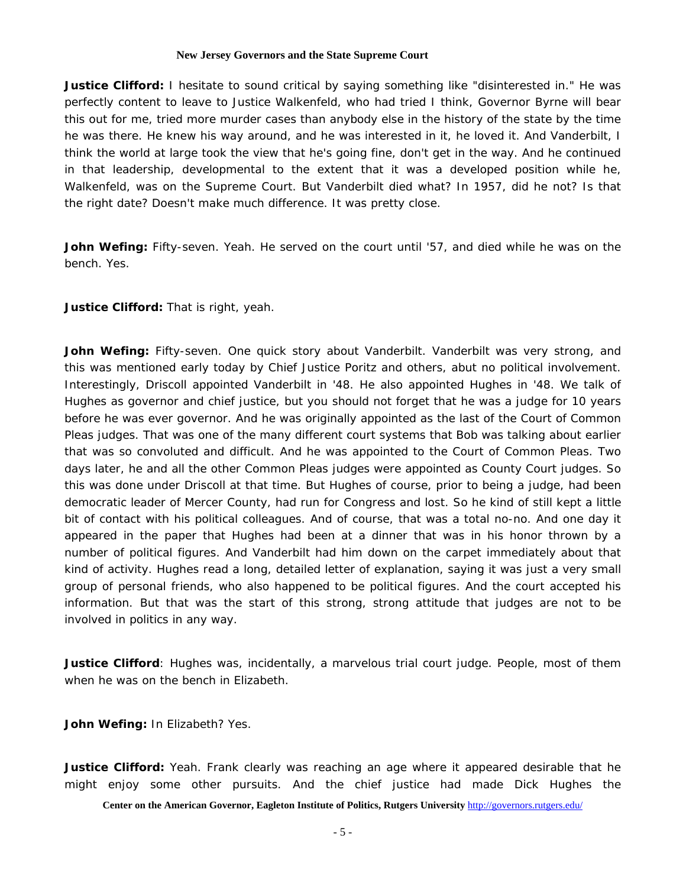**Justice Clifford:** I hesitate to sound critical by saying something like "disinterested in." He was perfectly content to leave to Justice Walkenfeld, who had tried I think, Governor Byrne will bear this out for me, tried more murder cases than anybody else in the history of the state by the time he was there. He knew his way around, and he was interested in it, he loved it. And Vanderbilt, I think the world at large took the view that he's going fine, don't get in the way. And he continued in that leadership, developmental to the extent that it was a developed position while he, Walkenfeld, was on the Supreme Court. But Vanderbilt died what? In 1957, did he not? Is that the right date? Doesn't make much difference. It was pretty close.

**John Wefing:** Fifty-seven. Yeah. He served on the court until '57, and died while he was on the bench. Yes.

**Justice Clifford:** That is right, yeah.

John Wefing: Fifty-seven. One quick story about Vanderbilt. Vanderbilt was very strong, and this was mentioned early today by Chief Justice Poritz and others, abut no political involvement. Interestingly, Driscoll appointed Vanderbilt in '48. He also appointed Hughes in '48. We talk of Hughes as governor and chief justice, but you should not forget that he was a judge for 10 years before he was ever governor. And he was originally appointed as the last of the Court of Common Pleas judges. That was one of the many different court systems that Bob was talking about earlier that was so convoluted and difficult. And he was appointed to the Court of Common Pleas. Two days later, he and all the other Common Pleas judges were appointed as County Court judges. So this was done under Driscoll at that time. But Hughes of course, prior to being a judge, had been democratic leader of Mercer County, had run for Congress and lost. So he kind of still kept a little bit of contact with his political colleagues. And of course, that was a total no-no. And one day it appeared in the paper that Hughes had been at a dinner that was in his honor thrown by a number of political figures. And Vanderbilt had him down on the carpet immediately about that kind of activity. Hughes read a long, detailed letter of explanation, saying it was just a very small group of personal friends, who also happened to be political figures. And the court accepted his information. But that was the start of this strong, strong attitude that judges are not to be involved in politics in any way.

**Justice Clifford**: Hughes was, incidentally, a marvelous trial court judge. People, most of them when he was on the bench in Elizabeth.

**John Wefing:** In Elizabeth? Yes.

**Justice Clifford:** Yeah. Frank clearly was reaching an age where it appeared desirable that he might enjoy some other pursuits. And the chief justice had made Dick Hughes the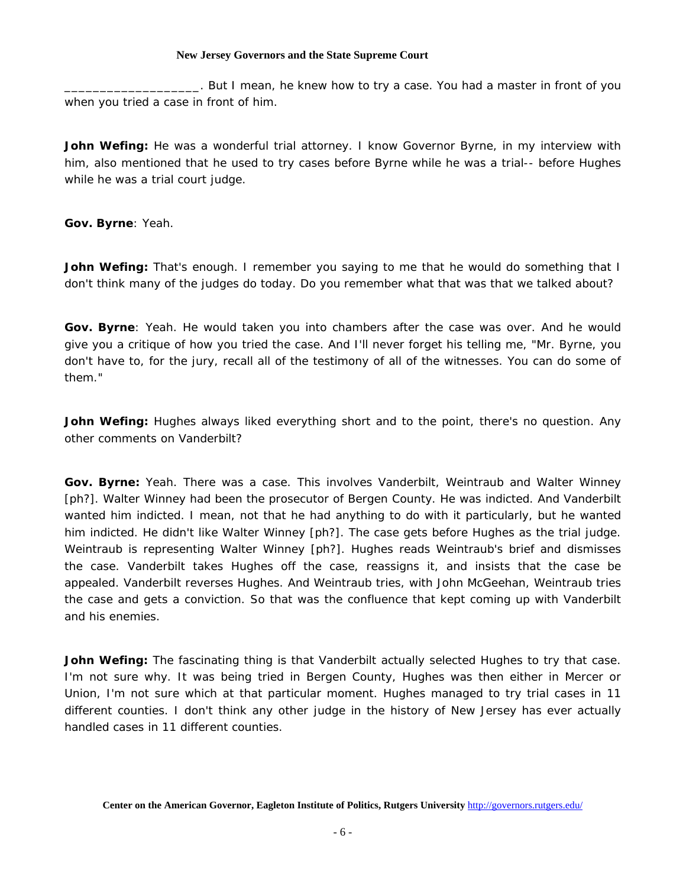\_\_\_\_\_\_\_\_\_\_\_\_\_\_\_\_\_\_\_. But I mean, he knew how to try a case. You had a master in front of you when you tried a case in front of him.

John Wefing: He was a wonderful trial attorney. I know Governor Byrne, in my interview with him, also mentioned that he used to try cases before Byrne while he was a trial-- before Hughes while he was a trial court judge.

**Gov. Byrne**: Yeah.

**John Wefing:** That's enough. I remember you saying to me that he would do something that I don't think many of the judges do today. Do you remember what that was that we talked about?

**Gov. Byrne**: Yeah. He would taken you into chambers after the case was over. And he would give you a critique of how you tried the case. And I'll never forget his telling me, "Mr. Byrne, you don't have to, for the jury, recall all of the testimony of all of the witnesses. You can do some of them."

**John Wefing:** Hughes always liked everything short and to the point, there's no question. Any other comments on Vanderbilt?

**Gov. Byrne:** Yeah. There was a case. This involves Vanderbilt, Weintraub and Walter Winney [ph?]. Walter Winney had been the prosecutor of Bergen County. He was indicted. And Vanderbilt wanted him indicted. I mean, not that he had anything to do with it particularly, but he wanted him indicted. He didn't like Walter Winney [ph?]. The case gets before Hughes as the trial judge. Weintraub is representing Walter Winney [ph?]. Hughes reads Weintraub's brief and dismisses the case. Vanderbilt takes Hughes off the case, reassigns it, and insists that the case be appealed. Vanderbilt reverses Hughes. And Weintraub tries, with John McGeehan, Weintraub tries the case and gets a conviction. So that was the confluence that kept coming up with Vanderbilt and his enemies.

**John Wefing:** The fascinating thing is that Vanderbilt actually selected Hughes to try that case. I'm not sure why. It was being tried in Bergen County, Hughes was then either in Mercer or Union, I'm not sure which at that particular moment. Hughes managed to try trial cases in 11 different counties. I don't think any other judge in the history of New Jersey has ever actually handled cases in 11 different counties.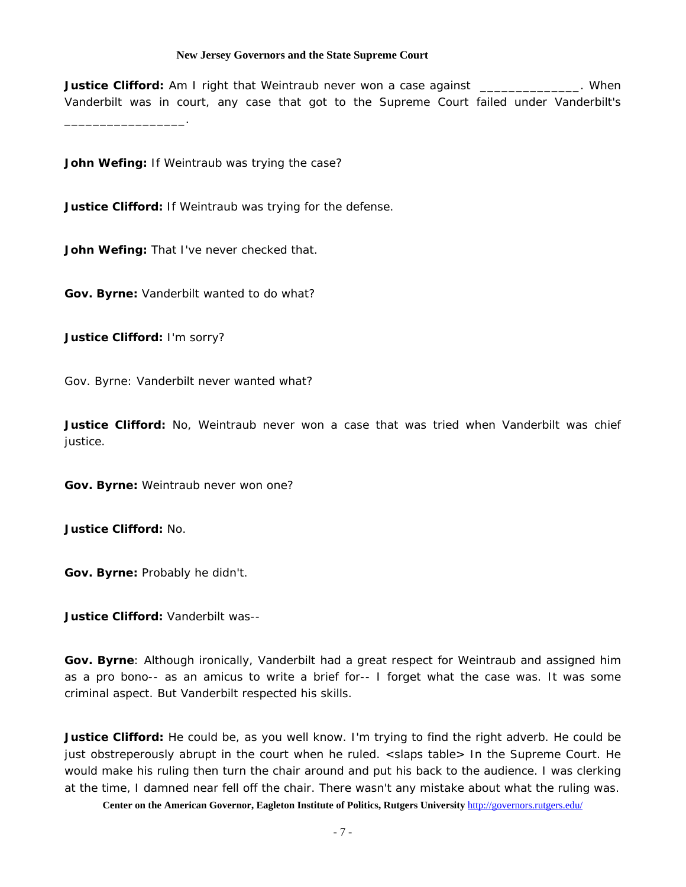**Justice Clifford:** Am I right that Weintraub never won a case against *\_\_\_\_\_\_\_\_\_\_\_\_\_\_\_***.** When Vanderbilt was in court, any case that got to the Supreme Court failed under Vanderbilt's

**John Wefing:** If Weintraub was trying the case?

**Justice Clifford:** If Weintraub was trying for the defense.

**John Wefing:** That I've never checked that.

**Gov. Byrne:** Vanderbilt wanted to do what?

**Justice Clifford:** I'm sorry?

\_\_\_\_\_\_\_\_\_\_\_\_\_\_\_\_\_.

Gov. Byrne: Vanderbilt never wanted what?

**Justice Clifford:** No, Weintraub never won a case that was tried when Vanderbilt was chief justice.

**Gov. Byrne:** Weintraub never won one?

**Justice Clifford:** No.

**Gov. Byrne:** Probably he didn't.

**Justice Clifford:** Vanderbilt was--

**Gov. Byrne**: Although ironically, Vanderbilt had a great respect for Weintraub and assigned him as a pro bono-- as an amicus to write a brief for-- I forget what the case was. It was some criminal aspect. But Vanderbilt respected his skills.

**Justice Clifford:** He could be, as you well know. I'm trying to find the right adverb. He could be just obstreperously abrupt in the court when he ruled. <slaps table> In the Supreme Court. He would make his ruling then turn the chair around and put his back to the audience. I was clerking at the time, I damned near fell off the chair. There wasn't any mistake about what the ruling was.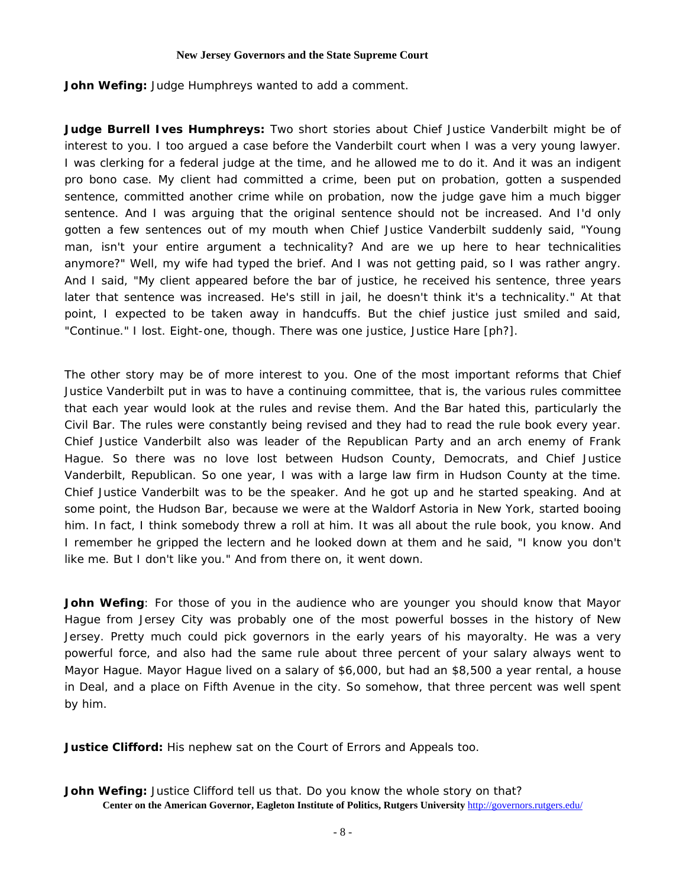**John Wefing:** Judge Humphreys wanted to add a comment.

**Judge Burrell Ives Humphreys:** Two short stories about Chief Justice Vanderbilt might be of interest to you. I too argued a case before the Vanderbilt court when I was a very young lawyer. I was clerking for a federal judge at the time, and he allowed me to do it. And it was an indigent pro bono case. My client had committed a crime, been put on probation, gotten a suspended sentence, committed another crime while on probation, now the judge gave him a much bigger sentence. And I was arguing that the original sentence should not be increased. And I'd only gotten a few sentences out of my mouth when Chief Justice Vanderbilt suddenly said, "Young man, isn't your entire argument a technicality? And are we up here to hear technicalities anymore?" Well, my wife had typed the brief. And I was not getting paid, so I was rather angry. And I said, "My client appeared before the bar of justice, he received his sentence, three years later that sentence was increased. He's still in jail, he doesn't think it's a technicality." At that point, I expected to be taken away in handcuffs. But the chief justice just smiled and said, "Continue." I lost. Eight-one, though. There was one justice, Justice Hare [ph?].

The other story may be of more interest to you. One of the most important reforms that Chief Justice Vanderbilt put in was to have a continuing committee, that is, the various rules committee that each year would look at the rules and revise them. And the Bar hated this, particularly the Civil Bar. The rules were constantly being revised and they had to read the rule book every year. Chief Justice Vanderbilt also was leader of the Republican Party and an arch enemy of Frank Hague. So there was no love lost between Hudson County, Democrats, and Chief Justice Vanderbilt, Republican. So one year, I was with a large law firm in Hudson County at the time. Chief Justice Vanderbilt was to be the speaker. And he got up and he started speaking. And at some point, the Hudson Bar, because we were at the Waldorf Astoria in New York, started booing him. In fact, I think somebody threw a roll at him. It was all about the rule book, you know. And I remember he gripped the lectern and he looked down at them and he said, "I know you don't like me. But I don't like you." And from there on, it went down.

**John Wefing**: For those of you in the audience who are younger you should know that Mayor Hague from Jersey City was probably one of the most powerful bosses in the history of New Jersey. Pretty much could pick governors in the early years of his mayoralty. He was a very powerful force, and also had the same rule about three percent of your salary always went to Mayor Hague. Mayor Hague lived on a salary of \$6,000, but had an \$8,500 a year rental, a house in Deal, and a place on Fifth Avenue in the city. So somehow, that three percent was well spent by him.

**Justice Clifford:** His nephew sat on the Court of Errors and Appeals too.

**Center on the American Governor, Eagleton Institute of Politics, Rutgers University** http://governors.rutgers.edu/ **John Wefing:** Justice Clifford tell us that. Do you know the whole story on that?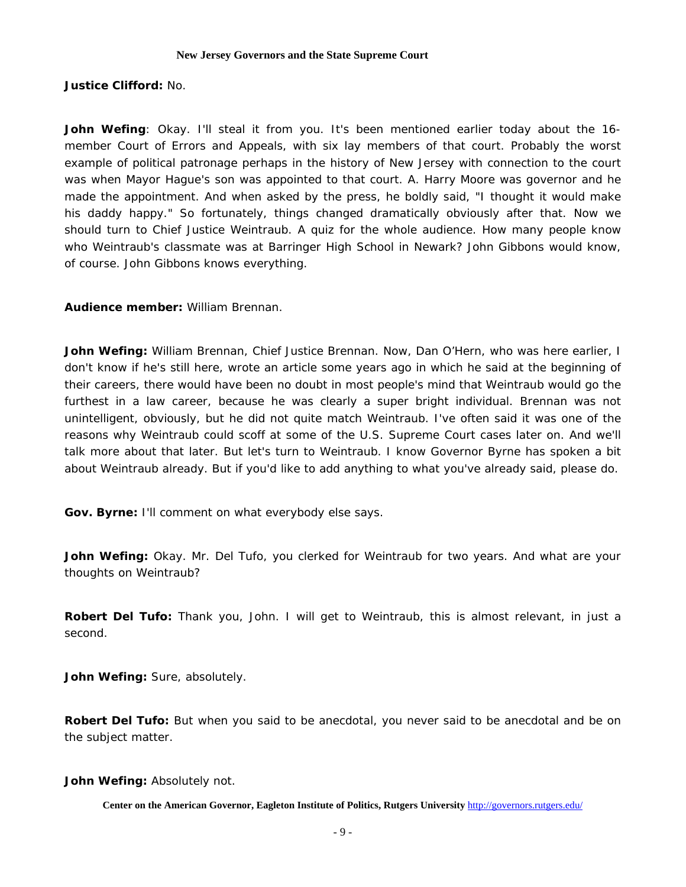# **Justice Clifford:** No.

**John Wefing**: Okay. I'll steal it from you. It's been mentioned earlier today about the 16 member Court of Errors and Appeals, with six lay members of that court. Probably the worst example of political patronage perhaps in the history of New Jersey with connection to the court was when Mayor Hague's son was appointed to that court. A. Harry Moore was governor and he made the appointment. And when asked by the press, he boldly said, "I thought it would make his daddy happy." So fortunately, things changed dramatically obviously after that. Now we should turn to Chief Justice Weintraub. A quiz for the whole audience. How many people know who Weintraub's classmate was at Barringer High School in Newark? John Gibbons would know, of course. John Gibbons knows everything.

# **Audience member:** William Brennan.

**John Wefing:** William Brennan, Chief Justice Brennan. Now, Dan O'Hern, who was here earlier, I don't know if he's still here, wrote an article some years ago in which he said at the beginning of their careers, there would have been no doubt in most people's mind that Weintraub would go the furthest in a law career, because he was clearly a super bright individual. Brennan was not unintelligent, obviously, but he did not quite match Weintraub. I've often said it was one of the reasons why Weintraub could scoff at some of the U.S. Supreme Court cases later on. And we'll talk more about that later. But let's turn to Weintraub. I know Governor Byrne has spoken a bit about Weintraub already. But if you'd like to add anything to what you've already said, please do.

**Gov. Byrne:** I'll comment on what everybody else says.

**John Wefing:** Okay. Mr. Del Tufo, you clerked for Weintraub for two years. And what are your thoughts on Weintraub?

**Robert Del Tufo:** Thank you, John. I will get to Weintraub, this is almost relevant, in just a second.

**John Wefing:** Sure, absolutely.

**Robert Del Tufo:** But when you said to be anecdotal, you never said to be anecdotal and be on the subject matter.

**John Wefing:** Absolutely not.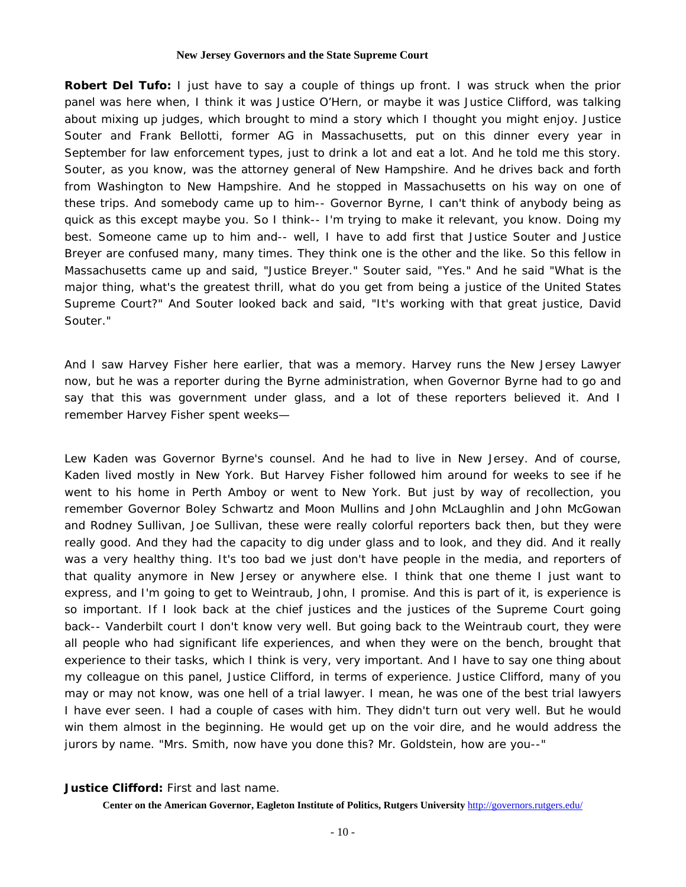**Robert Del Tufo:** I just have to say a couple of things up front. I was struck when the prior panel was here when, I think it was Justice O'Hern, or maybe it was Justice Clifford, was talking about mixing up judges, which brought to mind a story which I thought you might enjoy. Justice Souter and Frank Bellotti, former AG in Massachusetts, put on this dinner every year in September for law enforcement types, just to drink a lot and eat a lot. And he told me this story. Souter, as you know, was the attorney general of New Hampshire. And he drives back and forth from Washington to New Hampshire. And he stopped in Massachusetts on his way on one of these trips. And somebody came up to him-- Governor Byrne, I can't think of anybody being as quick as this except maybe you. So I think-- I'm trying to make it relevant, you know. Doing my best. Someone came up to him and-- well, I have to add first that Justice Souter and Justice Breyer are confused many, many times. They think one is the other and the like. So this fellow in Massachusetts came up and said, "Justice Breyer." Souter said, "Yes." And he said "What is the major thing, what's the greatest thrill, what do you get from being a justice of the United States Supreme Court?" And Souter looked back and said, "It's working with that great justice, David Souter."

And I saw Harvey Fisher here earlier, that was a memory. Harvey runs the New Jersey Lawyer now, but he was a reporter during the Byrne administration, when Governor Byrne had to go and say that this was government under glass, and a lot of these reporters believed it. And I remember Harvey Fisher spent weeks—

Lew Kaden was Governor Byrne's counsel. And he had to live in New Jersey. And of course, Kaden lived mostly in New York. But Harvey Fisher followed him around for weeks to see if he went to his home in Perth Amboy or went to New York. But just by way of recollection, you remember Governor Boley Schwartz and Moon Mullins and John McLaughlin and John McGowan and Rodney Sullivan, Joe Sullivan, these were really colorful reporters back then, but they were really good. And they had the capacity to dig under glass and to look, and they did. And it really was a very healthy thing. It's too bad we just don't have people in the media, and reporters of that quality anymore in New Jersey or anywhere else. I think that one theme I just want to express, and I'm going to get to Weintraub, John, I promise. And this is part of it, is experience is so important. If I look back at the chief justices and the justices of the Supreme Court going back-- Vanderbilt court I don't know very well. But going back to the Weintraub court, they were all people who had significant life experiences, and when they were on the bench, brought that experience to their tasks, which I think is very, very important. And I have to say one thing about my colleague on this panel, Justice Clifford, in terms of experience. Justice Clifford, many of you may or may not know, was one hell of a trial lawyer. I mean, he was one of the best trial lawyers I have ever seen. I had a couple of cases with him. They didn't turn out very well. But he would win them almost in the beginning. He would get up on the voir dire, and he would address the jurors by name. "Mrs. Smith, now have you done this? Mr. Goldstein, how are you--"

### **Justice Clifford:** First and last name.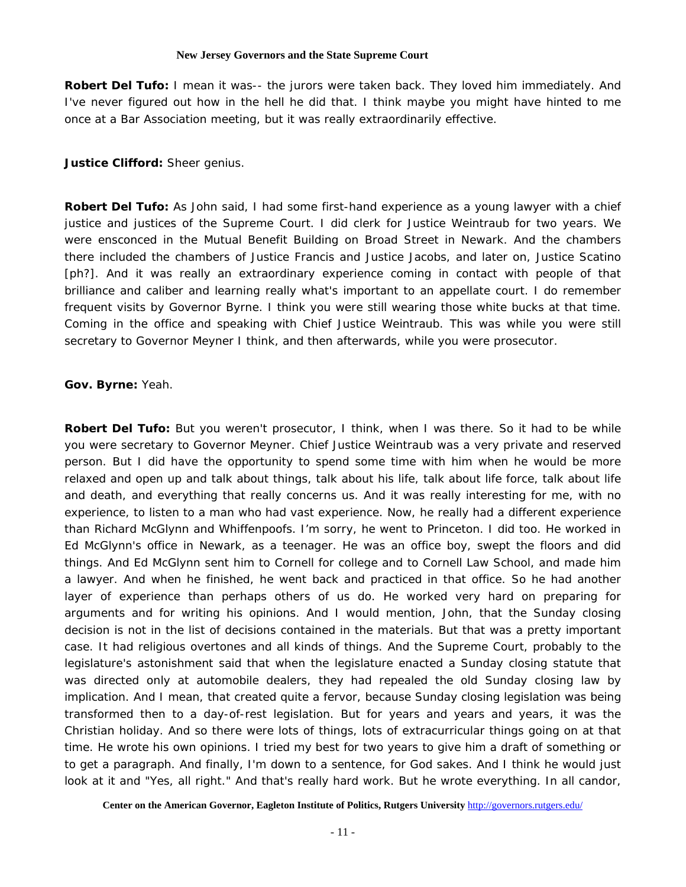**Robert Del Tufo:** I mean it was-- the jurors were taken back. They loved him immediately. And I've never figured out how in the hell he did that. I think maybe you might have hinted to me once at a Bar Association meeting, but it was really extraordinarily effective.

**Justice Clifford:** Sheer genius.

**Robert Del Tufo:** As John said, I had some first-hand experience as a young lawyer with a chief justice and justices of the Supreme Court. I did clerk for Justice Weintraub for two years. We were ensconced in the Mutual Benefit Building on Broad Street in Newark. And the chambers there included the chambers of Justice Francis and Justice Jacobs, and later on, Justice Scatino [ph?]. And it was really an extraordinary experience coming in contact with people of that brilliance and caliber and learning really what's important to an appellate court. I do remember frequent visits by Governor Byrne. I think you were still wearing those white bucks at that time. Coming in the office and speaking with Chief Justice Weintraub. This was while you were still secretary to Governor Meyner I think, and then afterwards, while you were prosecutor.

# **Gov. Byrne:** Yeah.

**Robert Del Tufo:** But you weren't prosecutor, I think, when I was there. So it had to be while you were secretary to Governor Meyner. Chief Justice Weintraub was a very private and reserved person. But I did have the opportunity to spend some time with him when he would be more relaxed and open up and talk about things, talk about his life, talk about life force, talk about life and death, and everything that really concerns us. And it was really interesting for me, with no experience, to listen to a man who had vast experience. Now, he really had a different experience than Richard McGlynn and Whiffenpoofs. I'm sorry, he went to Princeton. I did too. He worked in Ed McGlynn's office in Newark, as a teenager. He was an office boy, swept the floors and did things. And Ed McGlynn sent him to Cornell for college and to Cornell Law School, and made him a lawyer. And when he finished, he went back and practiced in that office. So he had another layer of experience than perhaps others of us do. He worked very hard on preparing for arguments and for writing his opinions. And I would mention, John, that the Sunday closing decision is not in the list of decisions contained in the materials. But that was a pretty important case. It had religious overtones and all kinds of things. And the Supreme Court, probably to the legislature's astonishment said that when the legislature enacted a Sunday closing statute that was directed only at automobile dealers, they had repealed the old Sunday closing law by implication. And I mean, that created quite a fervor, because Sunday closing legislation was being transformed then to a day-of-rest legislation. But for years and years and years, it was the Christian holiday. And so there were lots of things, lots of extracurricular things going on at that time. He wrote his own opinions. I tried my best for two years to give him a draft of something or to get a paragraph. And finally, I'm down to a sentence, for God sakes. And I think he would just look at it and "Yes, all right." And that's really hard work. But he wrote everything. In all candor,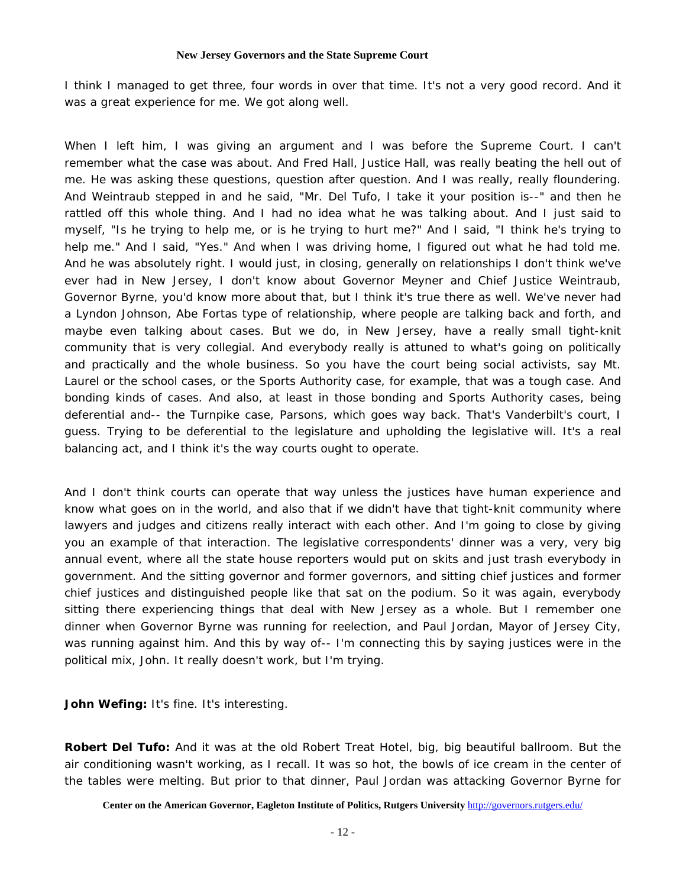I think I managed to get three, four words in over that time. It's not a very good record. And it was a great experience for me. We got along well.

When I left him, I was giving an argument and I was before the Supreme Court. I can't remember what the case was about. And Fred Hall, Justice Hall, was really beating the hell out of me. He was asking these questions, question after question. And I was really, really floundering. And Weintraub stepped in and he said, "Mr. Del Tufo, I take it your position is--" and then he rattled off this whole thing. And I had no idea what he was talking about. And I just said to myself, "Is he trying to help me, or is he trying to hurt me?" And I said, "I think he's trying to help me." And I said, "Yes." And when I was driving home, I figured out what he had told me. And he was absolutely right. I would just, in closing, generally on relationships I don't think we've ever had in New Jersey, I don't know about Governor Meyner and Chief Justice Weintraub, Governor Byrne, you'd know more about that, but I think it's true there as well. We've never had a Lyndon Johnson, Abe Fortas type of relationship, where people are talking back and forth, and maybe even talking about cases. But we do, in New Jersey, have a really small tight-knit community that is very collegial. And everybody really is attuned to what's going on politically and practically and the whole business. So you have the court being social activists, say Mt. Laurel or the school cases, or the Sports Authority case, for example, that was a tough case. And bonding kinds of cases. And also, at least in those bonding and Sports Authority cases, being deferential and-- the Turnpike case, Parsons, which goes way back. That's Vanderbilt's court, I guess. Trying to be deferential to the legislature and upholding the legislative will. It's a real balancing act, and I think it's the way courts ought to operate.

And I don't think courts can operate that way unless the justices have human experience and know what goes on in the world, and also that if we didn't have that tight-knit community where lawyers and judges and citizens really interact with each other. And I'm going to close by giving you an example of that interaction. The legislative correspondents' dinner was a very, very big annual event, where all the state house reporters would put on skits and just trash everybody in government. And the sitting governor and former governors, and sitting chief justices and former chief justices and distinguished people like that sat on the podium. So it was again, everybody sitting there experiencing things that deal with New Jersey as a whole. But I remember one dinner when Governor Byrne was running for reelection, and Paul Jordan, Mayor of Jersey City, was running against him. And this by way of-- I'm connecting this by saying justices were in the political mix, John. It really doesn't work, but I'm trying.

**John Wefing:** It's fine. It's interesting.

**Robert Del Tufo:** And it was at the old Robert Treat Hotel, big, big beautiful ballroom. But the air conditioning wasn't working, as I recall. It was so hot, the bowls of ice cream in the center of the tables were melting. But prior to that dinner, Paul Jordan was attacking Governor Byrne for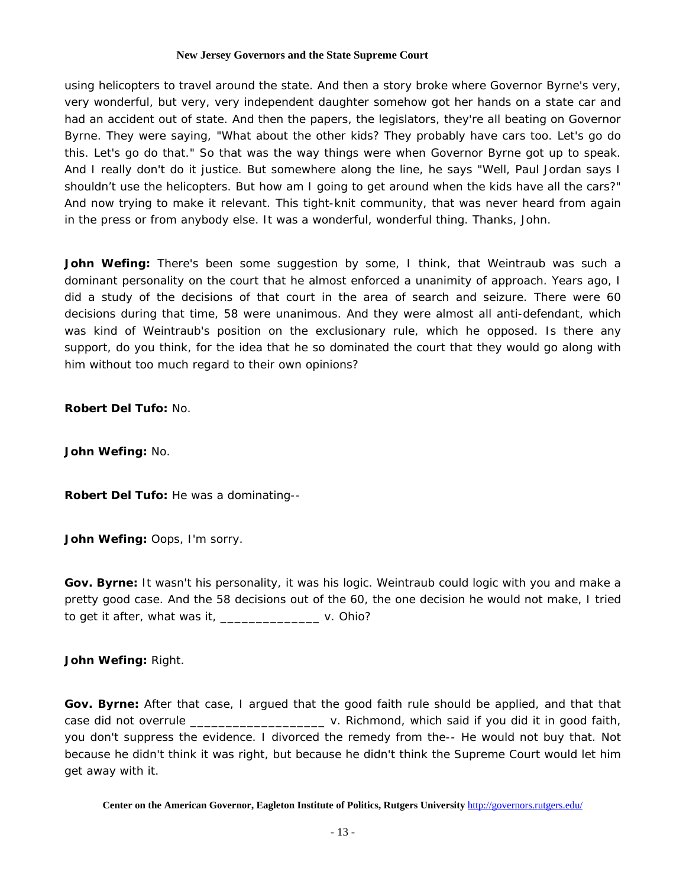using helicopters to travel around the state. And then a story broke where Governor Byrne's very, very wonderful, but very, very independent daughter somehow got her hands on a state car and had an accident out of state. And then the papers, the legislators, they're all beating on Governor Byrne. They were saying, "What about the other kids? They probably have cars too. Let's go do this. Let's go do that." So that was the way things were when Governor Byrne got up to speak. And I really don't do it justice. But somewhere along the line, he says "Well, Paul Jordan says I shouldn't use the helicopters. But how am I going to get around when the kids have all the cars?" And now trying to make it relevant. This tight-knit community, that was never heard from again in the press or from anybody else. It was a wonderful, wonderful thing. Thanks, John.

John Wefing: There's been some suggestion by some, I think, that Weintraub was such a dominant personality on the court that he almost enforced a unanimity of approach. Years ago, I did a study of the decisions of that court in the area of search and seizure. There were 60 decisions during that time, 58 were unanimous. And they were almost all anti-defendant, which was kind of Weintraub's position on the exclusionary rule, which he opposed. Is there any support, do you think, for the idea that he so dominated the court that they would go along with him without too much regard to their own opinions?

**Robert Del Tufo:** No.

**John Wefing:** No.

**Robert Del Tufo:** He was a dominating--

**John Wefing:** Oops, I'm sorry.

**Gov. Byrne:** It wasn't his personality, it was his logic. Weintraub could logic with you and make a pretty good case. And the 58 decisions out of the 60, the one decision he would not make, I tried to get it after, what was it, \_\_\_\_\_\_\_\_\_\_\_\_\_\_ v. Ohio?

**John Wefing:** Right.

**Gov. Byrne:** After that case, I argued that the good faith rule should be applied, and that that case did not overrule \_\_\_\_\_\_\_\_\_\_\_\_\_\_\_\_\_\_\_ v. Richmond, which said if you did it in good faith, you don't suppress the evidence. I divorced the remedy from the-- He would not buy that. Not because he didn't think it was right, but because he didn't think the Supreme Court would let him get away with it.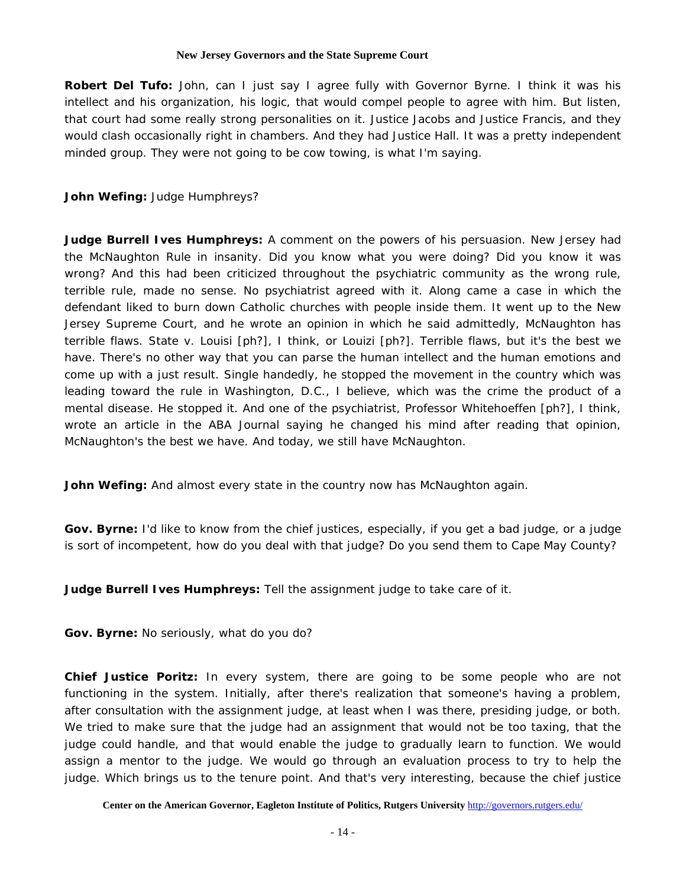**Robert Del Tufo:** John, can I just say I agree fully with Governor Byrne. I think it was his intellect and his organization, his logic, that would compel people to agree with him. But listen, that court had some really strong personalities on it. Justice Jacobs and Justice Francis, and they would clash occasionally right in chambers. And they had Justice Hall. It was a pretty independent minded group. They were not going to be cow towing, is what I'm saying.

# **John Wefing:** Judge Humphreys?

**Judge Burrell Ives Humphreys:** A comment on the powers of his persuasion. New Jersey had the McNaughton Rule in insanity. Did you know what you were doing? Did you know it was wrong? And this had been criticized throughout the psychiatric community as the wrong rule, terrible rule, made no sense. No psychiatrist agreed with it. Along came a case in which the defendant liked to burn down Catholic churches with people inside them. It went up to the New Jersey Supreme Court, and he wrote an opinion in which he said admittedly, McNaughton has terrible flaws. State v. Louisi [ph?], I think, or Louizi [ph?]. Terrible flaws, but it's the best we have. There's no other way that you can parse the human intellect and the human emotions and come up with a just result. Single handedly, he stopped the movement in the country which was leading toward the rule in Washington, D.C., I believe, which was the crime the product of a mental disease. He stopped it. And one of the psychiatrist, Professor Whitehoeffen [ph?], I think, wrote an article in the ABA Journal saying he changed his mind after reading that opinion, McNaughton's the best we have. And today, we still have McNaughton.

**John Wefing:** And almost every state in the country now has McNaughton again.

**Gov. Byrne:** I'd like to know from the chief justices, especially, if you get a bad judge, or a judge is sort of incompetent, how do you deal with that judge? Do you send them to Cape May County?

**Judge Burrell Ives Humphreys:** Tell the assignment judge to take care of it.

**Gov. Byrne:** No seriously, what do you do?

**Chief Justice Poritz:** In every system, there are going to be some people who are not functioning in the system. Initially, after there's realization that someone's having a problem, after consultation with the assignment judge, at least when I was there, presiding judge, or both. We tried to make sure that the judge had an assignment that would not be too taxing, that the judge could handle, and that would enable the judge to gradually learn to function. We would assign a mentor to the judge. We would go through an evaluation process to try to help the judge. Which brings us to the tenure point. And that's very interesting, because the chief justice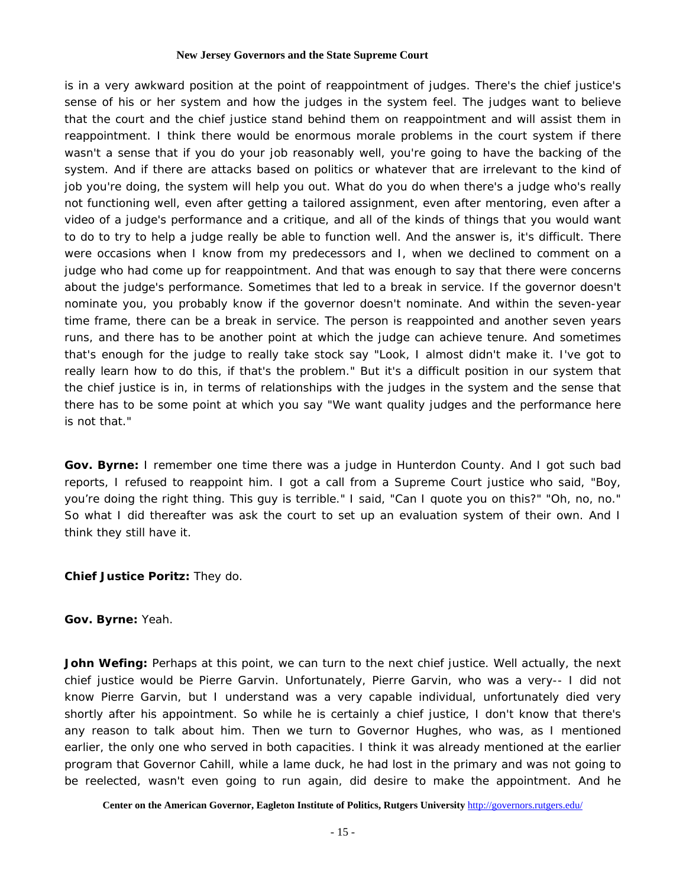is in a very awkward position at the point of reappointment of judges. There's the chief justice's sense of his or her system and how the judges in the system feel. The judges want to believe that the court and the chief justice stand behind them on reappointment and will assist them in reappointment. I think there would be enormous morale problems in the court system if there wasn't a sense that if you do your job reasonably well, you're going to have the backing of the system. And if there are attacks based on politics or whatever that are irrelevant to the kind of job you're doing, the system will help you out. What do you do when there's a judge who's really not functioning well, even after getting a tailored assignment, even after mentoring, even after a video of a judge's performance and a critique, and all of the kinds of things that you would want to do to try to help a judge really be able to function well. And the answer is, it's difficult. There were occasions when I know from my predecessors and I, when we declined to comment on a judge who had come up for reappointment. And that was enough to say that there were concerns about the judge's performance. Sometimes that led to a break in service. If the governor doesn't nominate you, you probably know if the governor doesn't nominate. And within the seven-year time frame, there can be a break in service. The person is reappointed and another seven years runs, and there has to be another point at which the judge can achieve tenure. And sometimes that's enough for the judge to really take stock say "Look, I almost didn't make it. I've got to really learn how to do this, if that's the problem." But it's a difficult position in our system that the chief justice is in, in terms of relationships with the judges in the system and the sense that there has to be some point at which you say "We want quality judges and the performance here is not that."

**Gov. Byrne:** I remember one time there was a judge in Hunterdon County. And I got such bad reports, I refused to reappoint him. I got a call from a Supreme Court justice who said, "Boy, you're doing the right thing. This guy is terrible." I said, "Can I quote you on this?" "Oh, no, no." So what I did thereafter was ask the court to set up an evaluation system of their own. And I think they still have it.

# **Chief Justice Poritz:** They do.

# **Gov. Byrne:** Yeah.

**John Wefing:** Perhaps at this point, we can turn to the next chief justice. Well actually, the next chief justice would be Pierre Garvin. Unfortunately, Pierre Garvin, who was a very-- I did not know Pierre Garvin, but I understand was a very capable individual, unfortunately died very shortly after his appointment. So while he is certainly a chief justice, I don't know that there's any reason to talk about him. Then we turn to Governor Hughes, who was, as I mentioned earlier, the only one who served in both capacities. I think it was already mentioned at the earlier program that Governor Cahill, while a lame duck, he had lost in the primary and was not going to be reelected, wasn't even going to run again, did desire to make the appointment. And he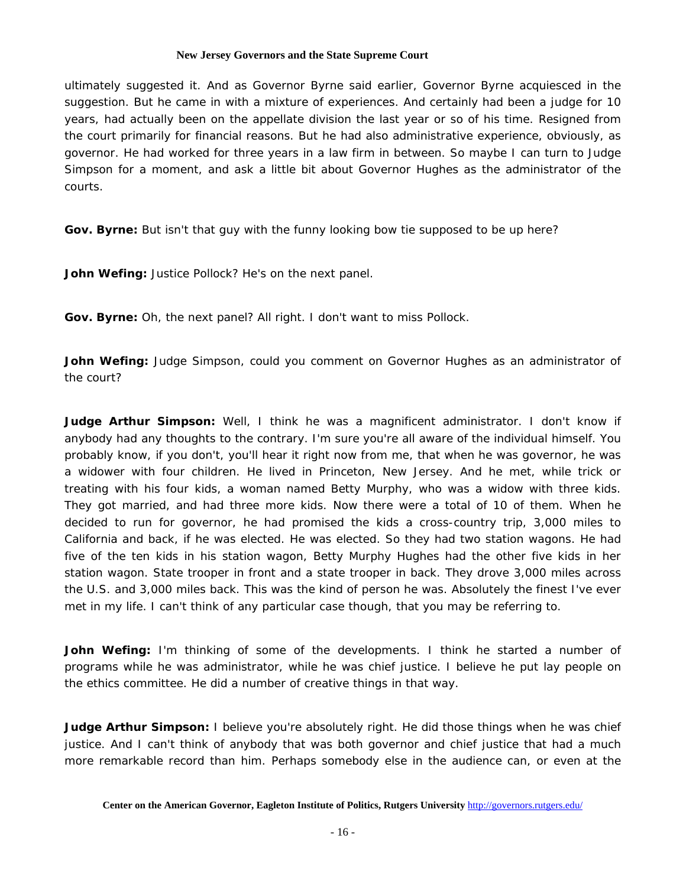ultimately suggested it. And as Governor Byrne said earlier, Governor Byrne acquiesced in the suggestion. But he came in with a mixture of experiences. And certainly had been a judge for 10 years, had actually been on the appellate division the last year or so of his time. Resigned from the court primarily for financial reasons. But he had also administrative experience, obviously, as governor. He had worked for three years in a law firm in between. So maybe I can turn to Judge Simpson for a moment, and ask a little bit about Governor Hughes as the administrator of the courts.

**Gov. Byrne:** But isn't that guy with the funny looking bow tie supposed to be up here?

**John Wefing:** Justice Pollock? He's on the next panel.

**Gov. Byrne:** Oh, the next panel? All right. I don't want to miss Pollock.

**John Wefing:** Judge Simpson, could you comment on Governor Hughes as an administrator of the court?

**Judge Arthur Simpson:** Well, I think he was a magnificent administrator. I don't know if anybody had any thoughts to the contrary. I'm sure you're all aware of the individual himself. You probably know, if you don't, you'll hear it right now from me, that when he was governor, he was a widower with four children. He lived in Princeton, New Jersey. And he met, while trick or treating with his four kids, a woman named Betty Murphy, who was a widow with three kids. They got married, and had three more kids. Now there were a total of 10 of them. When he decided to run for governor, he had promised the kids a cross-country trip, 3,000 miles to California and back, if he was elected. He was elected. So they had two station wagons. He had five of the ten kids in his station wagon, Betty Murphy Hughes had the other five kids in her station wagon. State trooper in front and a state trooper in back. They drove 3,000 miles across the U.S. and 3,000 miles back. This was the kind of person he was. Absolutely the finest I've ever met in my life. I can't think of any particular case though, that you may be referring to.

**John Wefing:** I'm thinking of some of the developments. I think he started a number of programs while he was administrator, while he was chief justice. I believe he put lay people on the ethics committee. He did a number of creative things in that way.

**Judge Arthur Simpson:** I believe you're absolutely right. He did those things when he was chief justice. And I can't think of anybody that was both governor and chief justice that had a much more remarkable record than him. Perhaps somebody else in the audience can, or even at the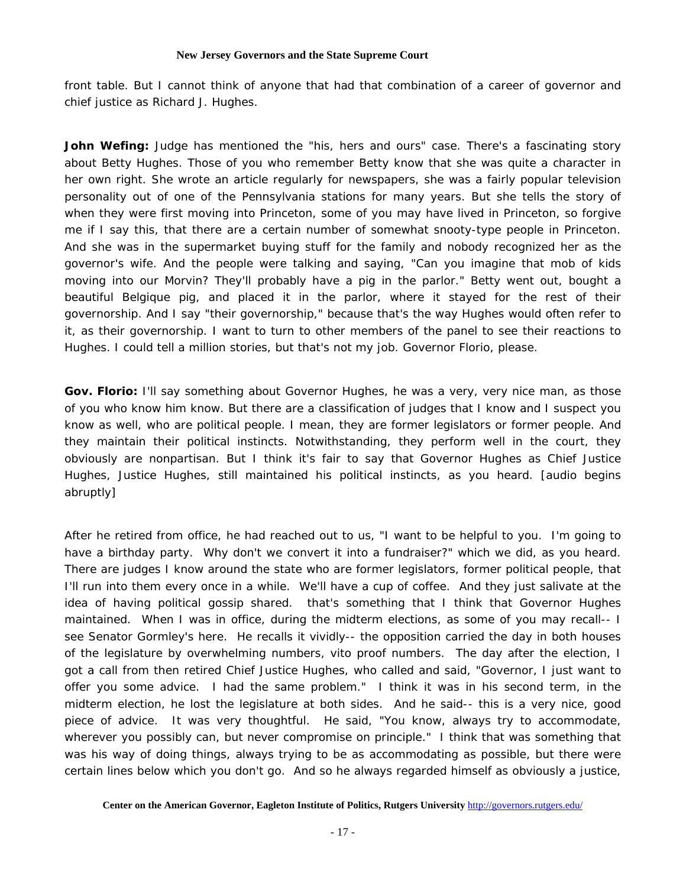front table. But I cannot think of anyone that had that combination of a career of governor and chief justice as Richard J. Hughes.

**John Wefing:** Judge has mentioned the "his, hers and ours" case. There's a fascinating story about Betty Hughes. Those of you who remember Betty know that she was quite a character in her own right. She wrote an article regularly for newspapers, she was a fairly popular television personality out of one of the Pennsylvania stations for many years. But she tells the story of when they were first moving into Princeton, some of you may have lived in Princeton, so forgive me if I say this, that there are a certain number of somewhat snooty-type people in Princeton. And she was in the supermarket buying stuff for the family and nobody recognized her as the governor's wife. And the people were talking and saying, "Can you imagine that mob of kids moving into our Morvin? They'll probably have a pig in the parlor." Betty went out, bought a beautiful Belgique pig, and placed it in the parlor, where it stayed for the rest of their governorship. And I say "their governorship," because that's the way Hughes would often refer to it, as their governorship. I want to turn to other members of the panel to see their reactions to Hughes. I could tell a million stories, but that's not my job. Governor Florio, please.

**Gov. Florio:** I'll say something about Governor Hughes, he was a very, very nice man, as those of you who know him know. But there are a classification of judges that I know and I suspect you know as well, who are political people. I mean, they are former legislators or former people. And they maintain their political instincts. Notwithstanding, they perform well in the court, they obviously are nonpartisan. But I think it's fair to say that Governor Hughes as Chief Justice Hughes, Justice Hughes, still maintained his political instincts, as you heard. [audio begins abruptly]

After he retired from office, he had reached out to us, "I want to be helpful to you. I'm going to have a birthday party. Why don't we convert it into a fundraiser?" which we did, as you heard. There are judges I know around the state who are former legislators, former political people, that I'll run into them every once in a while. We'll have a cup of coffee. And they just salivate at the idea of having political gossip shared. that's something that I think that Governor Hughes maintained. When I was in office, during the midterm elections, as some of you may recall-- I see Senator Gormley's here. He recalls it vividly-- the opposition carried the day in both houses of the legislature by overwhelming numbers, vito proof numbers. The day after the election, I got a call from then retired Chief Justice Hughes, who called and said, "Governor, I just want to offer you some advice. I had the same problem." I think it was in his second term, in the midterm election, he lost the legislature at both sides. And he said-- this is a very nice, good piece of advice. It was very thoughtful. He said, "You know, always try to accommodate, wherever you possibly can, but never compromise on principle." I think that was something that was his way of doing things, always trying to be as accommodating as possible, but there were certain lines below which you don't go. And so he always regarded himself as obviously a justice,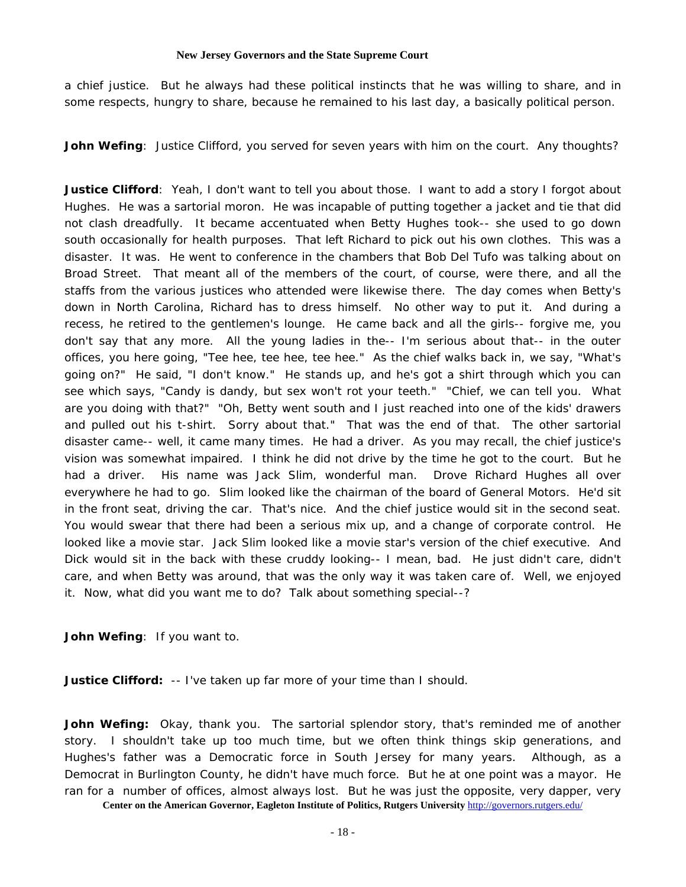a chief justice. But he always had these political instincts that he was willing to share, and in some respects, hungry to share, because he remained to his last day, a basically political person.

**John Wefing**: Justice Clifford, you served for seven years with him on the court. Any thoughts?

**Justice Clifford**: Yeah, I don't want to tell you about those. I want to add a story I forgot about Hughes. He was a sartorial moron. He was incapable of putting together a jacket and tie that did not clash dreadfully. It became accentuated when Betty Hughes took-- she used to go down south occasionally for health purposes. That left Richard to pick out his own clothes. This was a disaster. It was. He went to conference in the chambers that Bob Del Tufo was talking about on Broad Street. That meant all of the members of the court, of course, were there, and all the staffs from the various justices who attended were likewise there. The day comes when Betty's down in North Carolina, Richard has to dress himself. No other way to put it. And during a recess, he retired to the gentlemen's lounge. He came back and all the girls-- forgive me, you don't say that any more. All the young ladies in the-- I'm serious about that-- in the outer offices, you here going, "Tee hee, tee hee, tee hee." As the chief walks back in, we say, "What's going on?" He said, "I don't know." He stands up, and he's got a shirt through which you can see which says, "Candy is dandy, but sex won't rot your teeth." "Chief, we can tell you. What are you doing with that?" "Oh, Betty went south and I just reached into one of the kids' drawers and pulled out his t-shirt. Sorry about that." That was the end of that. The other sartorial disaster came-- well, it came many times. He had a driver. As you may recall, the chief justice's vision was somewhat impaired. I think he did not drive by the time he got to the court. But he had a driver. His name was Jack Slim, wonderful man. Drove Richard Hughes all over everywhere he had to go. Slim looked like the chairman of the board of General Motors. He'd sit in the front seat, driving the car. That's nice. And the chief justice would sit in the second seat. You would swear that there had been a serious mix up, and a change of corporate control. He looked like a movie star. Jack Slim looked like a movie star's version of the chief executive. And Dick would sit in the back with these cruddy looking-- I mean, bad. He just didn't care, didn't care, and when Betty was around, that was the only way it was taken care of. Well, we enjoyed it. Now, what did you want me to do? Talk about something special--?

**John Wefing**: If you want to.

**Justice Clifford:** -- I've taken up far more of your time than I should.

**John Wefing:** Okay, thank you. The sartorial splendor story, that's reminded me of another story. I shouldn't take up too much time, but we often think things skip generations, and Hughes's father was a Democratic force in South Jersey for many years. Although, as a Democrat in Burlington County, he didn't have much force. But he at one point was a mayor. He ran for a number of offices, almost always lost. But he was just the opposite, very dapper, very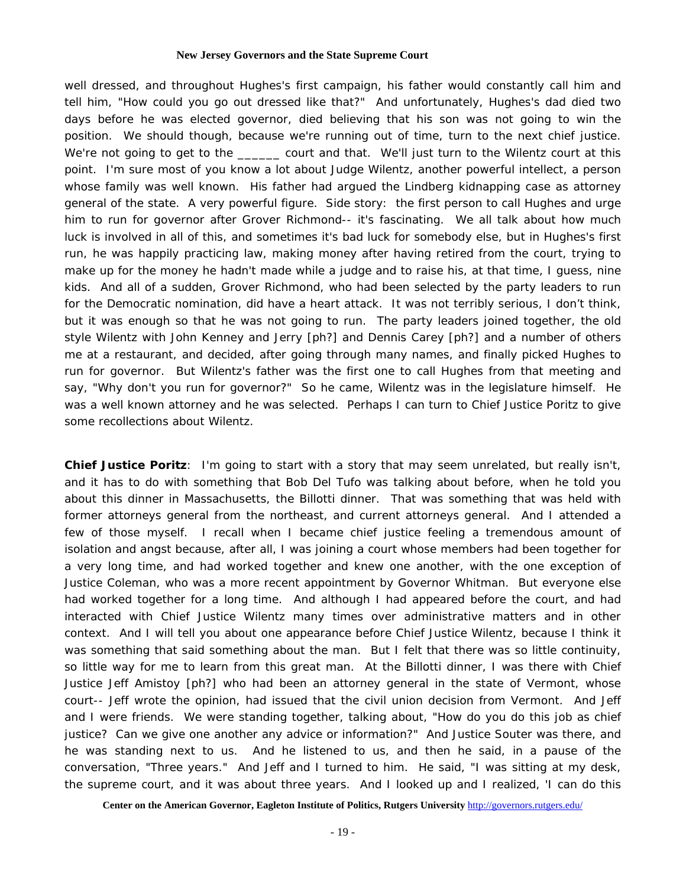well dressed, and throughout Hughes's first campaign, his father would constantly call him and tell him, "How could you go out dressed like that?" And unfortunately, Hughes's dad died two days before he was elected governor, died believing that his son was not going to win the position. We should though, because we're running out of time, turn to the next chief justice. We're not going to get to the \_\_\_\_\_\_ court and that. We'll just turn to the Wilentz court at this point. I'm sure most of you know a lot about Judge Wilentz, another powerful intellect, a person whose family was well known. His father had argued the Lindberg kidnapping case as attorney general of the state. A very powerful figure. Side story: the first person to call Hughes and urge him to run for governor after Grover Richmond-- it's fascinating. We all talk about how much luck is involved in all of this, and sometimes it's bad luck for somebody else, but in Hughes's first run, he was happily practicing law, making money after having retired from the court, trying to make up for the money he hadn't made while a judge and to raise his, at that time, I guess, nine kids. And all of a sudden, Grover Richmond, who had been selected by the party leaders to run for the Democratic nomination, did have a heart attack. It was not terribly serious, I don't think, but it was enough so that he was not going to run. The party leaders joined together, the old style Wilentz with John Kenney and Jerry [ph?] and Dennis Carey [ph?] and a number of others me at a restaurant, and decided, after going through many names, and finally picked Hughes to run for governor. But Wilentz's father was the first one to call Hughes from that meeting and say, "Why don't you run for governor?" So he came, Wilentz was in the legislature himself. He was a well known attorney and he was selected. Perhaps I can turn to Chief Justice Poritz to give some recollections about Wilentz.

**Chief Justice Poritz**: I'm going to start with a story that may seem unrelated, but really isn't, and it has to do with something that Bob Del Tufo was talking about before, when he told you about this dinner in Massachusetts, the Billotti dinner. That was something that was held with former attorneys general from the northeast, and current attorneys general. And I attended a few of those myself. I recall when I became chief justice feeling a tremendous amount of isolation and angst because, after all, I was joining a court whose members had been together for a very long time, and had worked together and knew one another, with the one exception of Justice Coleman, who was a more recent appointment by Governor Whitman. But everyone else had worked together for a long time. And although I had appeared before the court, and had interacted with Chief Justice Wilentz many times over administrative matters and in other context. And I will tell you about one appearance before Chief Justice Wilentz, because I think it was something that said something about the man. But I felt that there was so little continuity, so little way for me to learn from this great man. At the Billotti dinner, I was there with Chief Justice Jeff Amistoy [ph?] who had been an attorney general in the state of Vermont, whose court-- Jeff wrote the opinion, had issued that the civil union decision from Vermont. And Jeff and I were friends. We were standing together, talking about, "How do you do this job as chief justice? Can we give one another any advice or information?" And Justice Souter was there, and he was standing next to us. And he listened to us, and then he said, in a pause of the conversation, "Three years." And Jeff and I turned to him. He said, "I was sitting at my desk, the supreme court, and it was about three years. And I looked up and I realized, 'I can do this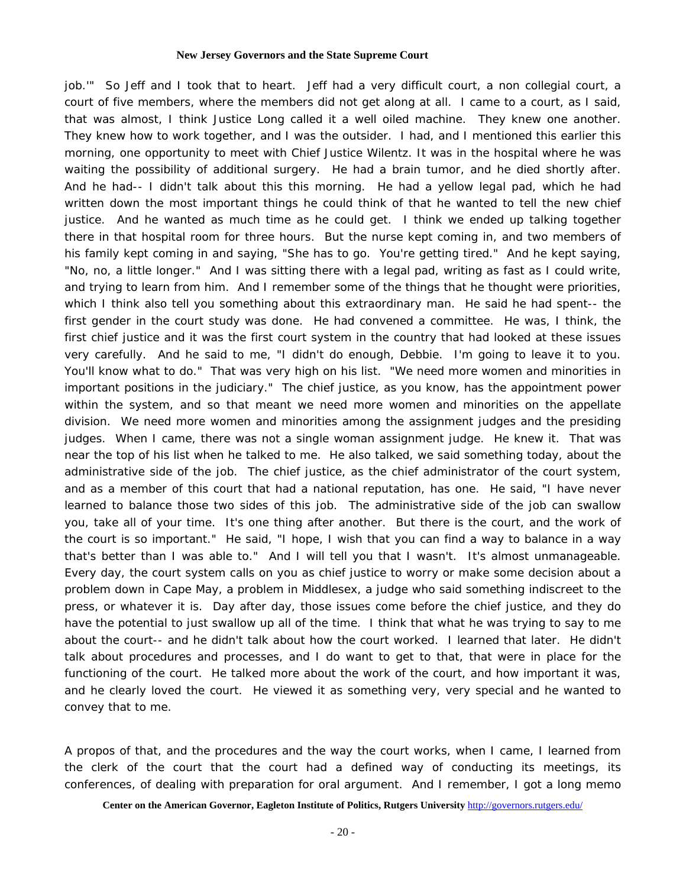job.'" So Jeff and I took that to heart. Jeff had a very difficult court, a non collegial court, a court of five members, where the members did not get along at all. I came to a court, as I said, that was almost, I think Justice Long called it a well oiled machine. They knew one another. They knew how to work together, and I was the outsider. I had, and I mentioned this earlier this morning, one opportunity to meet with Chief Justice Wilentz. It was in the hospital where he was waiting the possibility of additional surgery. He had a brain tumor, and he died shortly after. And he had-- I didn't talk about this this morning. He had a yellow legal pad, which he had written down the most important things he could think of that he wanted to tell the new chief justice. And he wanted as much time as he could get. I think we ended up talking together there in that hospital room for three hours. But the nurse kept coming in, and two members of his family kept coming in and saying, "She has to go. You're getting tired." And he kept saying, "No, no, a little longer." And I was sitting there with a legal pad, writing as fast as I could write, and trying to learn from him. And I remember some of the things that he thought were priorities, which I think also tell you something about this extraordinary man. He said he had spent-- the first gender in the court study was done. He had convened a committee. He was, I think, the first chief justice and it was the first court system in the country that had looked at these issues very carefully. And he said to me, "I didn't do enough, Debbie. I'm going to leave it to you. You'll know what to do." That was very high on his list. "We need more women and minorities in important positions in the judiciary." The chief justice, as you know, has the appointment power within the system, and so that meant we need more women and minorities on the appellate division. We need more women and minorities among the assignment judges and the presiding judges. When I came, there was not a single woman assignment judge. He knew it. That was near the top of his list when he talked to me. He also talked, we said something today, about the administrative side of the job. The chief justice, as the chief administrator of the court system, and as a member of this court that had a national reputation, has one. He said, "I have never learned to balance those two sides of this job. The administrative side of the job can swallow you, take all of your time. It's one thing after another. But there is the court, and the work of the court is so important." He said, "I hope, I wish that you can find a way to balance in a way that's better than I was able to." And I will tell you that I wasn't. It's almost unmanageable. Every day, the court system calls on you as chief justice to worry or make some decision about a problem down in Cape May, a problem in Middlesex, a judge who said something indiscreet to the press, or whatever it is. Day after day, those issues come before the chief justice, and they do have the potential to just swallow up all of the time. I think that what he was trying to say to me about the court-- and he didn't talk about how the court worked. I learned that later. He didn't talk about procedures and processes, and I do want to get to that, that were in place for the functioning of the court. He talked more about the work of the court, and how important it was, and he clearly loved the court. He viewed it as something very, very special and he wanted to convey that to me.

A propos of that, and the procedures and the way the court works, when I came, I learned from the clerk of the court that the court had a defined way of conducting its meetings, its conferences, of dealing with preparation for oral argument. And I remember, I got a long memo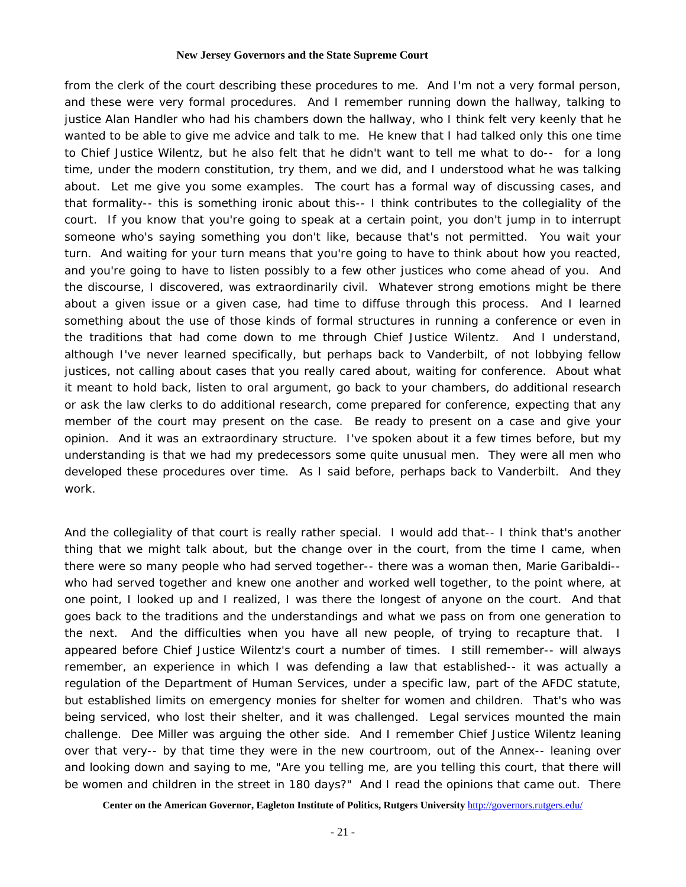from the clerk of the court describing these procedures to me. And I'm not a very formal person, and these were very formal procedures. And I remember running down the hallway, talking to justice Alan Handler who had his chambers down the hallway, who I think felt very keenly that he wanted to be able to give me advice and talk to me. He knew that I had talked only this one time to Chief Justice Wilentz, but he also felt that he didn't want to tell me what to do-- for a long time, under the modern constitution, try them, and we did, and I understood what he was talking about. Let me give you some examples. The court has a formal way of discussing cases, and that formality-- this is something ironic about this-- I think contributes to the collegiality of the court. If you know that you're going to speak at a certain point, you don't jump in to interrupt someone who's saying something you don't like, because that's not permitted. You wait your turn. And waiting for your turn means that you're going to have to think about how you reacted, and you're going to have to listen possibly to a few other justices who come ahead of you. And the discourse, I discovered, was extraordinarily civil. Whatever strong emotions might be there about a given issue or a given case, had time to diffuse through this process. And I learned something about the use of those kinds of formal structures in running a conference or even in the traditions that had come down to me through Chief Justice Wilentz. And I understand, although I've never learned specifically, but perhaps back to Vanderbilt, of not lobbying fellow justices, not calling about cases that you really cared about, waiting for conference. About what it meant to hold back, listen to oral argument, go back to your chambers, do additional research or ask the law clerks to do additional research, come prepared for conference, expecting that any member of the court may present on the case. Be ready to present on a case and give your opinion. And it was an extraordinary structure. I've spoken about it a few times before, but my understanding is that we had my predecessors some quite unusual men. They were all men who developed these procedures over time. As I said before, perhaps back to Vanderbilt. And they work.

And the collegiality of that court is really rather special. I would add that-- I think that's another thing that we might talk about, but the change over in the court, from the time I came, when there were so many people who had served together-- there was a woman then, Marie Garibaldi- who had served together and knew one another and worked well together, to the point where, at one point, I looked up and I realized, I was there the longest of anyone on the court. And that goes back to the traditions and the understandings and what we pass on from one generation to the next. And the difficulties when you have all new people, of trying to recapture that. I appeared before Chief Justice Wilentz's court a number of times. I still remember-- will always remember, an experience in which I was defending a law that established-- it was actually a regulation of the Department of Human Services, under a specific law, part of the AFDC statute, but established limits on emergency monies for shelter for women and children. That's who was being serviced, who lost their shelter, and it was challenged. Legal services mounted the main challenge. Dee Miller was arguing the other side. And I remember Chief Justice Wilentz leaning over that very-- by that time they were in the new courtroom, out of the Annex-- leaning over and looking down and saying to me, "Are you telling me, are you telling this court, that there will be women and children in the street in 180 days?" And I read the opinions that came out. There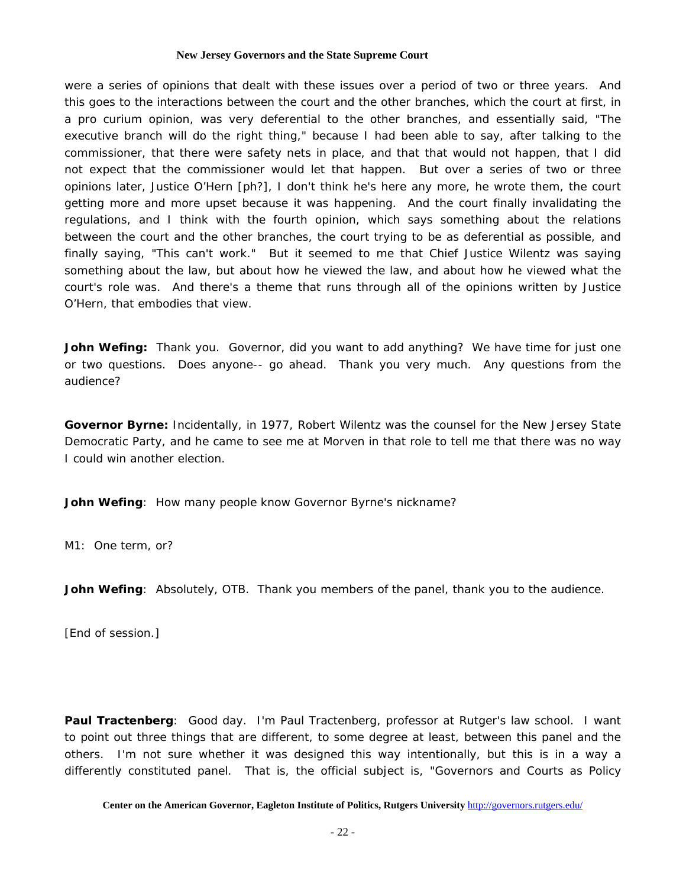were a series of opinions that dealt with these issues over a period of two or three years. And this goes to the interactions between the court and the other branches, which the court at first, in a pro curium opinion, was very deferential to the other branches, and essentially said, "The executive branch will do the right thing," because I had been able to say, after talking to the commissioner, that there were safety nets in place, and that that would not happen, that I did not expect that the commissioner would let that happen. But over a series of two or three opinions later, Justice O'Hern [ph?], I don't think he's here any more, he wrote them, the court getting more and more upset because it was happening. And the court finally invalidating the regulations, and I think with the fourth opinion, which says something about the relations between the court and the other branches, the court trying to be as deferential as possible, and finally saying, "This can't work." But it seemed to me that Chief Justice Wilentz was saying something about the law, but about how he viewed the law, and about how he viewed what the court's role was. And there's a theme that runs through all of the opinions written by Justice O'Hern, that embodies that view.

**John Wefing:** Thank you. Governor, did you want to add anything? We have time for just one or two questions. Does anyone-- go ahead. Thank you very much. Any questions from the audience?

**Governor Byrne:** Incidentally, in 1977, Robert Wilentz was the counsel for the New Jersey State Democratic Party, and he came to see me at Morven in that role to tell me that there was no way I could win another election.

**John Wefing**: How many people know Governor Byrne's nickname?

M1: One term, or?

**John Wefing**: Absolutely, OTB. Thank you members of the panel, thank you to the audience.

[End of session.]

**Paul Tractenberg**: Good day. I'm Paul Tractenberg, professor at Rutger's law school. I want to point out three things that are different, to some degree at least, between this panel and the others. I'm not sure whether it was designed this way intentionally, but this is in a way a differently constituted panel. That is, the official subject is, "Governors and Courts as Policy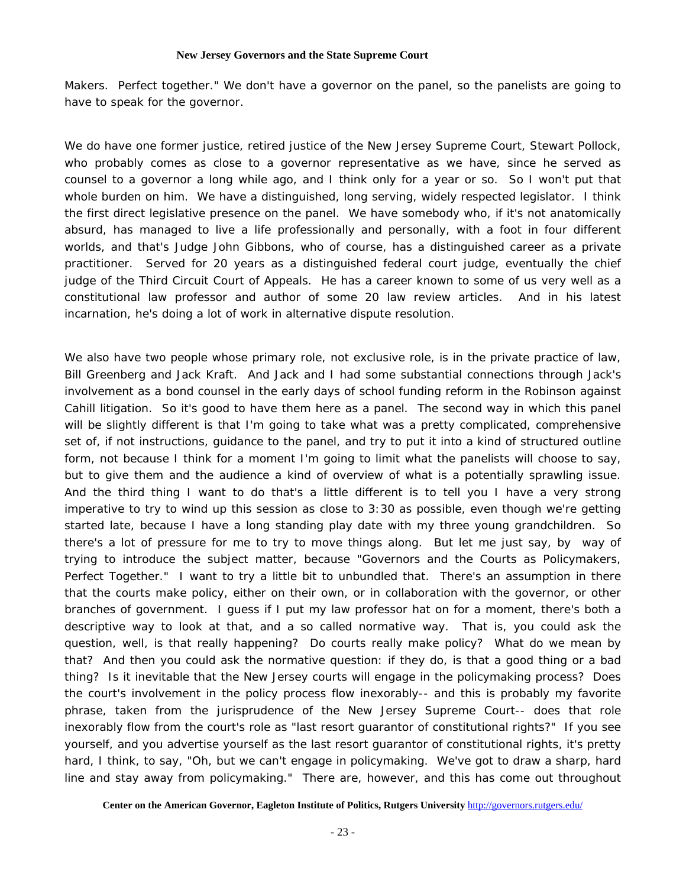Makers. Perfect together." We don't have a governor on the panel, so the panelists are going to have to speak for the governor.

We do have one former justice, retired justice of the New Jersey Supreme Court, Stewart Pollock, who probably comes as close to a governor representative as we have, since he served as counsel to a governor a long while ago, and I think only for a year or so. So I won't put that whole burden on him. We have a distinguished, long serving, widely respected legislator. I think the first direct legislative presence on the panel. We have somebody who, if it's not anatomically absurd, has managed to live a life professionally and personally, with a foot in four different worlds, and that's Judge John Gibbons, who of course, has a distinguished career as a private practitioner. Served for 20 years as a distinguished federal court judge, eventually the chief judge of the Third Circuit Court of Appeals. He has a career known to some of us very well as a constitutional law professor and author of some 20 law review articles. And in his latest incarnation, he's doing a lot of work in alternative dispute resolution.

We also have two people whose primary role, not exclusive role, is in the private practice of law, Bill Greenberg and Jack Kraft. And Jack and I had some substantial connections through Jack's involvement as a bond counsel in the early days of school funding reform in the Robinson against Cahill litigation. So it's good to have them here as a panel. The second way in which this panel will be slightly different is that I'm going to take what was a pretty complicated, comprehensive set of, if not instructions, guidance to the panel, and try to put it into a kind of structured outline form, not because I think for a moment I'm going to limit what the panelists will choose to say, but to give them and the audience a kind of overview of what is a potentially sprawling issue. And the third thing I want to do that's a little different is to tell you I have a very strong imperative to try to wind up this session as close to 3:30 as possible, even though we're getting started late, because I have a long standing play date with my three young grandchildren. So there's a lot of pressure for me to try to move things along. But let me just say, by way of trying to introduce the subject matter, because "Governors and the Courts as Policymakers, Perfect Together." I want to try a little bit to unbundled that. There's an assumption in there that the courts make policy, either on their own, or in collaboration with the governor, or other branches of government. I guess if I put my law professor hat on for a moment, there's both a descriptive way to look at that, and a so called normative way. That is, you could ask the question, well, is that really happening? Do courts really make policy? What do we mean by that? And then you could ask the normative question: if they do, is that a good thing or a bad thing? Is it inevitable that the New Jersey courts will engage in the policymaking process? Does the court's involvement in the policy process flow inexorably-- and this is probably my favorite phrase, taken from the jurisprudence of the New Jersey Supreme Court-- does that role inexorably flow from the court's role as "last resort guarantor of constitutional rights?" If you see yourself, and you advertise yourself as the last resort guarantor of constitutional rights, it's pretty hard, I think, to say, "Oh, but we can't engage in policymaking. We've got to draw a sharp, hard line and stay away from policymaking." There are, however, and this has come out throughout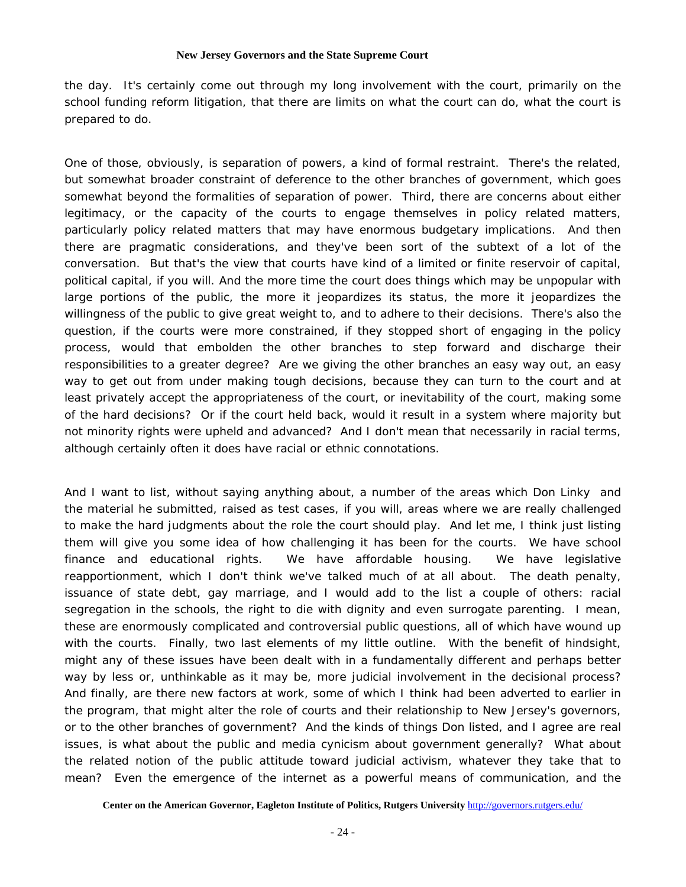the day. It's certainly come out through my long involvement with the court, primarily on the school funding reform litigation, that there are limits on what the court can do, what the court is prepared to do.

One of those, obviously, is separation of powers, a kind of formal restraint. There's the related, but somewhat broader constraint of deference to the other branches of government, which goes somewhat beyond the formalities of separation of power. Third, there are concerns about either legitimacy, or the capacity of the courts to engage themselves in policy related matters, particularly policy related matters that may have enormous budgetary implications. And then there are pragmatic considerations, and they've been sort of the subtext of a lot of the conversation. But that's the view that courts have kind of a limited or finite reservoir of capital, political capital, if you will. And the more time the court does things which may be unpopular with large portions of the public, the more it jeopardizes its status, the more it jeopardizes the willingness of the public to give great weight to, and to adhere to their decisions. There's also the question, if the courts were more constrained, if they stopped short of engaging in the policy process, would that embolden the other branches to step forward and discharge their responsibilities to a greater degree? Are we giving the other branches an easy way out, an easy way to get out from under making tough decisions, because they can turn to the court and at least privately accept the appropriateness of the court, or inevitability of the court, making some of the hard decisions? Or if the court held back, would it result in a system where majority but not minority rights were upheld and advanced? And I don't mean that necessarily in racial terms, although certainly often it does have racial or ethnic connotations.

And I want to list, without saying anything about, a number of the areas which Don Linky and the material he submitted, raised as test cases, if you will, areas where we are really challenged to make the hard judgments about the role the court should play. And let me, I think just listing them will give you some idea of how challenging it has been for the courts. We have school finance and educational rights. We have affordable housing. We have legislative reapportionment, which I don't think we've talked much of at all about. The death penalty, issuance of state debt, gay marriage, and I would add to the list a couple of others: racial segregation in the schools, the right to die with dignity and even surrogate parenting. I mean, these are enormously complicated and controversial public questions, all of which have wound up with the courts. Finally, two last elements of my little outline. With the benefit of hindsight, might any of these issues have been dealt with in a fundamentally different and perhaps better way by less or, unthinkable as it may be, more judicial involvement in the decisional process? And finally, are there new factors at work, some of which I think had been adverted to earlier in the program, that might alter the role of courts and their relationship to New Jersey's governors, or to the other branches of government? And the kinds of things Don listed, and I agree are real issues, is what about the public and media cynicism about government generally? What about the related notion of the public attitude toward judicial activism, whatever they take that to mean? Even the emergence of the internet as a powerful means of communication, and the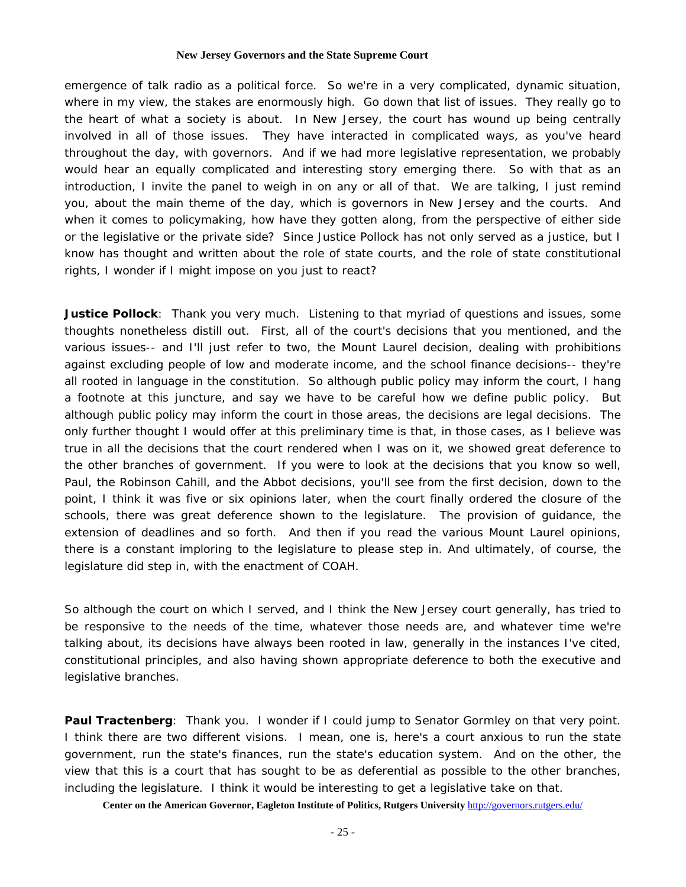emergence of talk radio as a political force. So we're in a very complicated, dynamic situation, where in my view, the stakes are enormously high. Go down that list of issues. They really go to the heart of what a society is about. In New Jersey, the court has wound up being centrally involved in all of those issues. They have interacted in complicated ways, as you've heard throughout the day, with governors. And if we had more legislative representation, we probably would hear an equally complicated and interesting story emerging there. So with that as an introduction, I invite the panel to weigh in on any or all of that. We are talking, I just remind you, about the main theme of the day, which is governors in New Jersey and the courts. And when it comes to policymaking, how have they gotten along, from the perspective of either side or the legislative or the private side? Since Justice Pollock has not only served as a justice, but I know has thought and written about the role of state courts, and the role of state constitutional rights, I wonder if I might impose on you just to react?

**Justice Pollock**: Thank you very much. Listening to that myriad of questions and issues, some thoughts nonetheless distill out. First, all of the court's decisions that you mentioned, and the various issues-- and I'll just refer to two, the Mount Laurel decision, dealing with prohibitions against excluding people of low and moderate income, and the school finance decisions-- they're all rooted in language in the constitution. So although public policy may inform the court, I hang a footnote at this juncture, and say we have to be careful how we define public policy. But although public policy may inform the court in those areas, the decisions are legal decisions. The only further thought I would offer at this preliminary time is that, in those cases, as I believe was true in all the decisions that the court rendered when I was on it, we showed great deference to the other branches of government. If you were to look at the decisions that you know so well, Paul, the Robinson Cahill, and the Abbot decisions, you'll see from the first decision, down to the point, I think it was five or six opinions later, when the court finally ordered the closure of the schools, there was great deference shown to the legislature. The provision of guidance, the extension of deadlines and so forth. And then if you read the various Mount Laurel opinions, there is a constant imploring to the legislature to please step in. And ultimately, of course, the legislature did step in, with the enactment of COAH.

So although the court on which I served, and I think the New Jersey court generally, has tried to be responsive to the needs of the time, whatever those needs are, and whatever time we're talking about, its decisions have always been rooted in law, generally in the instances I've cited, constitutional principles, and also having shown appropriate deference to both the executive and legislative branches.

**Paul Tractenberg**: Thank you. I wonder if I could jump to Senator Gormley on that very point. I think there are two different visions. I mean, one is, here's a court anxious to run the state government, run the state's finances, run the state's education system. And on the other, the view that this is a court that has sought to be as deferential as possible to the other branches, including the legislature. I think it would be interesting to get a legislative take on that.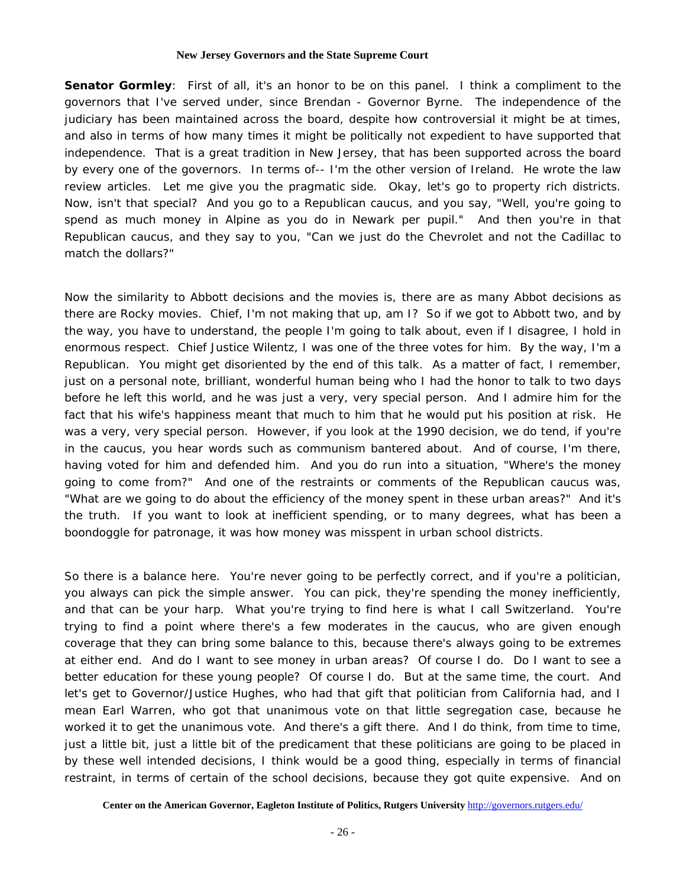**Senator Gormley**: First of all, it's an honor to be on this panel. I think a compliment to the governors that I've served under, since Brendan - Governor Byrne. The independence of the judiciary has been maintained across the board, despite how controversial it might be at times, and also in terms of how many times it might be politically not expedient to have supported that independence. That is a great tradition in New Jersey, that has been supported across the board by every one of the governors. In terms of-- I'm the other version of Ireland. He wrote the law review articles. Let me give you the pragmatic side. Okay, let's go to property rich districts. Now, isn't that special? And you go to a Republican caucus, and you say, "Well, you're going to spend as much money in Alpine as you do in Newark per pupil." And then you're in that Republican caucus, and they say to you, "Can we just do the Chevrolet and not the Cadillac to match the dollars?"

Now the similarity to Abbott decisions and the movies is, there are as many Abbot decisions as there are Rocky movies. Chief, I'm not making that up, am I? So if we got to Abbott two, and by the way, you have to understand, the people I'm going to talk about, even if I disagree, I hold in enormous respect. Chief Justice Wilentz, I was one of the three votes for him. By the way, I'm a Republican. You might get disoriented by the end of this talk. As a matter of fact, I remember, just on a personal note, brilliant, wonderful human being who I had the honor to talk to two days before he left this world, and he was just a very, very special person. And I admire him for the fact that his wife's happiness meant that much to him that he would put his position at risk. He was a very, very special person. However, if you look at the 1990 decision, we do tend, if you're in the caucus, you hear words such as communism bantered about. And of course, I'm there, having voted for him and defended him. And you do run into a situation, "Where's the money going to come from?" And one of the restraints or comments of the Republican caucus was, "What are we going to do about the efficiency of the money spent in these urban areas?" And it's the truth. If you want to look at inefficient spending, or to many degrees, what has been a boondoggle for patronage, it was how money was misspent in urban school districts.

So there is a balance here. You're never going to be perfectly correct, and if you're a politician, you always can pick the simple answer. You can pick, they're spending the money inefficiently, and that can be your harp. What you're trying to find here is what I call Switzerland. You're trying to find a point where there's a few moderates in the caucus, who are given enough coverage that they can bring some balance to this, because there's always going to be extremes at either end. And do I want to see money in urban areas? Of course I do. Do I want to see a better education for these young people? Of course I do. But at the same time, the court. And let's get to Governor/Justice Hughes, who had that gift that politician from California had, and I mean Earl Warren, who got that unanimous vote on that little segregation case, because he worked it to get the unanimous vote. And there's a gift there. And I do think, from time to time, just a little bit, just a little bit of the predicament that these politicians are going to be placed in by these well intended decisions, I think would be a good thing, especially in terms of financial restraint, in terms of certain of the school decisions, because they got quite expensive. And on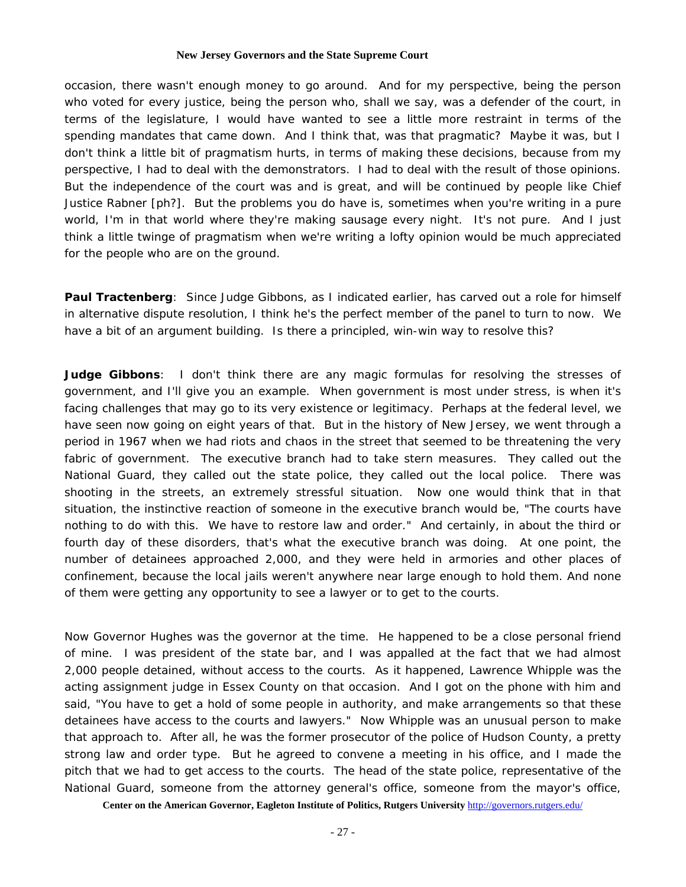occasion, there wasn't enough money to go around. And for my perspective, being the person who voted for every justice, being the person who, shall we say, was a defender of the court, in terms of the legislature, I would have wanted to see a little more restraint in terms of the spending mandates that came down. And I think that, was that pragmatic? Maybe it was, but I don't think a little bit of pragmatism hurts, in terms of making these decisions, because from my perspective, I had to deal with the demonstrators. I had to deal with the result of those opinions. But the independence of the court was and is great, and will be continued by people like Chief Justice Rabner [ph?]. But the problems you do have is, sometimes when you're writing in a pure world, I'm in that world where they're making sausage every night. It's not pure. And I just think a little twinge of pragmatism when we're writing a lofty opinion would be much appreciated for the people who are on the ground.

**Paul Tractenberg**: Since Judge Gibbons, as I indicated earlier, has carved out a role for himself in alternative dispute resolution, I think he's the perfect member of the panel to turn to now. We have a bit of an argument building. Is there a principled, win-win way to resolve this?

**Judge Gibbons**: I don't think there are any magic formulas for resolving the stresses of government, and I'll give you an example. When government is most under stress, is when it's facing challenges that may go to its very existence or legitimacy. Perhaps at the federal level, we have seen now going on eight years of that. But in the history of New Jersey, we went through a period in 1967 when we had riots and chaos in the street that seemed to be threatening the very fabric of government. The executive branch had to take stern measures. They called out the National Guard, they called out the state police, they called out the local police. There was shooting in the streets, an extremely stressful situation. Now one would think that in that situation, the instinctive reaction of someone in the executive branch would be, "The courts have nothing to do with this. We have to restore law and order." And certainly, in about the third or fourth day of these disorders, that's what the executive branch was doing. At one point, the number of detainees approached 2,000, and they were held in armories and other places of confinement, because the local jails weren't anywhere near large enough to hold them. And none of them were getting any opportunity to see a lawyer or to get to the courts.

Now Governor Hughes was the governor at the time. He happened to be a close personal friend of mine. I was president of the state bar, and I was appalled at the fact that we had almost 2,000 people detained, without access to the courts. As it happened, Lawrence Whipple was the acting assignment judge in Essex County on that occasion. And I got on the phone with him and said, "You have to get a hold of some people in authority, and make arrangements so that these detainees have access to the courts and lawyers." Now Whipple was an unusual person to make that approach to. After all, he was the former prosecutor of the police of Hudson County, a pretty strong law and order type. But he agreed to convene a meeting in his office, and I made the pitch that we had to get access to the courts. The head of the state police, representative of the National Guard, someone from the attorney general's office, someone from the mayor's office,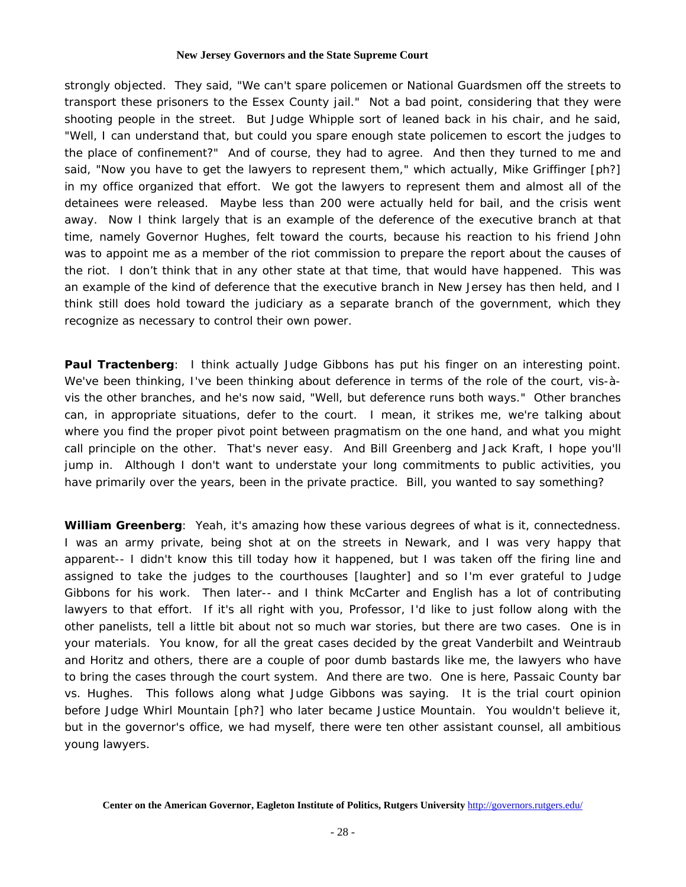strongly objected. They said, "We can't spare policemen or National Guardsmen off the streets to transport these prisoners to the Essex County jail." Not a bad point, considering that they were shooting people in the street. But Judge Whipple sort of leaned back in his chair, and he said, "Well, I can understand that, but could you spare enough state policemen to escort the judges to the place of confinement?" And of course, they had to agree. And then they turned to me and said, "Now you have to get the lawyers to represent them," which actually, Mike Griffinger [ph?] in my office organized that effort. We got the lawyers to represent them and almost all of the detainees were released. Maybe less than 200 were actually held for bail, and the crisis went away. Now I think largely that is an example of the deference of the executive branch at that time, namely Governor Hughes, felt toward the courts, because his reaction to his friend John was to appoint me as a member of the riot commission to prepare the report about the causes of the riot. I don't think that in any other state at that time, that would have happened. This was an example of the kind of deference that the executive branch in New Jersey has then held, and I think still does hold toward the judiciary as a separate branch of the government, which they recognize as necessary to control their own power.

**Paul Tractenberg**: I think actually Judge Gibbons has put his finger on an interesting point. We've been thinking, I've been thinking about deference in terms of the role of the court, vis-àvis the other branches, and he's now said, "Well, but deference runs both ways." Other branches can, in appropriate situations, defer to the court. I mean, it strikes me, we're talking about where you find the proper pivot point between pragmatism on the one hand, and what you might call principle on the other. That's never easy. And Bill Greenberg and Jack Kraft, I hope you'll jump in. Although I don't want to understate your long commitments to public activities, you have primarily over the years, been in the private practice. Bill, you wanted to say something?

**William Greenberg**: Yeah, it's amazing how these various degrees of what is it, connectedness. I was an army private, being shot at on the streets in Newark, and I was very happy that apparent-- I didn't know this till today how it happened, but I was taken off the firing line and assigned to take the judges to the courthouses [laughter] and so I'm ever grateful to Judge Gibbons for his work. Then later-- and I think McCarter and English has a lot of contributing lawyers to that effort. If it's all right with you, Professor, I'd like to just follow along with the other panelists, tell a little bit about not so much war stories, but there are two cases. One is in your materials. You know, for all the great cases decided by the great Vanderbilt and Weintraub and Horitz and others, there are a couple of poor dumb bastards like me, the lawyers who have to bring the cases through the court system. And there are two. One is here, Passaic County bar vs. Hughes. This follows along what Judge Gibbons was saying. It is the trial court opinion before Judge Whirl Mountain [ph?] who later became Justice Mountain. You wouldn't believe it, but in the governor's office, we had myself, there were ten other assistant counsel, all ambitious young lawyers.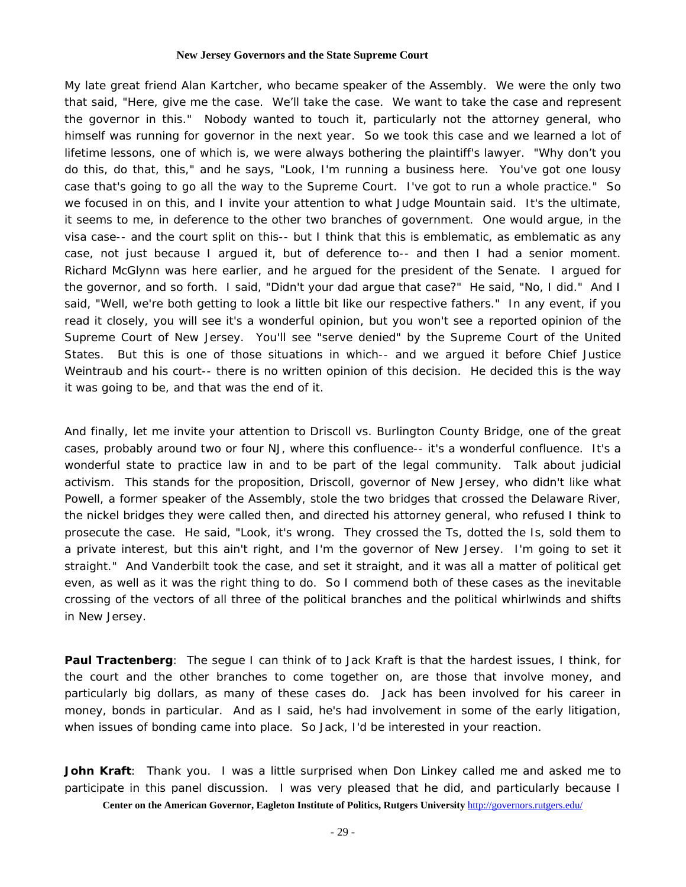My late great friend Alan Kartcher, who became speaker of the Assembly. We were the only two that said, "Here, give me the case. We'll take the case. We want to take the case and represent the governor in this." Nobody wanted to touch it, particularly not the attorney general, who himself was running for governor in the next year. So we took this case and we learned a lot of lifetime lessons, one of which is, we were always bothering the plaintiff's lawyer. "Why don't you do this, do that, this," and he says, "Look, I'm running a business here. You've got one lousy case that's going to go all the way to the Supreme Court. I've got to run a whole practice." So we focused in on this, and I invite your attention to what Judge Mountain said. It's the ultimate, it seems to me, in deference to the other two branches of government. One would argue, in the visa case-- and the court split on this-- but I think that this is emblematic, as emblematic as any case, not just because I argued it, but of deference to-- and then I had a senior moment. Richard McGlynn was here earlier, and he argued for the president of the Senate. I argued for the governor, and so forth. I said, "Didn't your dad argue that case?" He said, "No, I did." And I said, "Well, we're both getting to look a little bit like our respective fathers." In any event, if you read it closely, you will see it's a wonderful opinion, but you won't see a reported opinion of the Supreme Court of New Jersey. You'll see "serve denied" by the Supreme Court of the United States. But this is one of those situations in which-- and we argued it before Chief Justice Weintraub and his court-- there is no written opinion of this decision. He decided this is the way it was going to be, and that was the end of it.

And finally, let me invite your attention to Driscoll vs. Burlington County Bridge, one of the great cases, probably around two or four NJ, where this confluence-- it's a wonderful confluence. It's a wonderful state to practice law in and to be part of the legal community. Talk about judicial activism. This stands for the proposition, Driscoll, governor of New Jersey, who didn't like what Powell, a former speaker of the Assembly, stole the two bridges that crossed the Delaware River, the nickel bridges they were called then, and directed his attorney general, who refused I think to prosecute the case. He said, "Look, it's wrong. They crossed the Ts, dotted the Is, sold them to a private interest, but this ain't right, and I'm the governor of New Jersey. I'm going to set it straight." And Vanderbilt took the case, and set it straight, and it was all a matter of political get even, as well as it was the right thing to do. So I commend both of these cases as the inevitable crossing of the vectors of all three of the political branches and the political whirlwinds and shifts in New Jersey.

**Paul Tractenberg**: The segue I can think of to Jack Kraft is that the hardest issues, I think, for the court and the other branches to come together on, are those that involve money, and particularly big dollars, as many of these cases do. Jack has been involved for his career in money, bonds in particular. And as I said, he's had involvement in some of the early litigation, when issues of bonding came into place. So Jack, I'd be interested in your reaction.

**Center on the American Governor, Eagleton Institute of Politics, Rutgers University** http://governors.rutgers.edu/ **John Kraft**: Thank you. I was a little surprised when Don Linkey called me and asked me to participate in this panel discussion. I was very pleased that he did, and particularly because I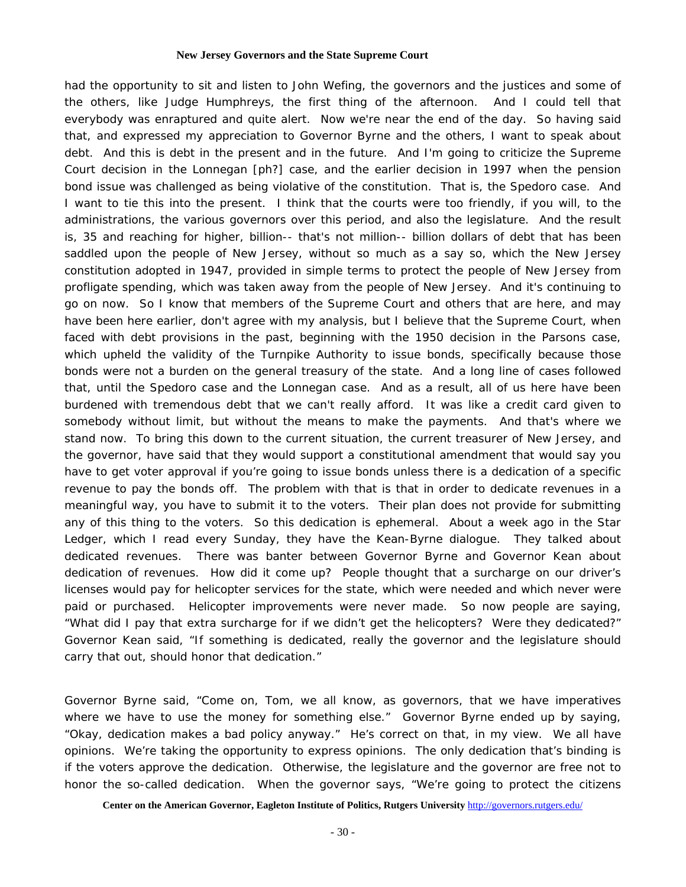had the opportunity to sit and listen to John Wefing, the governors and the justices and some of the others, like Judge Humphreys, the first thing of the afternoon. And I could tell that everybody was enraptured and quite alert. Now we're near the end of the day. So having said that, and expressed my appreciation to Governor Byrne and the others, I want to speak about debt. And this is debt in the present and in the future. And I'm going to criticize the Supreme Court decision in the Lonnegan [ph?] case, and the earlier decision in 1997 when the pension bond issue was challenged as being violative of the constitution. That is, the Spedoro case. And I want to tie this into the present. I think that the courts were too friendly, if you will, to the administrations, the various governors over this period, and also the legislature. And the result is, 35 and reaching for higher, billion-- that's not million-- billion dollars of debt that has been saddled upon the people of New Jersey, without so much as a say so, which the New Jersey constitution adopted in 1947, provided in simple terms to protect the people of New Jersey from profligate spending, which was taken away from the people of New Jersey. And it's continuing to go on now. So I know that members of the Supreme Court and others that are here, and may have been here earlier, don't agree with my analysis, but I believe that the Supreme Court, when faced with debt provisions in the past, beginning with the 1950 decision in the Parsons case, which upheld the validity of the Turnpike Authority to issue bonds, specifically because those bonds were not a burden on the general treasury of the state. And a long line of cases followed that, until the Spedoro case and the Lonnegan case. And as a result, all of us here have been burdened with tremendous debt that we can't really afford. It was like a credit card given to somebody without limit, but without the means to make the payments. And that's where we stand now. To bring this down to the current situation, the current treasurer of New Jersey, and the governor, have said that they would support a constitutional amendment that would say you have to get voter approval if you're going to issue bonds unless there is a dedication of a specific revenue to pay the bonds off. The problem with that is that in order to dedicate revenues in a meaningful way, you have to submit it to the voters. Their plan does not provide for submitting any of this thing to the voters. So this dedication is ephemeral. About a week ago in the *Star Ledger*, which I read every Sunday, they have the Kean-Byrne dialogue. They talked about dedicated revenues. There was banter between Governor Byrne and Governor Kean about dedication of revenues. How did it come up? People thought that a surcharge on our driver's licenses would pay for helicopter services for the state, which were needed and which never were paid or purchased. Helicopter improvements were never made. So now people are saying, "What did I pay that extra surcharge for if we didn't get the helicopters? Were they dedicated?" Governor Kean said, "If something is dedicated, really the governor and the legislature should carry that out, should honor that dedication."

Governor Byrne said, "Come on, Tom, we all know, as governors, that we have imperatives where we have to use the money for something else." Governor Byrne ended up by saying, "Okay, dedication makes a bad policy anyway." He's correct on that, in my view. We all have opinions. We're taking the opportunity to express opinions. The only dedication that's binding is if the voters approve the dedication. Otherwise, the legislature and the governor are free not to honor the so-called dedication. When the governor says, "We're going to protect the citizens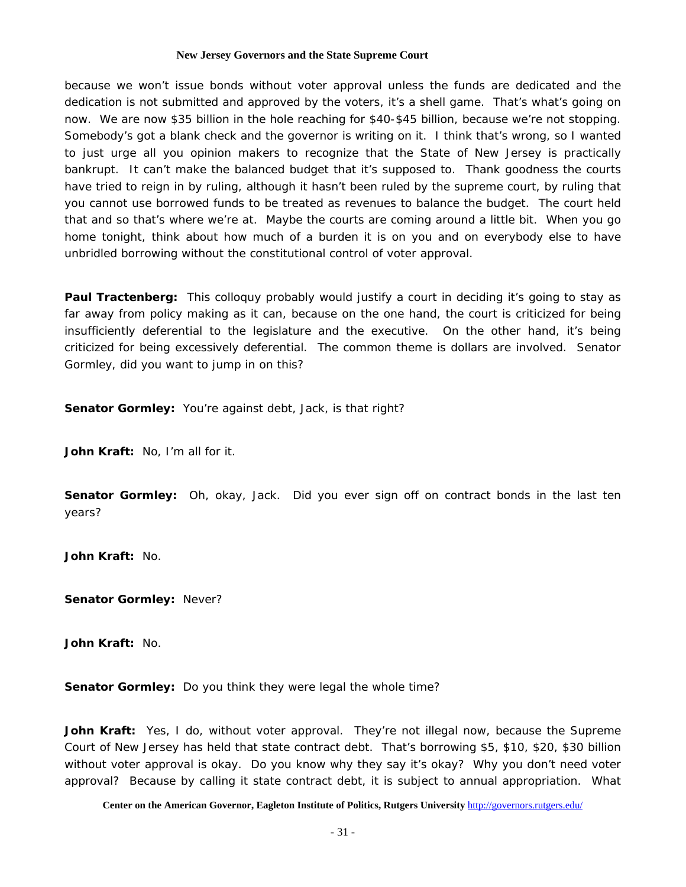because we won't issue bonds without voter approval unless the funds are dedicated and the dedication is not submitted and approved by the voters, it's a shell game. That's what's going on now. We are now \$35 billion in the hole reaching for \$40-\$45 billion, because we're not stopping. Somebody's got a blank check and the governor is writing on it. I think that's wrong, so I wanted to just urge all you opinion makers to recognize that the State of New Jersey is practically bankrupt. It can't make the balanced budget that it's supposed to. Thank goodness the courts have tried to reign in by ruling, although it hasn't been ruled by the supreme court, by ruling that you cannot use borrowed funds to be treated as revenues to balance the budget. The court held that and so that's where we're at. Maybe the courts are coming around a little bit. When you go home tonight, think about how much of a burden it is on you and on everybody else to have unbridled borrowing without the constitutional control of voter approval.

**Paul Tractenberg:** This colloquy probably would justify a court in deciding it's going to stay as far away from policy making as it can, because on the one hand, the court is criticized for being insufficiently deferential to the legislature and the executive. On the other hand, it's being criticized for being excessively deferential. The common theme is dollars are involved. Senator Gormley, did you want to jump in on this?

**Senator Gormley:** You're against debt, Jack, is that right?

**John Kraft:** No, I'm all for it.

**Senator Gormley:** Oh, okay, Jack. Did you ever sign off on contract bonds in the last ten years?

**John Kraft:** No.

**Senator Gormley:** Never?

**John Kraft:** No.

**Senator Gormley:** Do you think they were legal the whole time?

John Kraft: Yes, I do, without voter approval. They're not illegal now, because the Supreme Court of New Jersey has held that state contract debt. That's borrowing \$5, \$10, \$20, \$30 billion without voter approval is okay. Do you know why they say it's okay? Why you don't need voter approval? Because by calling it state contract debt, it is subject to annual appropriation. What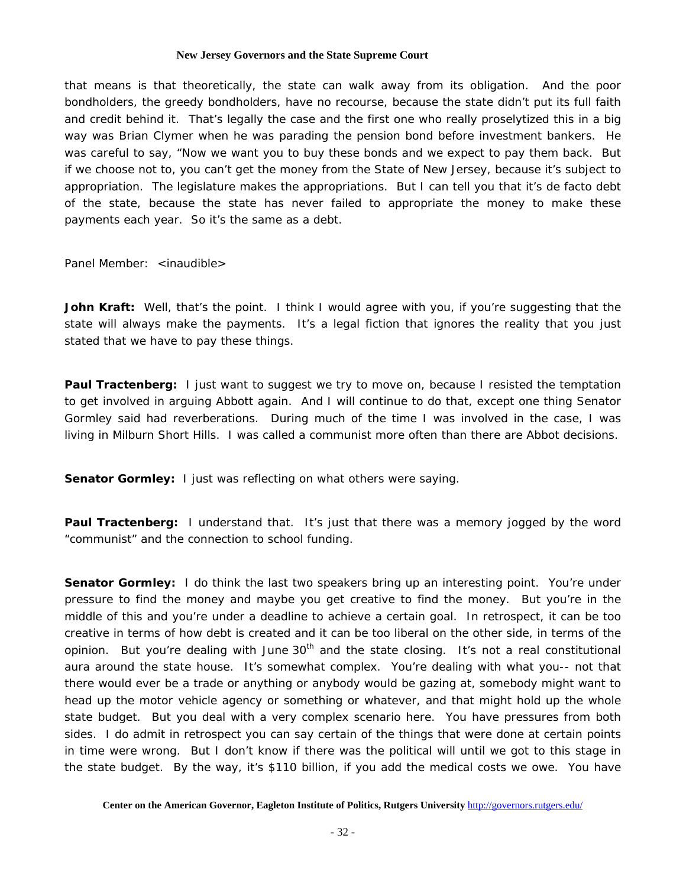that means is that theoretically, the state can walk away from its obligation. And the poor bondholders, the greedy bondholders, have no recourse, because the state didn't put its full faith and credit behind it. That's legally the case and the first one who really proselytized this in a big way was Brian Clymer when he was parading the pension bond before investment bankers. He was careful to say, "Now we want you to buy these bonds and we expect to pay them back. But if we choose not to, you can't get the money from the State of New Jersey, because it's subject to appropriation. The legislature makes the appropriations. But I can tell you that it's de facto debt of the state, because the state has never failed to appropriate the money to make these payments each year. So it's the same as a debt.

Panel Member: <inaudible>

**John Kraft:** Well, that's the point. I think I would agree with you, if you're suggesting that the state will always make the payments. It's a legal fiction that ignores the reality that you just stated that we have to pay these things.

**Paul Tractenberg:** I just want to suggest we try to move on, because I resisted the temptation to get involved in arguing Abbott again. And I will continue to do that, except one thing Senator Gormley said had reverberations. During much of the time I was involved in the case, I was living in Milburn Short Hills. I was called a communist more often than there are Abbot decisions.

**Senator Gormley:** I just was reflecting on what others were saying.

**Paul Tractenberg:** I understand that. It's just that there was a memory jogged by the word "communist" and the connection to school funding.

**Senator Gormley:** I do think the last two speakers bring up an interesting point. You're under pressure to find the money and maybe you get creative to find the money. But you're in the middle of this and you're under a deadline to achieve a certain goal. In retrospect, it can be too creative in terms of how debt is created and it can be too liberal on the other side, in terms of the opinion. But you're dealing with June  $30<sup>th</sup>$  and the state closing. It's not a real constitutional aura around the state house. It's somewhat complex. You're dealing with what you-- not that there would ever be a trade or anything or anybody would be gazing at, somebody might want to head up the motor vehicle agency or something or whatever, and that might hold up the whole state budget. But you deal with a very complex scenario here. You have pressures from both sides. I do admit in retrospect you can say certain of the things that were done at certain points in time were wrong. But I don't know if there was the political will until we got to this stage in the state budget. By the way, it's \$110 billion, if you add the medical costs we owe. You have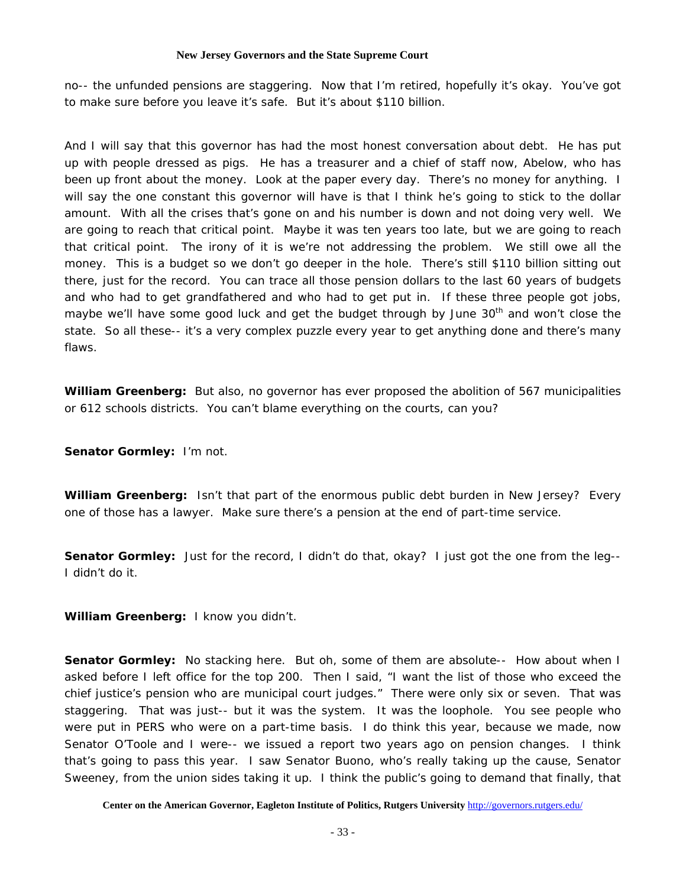no-- the unfunded pensions are staggering. Now that I'm retired, hopefully it's okay. You've got to make sure before you leave it's safe. But it's about \$110 billion.

And I will say that this governor has had the most honest conversation about debt. He has put up with people dressed as pigs. He has a treasurer and a chief of staff now, Abelow, who has been up front about the money. Look at the paper every day. There's no money for anything. I will say the one constant this governor will have is that I think he's going to stick to the dollar amount. With all the crises that's gone on and his number is down and not doing very well. We are going to reach that critical point. Maybe it was ten years too late, but we are going to reach that critical point. The irony of it is we're not addressing the problem. We still owe all the money. This is a budget so we don't go deeper in the hole. There's still \$110 billion sitting out there, just for the record. You can trace all those pension dollars to the last 60 years of budgets and who had to get grandfathered and who had to get put in. If these three people got jobs, maybe we'll have some good luck and get the budget through by June 30<sup>th</sup> and won't close the state. So all these-- it's a very complex puzzle every year to get anything done and there's many flaws.

**William Greenberg:** But also, no governor has ever proposed the abolition of 567 municipalities or 612 schools districts. You can't blame everything on the courts, can you?

**Senator Gormley:** I'm not.

**William Greenberg:** Isn't that part of the enormous public debt burden in New Jersey? Every one of those has a lawyer. Make sure there's a pension at the end of part-time service.

**Senator Gormley:** Just for the record, I didn't do that, okay? I just got the one from the leg--I didn't do it.

**William Greenberg:** I know you didn't.

**Senator Gormley:** No stacking here. But oh, some of them are absolute-- How about when I asked before I left office for the top 200. Then I said, "I want the list of those who exceed the chief justice's pension who are municipal court judges." There were only six or seven. That was staggering. That was just-- but it was the system. It was the loophole. You see people who were put in PERS who were on a part-time basis. I do think this year, because we made, now Senator O'Toole and I were-- we issued a report two years ago on pension changes. I think that's going to pass this year. I saw Senator Buono, who's really taking up the cause, Senator Sweeney, from the union sides taking it up. I think the public's going to demand that finally, that

**Center on the American Governor, Eagleton Institute of Politics, Rutgers University** http://governors.rutgers.edu/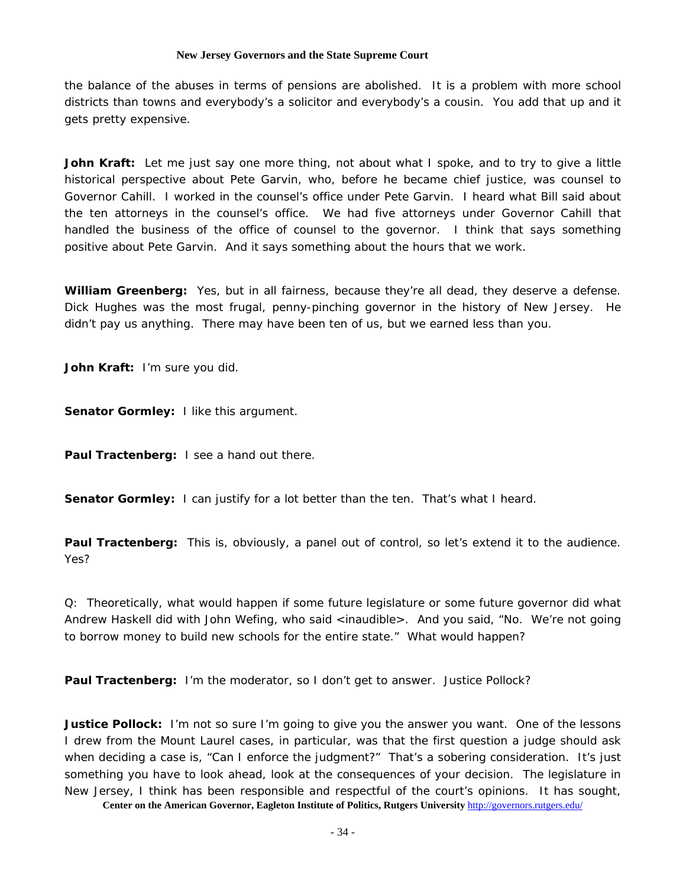the balance of the abuses in terms of pensions are abolished. It is a problem with more school districts than towns and everybody's a solicitor and everybody's a cousin. You add that up and it gets pretty expensive.

**John Kraft:** Let me just say one more thing, not about what I spoke, and to try to give a little historical perspective about Pete Garvin, who, before he became chief justice, was counsel to Governor Cahill. I worked in the counsel's office under Pete Garvin. I heard what Bill said about the ten attorneys in the counsel's office. We had five attorneys under Governor Cahill that handled the business of the office of counsel to the governor. I think that says something positive about Pete Garvin. And it says something about the hours that we work.

**William Greenberg:** Yes, but in all fairness, because they're all dead, they deserve a defense. Dick Hughes was the most frugal, penny-pinching governor in the history of New Jersey. He didn't pay us anything. There may have been ten of us, but we earned less than you.

**John Kraft:** I'm sure you did.

**Senator Gormley:** I like this argument.

**Paul Tractenberg:** I see a hand out there.

**Senator Gormley:** I can justify for a lot better than the ten. That's what I heard.

**Paul Tractenberg:** This is, obviously, a panel out of control, so let's extend it to the audience. Yes?

Q: Theoretically, what would happen if some future legislature or some future governor did what Andrew Haskell did with John Wefing, who said <inaudible>. And you said, "No. We're not going to borrow money to build new schools for the entire state." What would happen?

**Paul Tractenberg:** I'm the moderator, so I don't get to answer. Justice Pollock?

**Justice Pollock:** I'm not so sure I'm going to give you the answer you want. One of the lessons I drew from the Mount Laurel cases, in particular, was that the first question a judge should ask when deciding a case is, "Can I enforce the judgment?" That's a sobering consideration. It's just something you have to look ahead, look at the consequences of your decision. The legislature in New Jersey, I think has been responsible and respectful of the court's opinions. It has sought,

**Center on the American Governor, Eagleton Institute of Politics, Rutgers University** http://governors.rutgers.edu/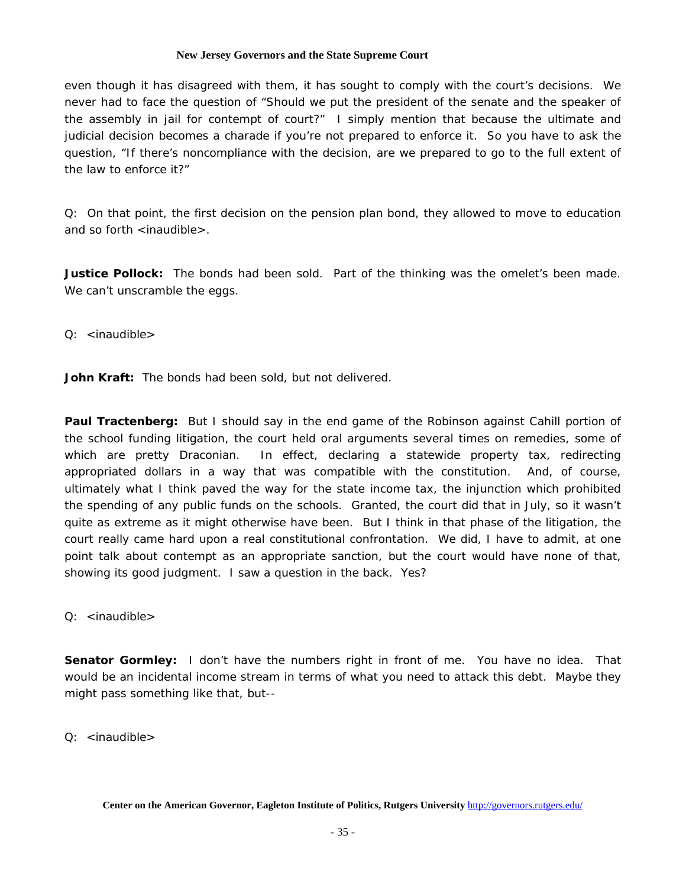even though it has disagreed with them, it has sought to comply with the court's decisions. We never had to face the question of "Should we put the president of the senate and the speaker of the assembly in jail for contempt of court?" I simply mention that because the ultimate and judicial decision becomes a charade if you're not prepared to enforce it. So you have to ask the question, "If there's noncompliance with the decision, are we prepared to go to the full extent of the law to enforce it?"

Q: On that point, the first decision on the pension plan bond, they allowed to move to education and so forth  $\leq$  inaudible $\geq$ .

**Justice Pollock:** The bonds had been sold. Part of the thinking was the omelet's been made. We can't unscramble the eggs.

Q: <inaudible>

**John Kraft:** The bonds had been sold, but not delivered.

**Paul Tractenberg:** But I should say in the end game of the Robinson against Cahill portion of the school funding litigation, the court held oral arguments several times on remedies, some of which are pretty Draconian. In effect, declaring a statewide property tax, redirecting appropriated dollars in a way that was compatible with the constitution. And, of course, ultimately what I think paved the way for the state income tax, the injunction which prohibited the spending of any public funds on the schools. Granted, the court did that in July, so it wasn't quite as extreme as it might otherwise have been. But I think in that phase of the litigation, the court really came hard upon a real constitutional confrontation. We did, I have to admit, at one point talk about contempt as an appropriate sanction, but the court would have none of that, showing its good judgment. I saw a question in the back. Yes?

Q: <inaudible>

**Senator Gormley:** I don't have the numbers right in front of me. You have no idea. That would be an incidental income stream in terms of what you need to attack this debt. Maybe they might pass something like that, but--

Q: <inaudible>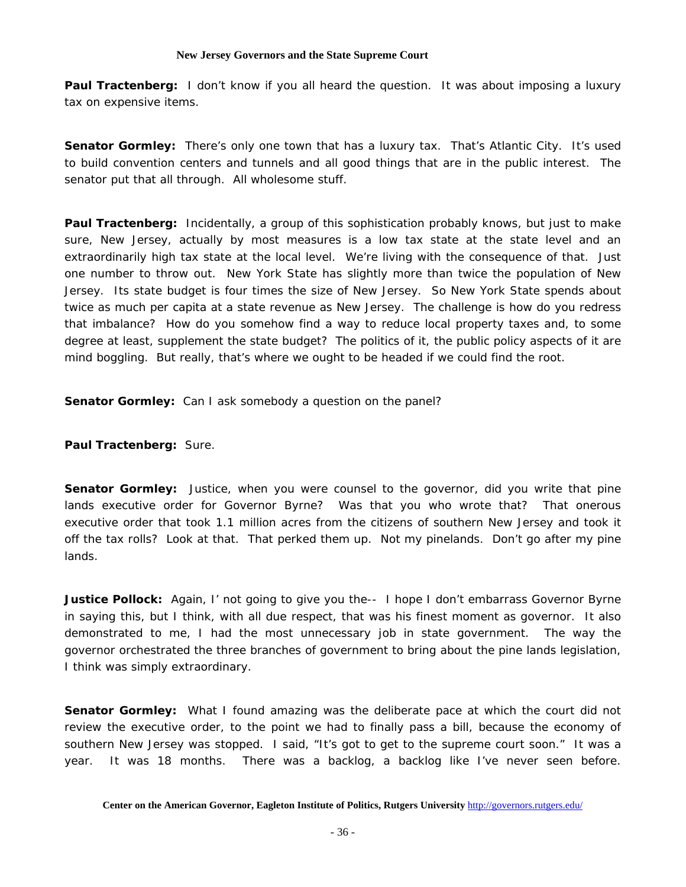**Paul Tractenberg:** I don't know if you all heard the question. It was about imposing a luxury tax on expensive items.

**Senator Gormley:** There's only one town that has a luxury tax. That's Atlantic City. It's used to build convention centers and tunnels and all good things that are in the public interest. The senator put that all through. All wholesome stuff.

**Paul Tractenberg:** Incidentally, a group of this sophistication probably knows, but just to make sure, New Jersey, actually by most measures is a low tax state at the state level and an extraordinarily high tax state at the local level. We're living with the consequence of that. Just one number to throw out. New York State has slightly more than twice the population of New Jersey. Its state budget is four times the size of New Jersey. So New York State spends about twice as much per capita at a state revenue as New Jersey. The challenge is how do you redress that imbalance? How do you somehow find a way to reduce local property taxes and, to some degree at least, supplement the state budget? The politics of it, the public policy aspects of it are mind boggling. But really, that's where we ought to be headed if we could find the root.

**Senator Gormley:** Can I ask somebody a question on the panel?

**Paul Tractenberg:** Sure.

**Senator Gormley:** Justice, when you were counsel to the governor, did you write that pine lands executive order for Governor Byrne? Was that you who wrote that? That onerous executive order that took 1.1 million acres from the citizens of southern New Jersey and took it off the tax rolls? Look at that. That perked them up. Not my pinelands. Don't go after my pine lands.

**Justice Pollock:** Again, I' not going to give you the-- I hope I don't embarrass Governor Byrne in saying this, but I think, with all due respect, that was his finest moment as governor. It also demonstrated to me, I had the most unnecessary job in state government. The way the governor orchestrated the three branches of government to bring about the pine lands legislation, I think was simply extraordinary.

**Senator Gormley:** What I found amazing was the deliberate pace at which the court did not review the executive order, to the point we had to finally pass a bill, because the economy of southern New Jersey was stopped. I said, "It's got to get to the supreme court soon." It was a year. It was 18 months. There was a backlog, a backlog like I've never seen before.